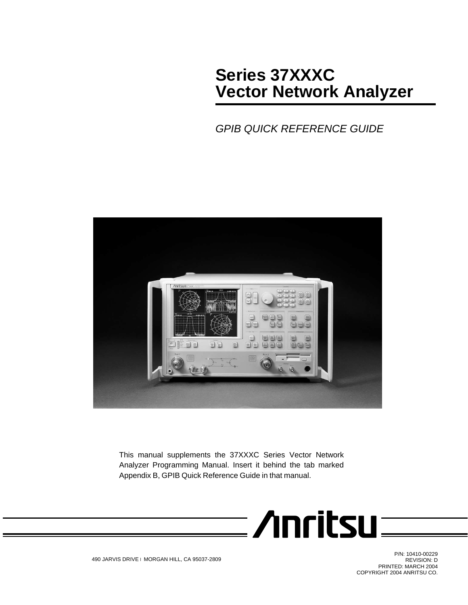## **Series 37XXXC Vector Network Analyzer**

GPIB QUICK REFERENCE GUIDE



This manual supplements the 37XXXC Series Vector Network Analyzer Programming Manual. Insert it behind the tab marked Appendix B, GPIB Quick Reference Guide in that manual.



P/N: 10410-00229 REVISION: D PRINTED: MARCH 2004 COPYRIGHT 2004 ANRITSU CO.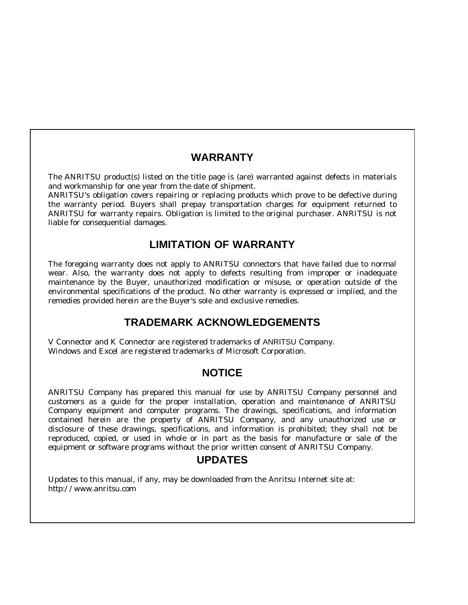#### **WARRANTY**

The ANRITSU product(s) listed on the title page is (are) warranted against defects in materials and workmanship for one year from the date of shipment.

ANRITSU's obligation covers repairing or replacing products which prove to be defective during the warranty period. Buyers shall prepay transportation charges for equipment returned to ANRITSU for warranty repairs. Obligation is limited to the original purchaser. ANRITSU is not liable for consequential damages.

#### **LIMITATION OF WARRANTY**

The foregoing warranty does not apply to ANRITSU connectors that have failed due to normal wear. Also, the warranty does not apply to defects resulting from improper or inadequate maintenance by the Buyer, unauthorized modification or misuse, or operation outside of the environmental specifications of the product. No other warranty is expressed or implied, and the remedies provided herein are the Buyer's sole and exclusive remedies.

#### **TRADEMARK ACKNOWLEDGEMENTS**

V Connector and K Connector are registered trademarks of ANRITSU Company. Windows and Excel are registered trademarks of Microsoft Corporation.

#### **NOTICE**

ANRITSU Company has prepared this manual for use by ANRITSU Company personnel and customers as a guide for the proper installation, operation and maintenance of ANRITSU Company equipment and computer programs. The drawings, specifications, and information contained herein are the property of ANRITSU Company, and any unauthorized use or disclosure of these drawings, specifications, and information is prohibited; they shall not be reproduced, copied, or used in whole or in part as the basis for manufacture or sale of the equipment or software programs without the prior written consent of ANRITSU Company.

#### **UPDATES**

Updates to this manual, if any, may be downloaded from the Anritsu Internet site at: *http://www.anritsu.com*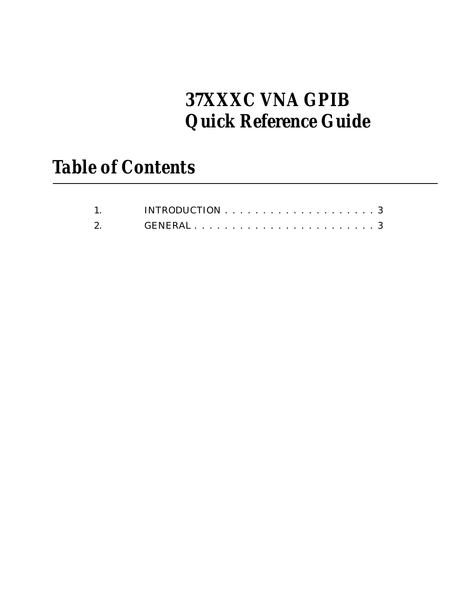# <span id="page-2-0"></span>*37XXXC VNA GPIB Quick Reference Guide*

## *Table of Contents*

|    | INTRODUCTION $\ldots \ldots \ldots \ldots \ldots \ldots \ldots$ |
|----|-----------------------------------------------------------------|
| 2. |                                                                 |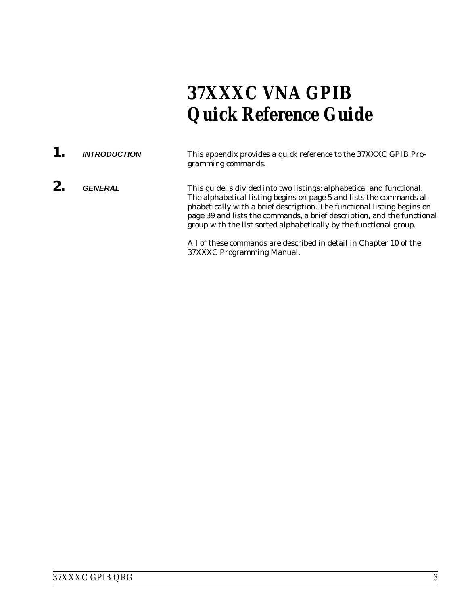# *37XXXC VNA GPIB Quick Reference Guide*

| <b>INTRODUCTION</b> | This appendix provides a quick reference to the 37XXXC GPIB Pro-<br>gramming commands.                                                                                                                                                                                                                                                                                    |
|---------------------|---------------------------------------------------------------------------------------------------------------------------------------------------------------------------------------------------------------------------------------------------------------------------------------------------------------------------------------------------------------------------|
| <b>GENERAL</b>      | This guide is divided into two listings: alphabetical and functional.<br>The alphabetical listing begins on page 5 and lists the commands al-<br>phabetically with a brief description. The functional listing begins on<br>page 39 and lists the commands, a brief description, and the functional<br>group with the list sorted alphabetically by the functional group. |
|                     | All of these commands are described in detail in Chapter 10 of the<br>37XXXC Programming Manual.                                                                                                                                                                                                                                                                          |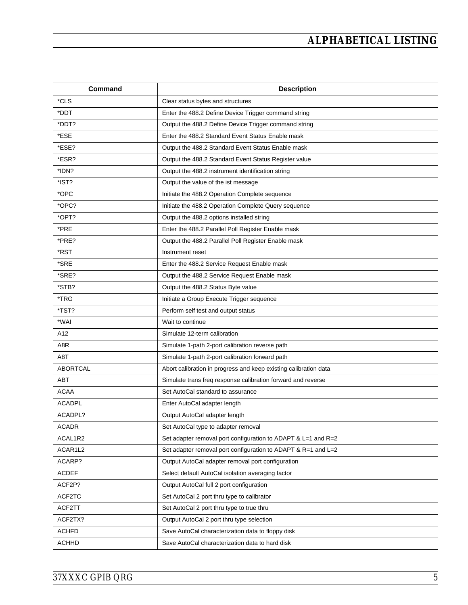| <b>Command</b>  | <b>Description</b>                                               |
|-----------------|------------------------------------------------------------------|
| *CLS            | Clear status bytes and structures                                |
| *DDT            | Enter the 488.2 Define Device Trigger command string             |
| *DDT?           | Output the 488.2 Define Device Trigger command string            |
| *ESE            | Enter the 488.2 Standard Event Status Enable mask                |
| *ESE?           | Output the 488.2 Standard Event Status Enable mask               |
| *ESR?           | Output the 488.2 Standard Event Status Register value            |
| *IDN?           | Output the 488.2 instrument identification string                |
| *IST?           | Output the value of the ist message                              |
| *OPC            | Initiate the 488.2 Operation Complete sequence                   |
| *OPC?           | Initiate the 488.2 Operation Complete Query sequence             |
| *OPT?           | Output the 488.2 options installed string                        |
| *PRE            | Enter the 488.2 Parallel Poll Register Enable mask               |
| *PRE?           | Output the 488.2 Parallel Poll Register Enable mask              |
| *RST            | Instrument reset                                                 |
| *SRE            | Enter the 488.2 Service Request Enable mask                      |
| *SRE?           | Output the 488.2 Service Request Enable mask                     |
| *STB?           | Output the 488.2 Status Byte value                               |
| *TRG            | Initiate a Group Execute Trigger sequence                        |
| *TST?           | Perform self test and output status                              |
| *WAI            | Wait to continue                                                 |
| A12             | Simulate 12-term calibration                                     |
| A8R             | Simulate 1-path 2-port calibration reverse path                  |
| A8T             | Simulate 1-path 2-port calibration forward path                  |
| <b>ABORTCAL</b> | Abort calibration in progress and keep existing calibration data |
| <b>ABT</b>      | Simulate trans freq response calibration forward and reverse     |
| <b>ACAA</b>     | Set AutoCal standard to assurance                                |
| <b>ACADPL</b>   | Enter AutoCal adapter length                                     |
| ACADPL?         | Output AutoCal adapter length                                    |
| <b>ACADR</b>    | Set AutoCal type to adapter removal                              |
| ACAL1R2         | Set adapter removal port configuration to ADAPT & L=1 and R=2    |
| ACAR1L2         | Set adapter removal port configuration to ADAPT & R=1 and L=2    |
| ACARP?          | Output AutoCal adapter removal port configuration                |
| <b>ACDEF</b>    | Select default AutoCal isolation averaging factor                |
| ACF2P?          | Output AutoCal full 2 port configuration                         |
| ACF2TC          | Set AutoCal 2 port thru type to calibrator                       |
| ACF2TT          | Set AutoCal 2 port thru type to true thru                        |
| ACF2TX?         | Output AutoCal 2 port thru type selection                        |
| <b>ACHFD</b>    | Save AutoCal characterization data to floppy disk                |
| <b>ACHHD</b>    | Save AutoCal characterization data to hard disk                  |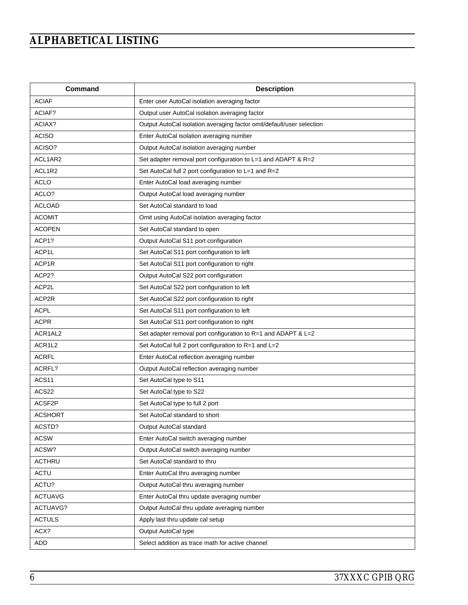| Command        | <b>Description</b>                                                    |
|----------------|-----------------------------------------------------------------------|
| <b>ACIAF</b>   | Enter user AutoCal isolation averaging factor                         |
| ACIAF?         | Output user AutoCal isolation averaging factor                        |
| ACIAX?         | Output AutoCal isolation averaging factor omit/default/user selection |
| <b>ACISO</b>   | Enter AutoCal isolation averaging number                              |
| ACISO?         | Output AutoCal isolation averaging number                             |
| ACL1AR2        | Set adapter removal port configuration to L=1 and ADAPT & R=2         |
| ACL1R2         | Set AutoCal full 2 port configuration to L=1 and R=2                  |
| <b>ACLO</b>    | Enter AutoCal load averaging number                                   |
| ACLO?          | Output AutoCal load averaging number                                  |
| <b>ACLOAD</b>  | Set AutoCal standard to load                                          |
| <b>ACOMIT</b>  | Omit using AutoCal isolation averaging factor                         |
| <b>ACOPEN</b>  | Set AutoCal standard to open                                          |
| ACP1?          | Output AutoCal S11 port configuration                                 |
| ACP1L          | Set AutoCal S11 port configuration to left                            |
| ACP1R          | Set AutoCal S11 port configuration to right                           |
| ACP2?          | Output AutoCal S22 port configuration                                 |
| ACP2L          | Set AutoCal S22 port configuration to left                            |
| ACP2R          | Set AutoCal S22 port configuration to right                           |
| <b>ACPL</b>    | Set AutoCal S11 port configuration to left                            |
| <b>ACPR</b>    | Set AutoCal S11 port configuration to right                           |
| ACR1AL2        | Set adapter removal port configuration to R=1 and ADAPT & L=2         |
| ACR1L2         | Set AutoCal full 2 port configuration to R=1 and L=2                  |
| <b>ACRFL</b>   | Enter AutoCal reflection averaging number                             |
| ACRFL?         | Output AutoCal reflection averaging number                            |
| ACS11          | Set AutoCal type to S11                                               |
| ACS22          | Set AutoCal type to S22                                               |
| ACSF2P         | Set AutoCal type to full 2 port                                       |
| <b>ACSHORT</b> | Set AutoCal standard to short                                         |
| ACSTD?         | Output AutoCal standard                                               |
| <b>ACSW</b>    | Enter AutoCal switch averaging number                                 |
| ACSW?          | Output AutoCal switch averaging number                                |
| <b>ACTHRU</b>  | Set AutoCal standard to thru                                          |
| <b>ACTU</b>    | Enter AutoCal thru averaging number                                   |
| ACTU?          | Output AutoCal thru averaging number                                  |
| <b>ACTUAVG</b> | Enter AutoCal thru update averaging number                            |
| ACTUAVG?       | Output AutoCal thru update averaging number                           |
| <b>ACTULS</b>  | Apply last thru update cal setup                                      |
| ACX?           | Output AutoCal type                                                   |
| ADD            | Select addition as trace math for active channel                      |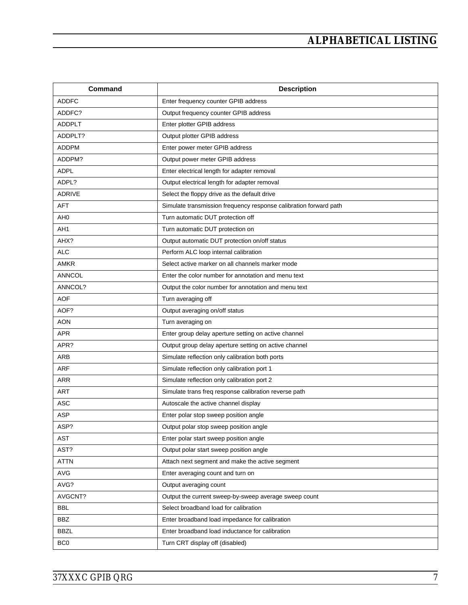| Command         | <b>Description</b>                                                |
|-----------------|-------------------------------------------------------------------|
| <b>ADDFC</b>    | Enter frequency counter GPIB address                              |
| ADDFC?          | Output frequency counter GPIB address                             |
| <b>ADDPLT</b>   | Enter plotter GPIB address                                        |
| ADDPLT?         | Output plotter GPIB address                                       |
| ADDPM           | Enter power meter GPIB address                                    |
| ADDPM?          | Output power meter GPIB address                                   |
| <b>ADPL</b>     | Enter electrical length for adapter removal                       |
| ADPL?           | Output electrical length for adapter removal                      |
| <b>ADRIVE</b>   | Select the floppy drive as the default drive                      |
| <b>AFT</b>      | Simulate transmission frequency response calibration forward path |
| AH <sub>0</sub> | Turn automatic DUT protection off                                 |
| AH1             | Turn automatic DUT protection on                                  |
| AHX?            | Output automatic DUT protection on/off status                     |
| <b>ALC</b>      | Perform ALC loop internal calibration                             |
| <b>AMKR</b>     | Select active marker on all channels marker mode                  |
| <b>ANNCOL</b>   | Enter the color number for annotation and menu text               |
| ANNCOL?         | Output the color number for annotation and menu text              |
| <b>AOF</b>      | Turn averaging off                                                |
| AOF?            | Output averaging on/off status                                    |
| AON             | Turn averaging on                                                 |
| <b>APR</b>      | Enter group delay aperture setting on active channel              |
| APR?            | Output group delay aperture setting on active channel             |
| ARB             | Simulate reflection only calibration both ports                   |
| <b>ARF</b>      | Simulate reflection only calibration port 1                       |
| <b>ARR</b>      | Simulate reflection only calibration port 2                       |
| <b>ART</b>      | Simulate trans freq response calibration reverse path             |
| <b>ASC</b>      | Autoscale the active channel display                              |
| <b>ASP</b>      | Enter polar stop sweep position angle                             |
| ASP?            | Output polar stop sweep position angle                            |
| <b>AST</b>      | Enter polar start sweep position angle                            |
| AST?            | Output polar start sweep position angle                           |
| <b>ATTN</b>     | Attach next segment and make the active segment                   |
| AVG             | Enter averaging count and turn on                                 |
| AVG?            | Output averaging count                                            |
| AVGCNT?         | Output the current sweep-by-sweep average sweep count             |
| <b>BBL</b>      | Select broadband load for calibration                             |
| <b>BBZ</b>      | Enter broadband load impedance for calibration                    |
| <b>BBZL</b>     | Enter broadband load inductance for calibration                   |
| BC <sub>0</sub> | Turn CRT display off (disabled)                                   |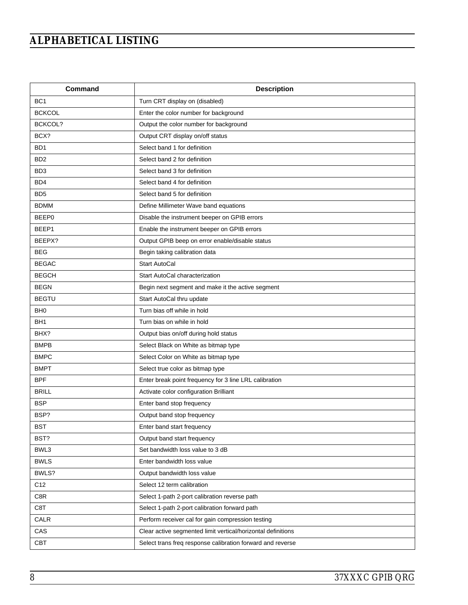| <b>Command</b>   | <b>Description</b>                                           |
|------------------|--------------------------------------------------------------|
| BC <sub>1</sub>  | Turn CRT display on (disabled)                               |
| <b>BCKCOL</b>    | Enter the color number for background                        |
| BCKCOL?          | Output the color number for background                       |
| BCX?             | Output CRT display on/off status                             |
| B <sub>D</sub> 1 | Select band 1 for definition                                 |
| B <sub>D</sub> 2 | Select band 2 for definition                                 |
| BD <sub>3</sub>  | Select band 3 for definition                                 |
| BD4              | Select band 4 for definition                                 |
| BD <sub>5</sub>  | Select band 5 for definition                                 |
| <b>BDMM</b>      | Define Millimeter Wave band equations                        |
| BEEP0            | Disable the instrument beeper on GPIB errors                 |
| BEEP1            | Enable the instrument beeper on GPIB errors                  |
| BEEPX?           | Output GPIB beep on error enable/disable status              |
| <b>BEG</b>       | Begin taking calibration data                                |
| <b>BEGAC</b>     | Start AutoCal                                                |
| <b>BEGCH</b>     | Start AutoCal characterization                               |
| <b>BEGN</b>      | Begin next segment and make it the active segment            |
| <b>BEGTU</b>     | Start AutoCal thru update                                    |
| BH <sub>0</sub>  | Turn bias off while in hold                                  |
| BH <sub>1</sub>  | Turn bias on while in hold                                   |
| BHX?             | Output bias on/off during hold status                        |
| <b>BMPB</b>      | Select Black on White as bitmap type                         |
| <b>BMPC</b>      | Select Color on White as bitmap type                         |
| <b>BMPT</b>      | Select true color as bitmap type                             |
| <b>BPF</b>       | Enter break point frequency for 3 line LRL calibration       |
| <b>BRILL</b>     | Activate color configuration Brilliant                       |
| <b>BSP</b>       | Enter band stop frequency                                    |
| BSP?             | Output band stop frequency                                   |
| BST              | Enter band start frequency                                   |
| BST?             | Output band start frequency                                  |
| BWL3             | Set bandwidth loss value to 3 dB                             |
| <b>BWLS</b>      | Enter bandwidth loss value                                   |
| BWLS?            | Output bandwidth loss value                                  |
| C12              | Select 12 term calibration                                   |
| C8R              | Select 1-path 2-port calibration reverse path                |
| C8T              | Select 1-path 2-port calibration forward path                |
| CALR             | Perform receiver cal for gain compression testing            |
| CAS              | Clear active segmented limit vertical/horizontal definitions |
| CBT              | Select trans freq response calibration forward and reverse   |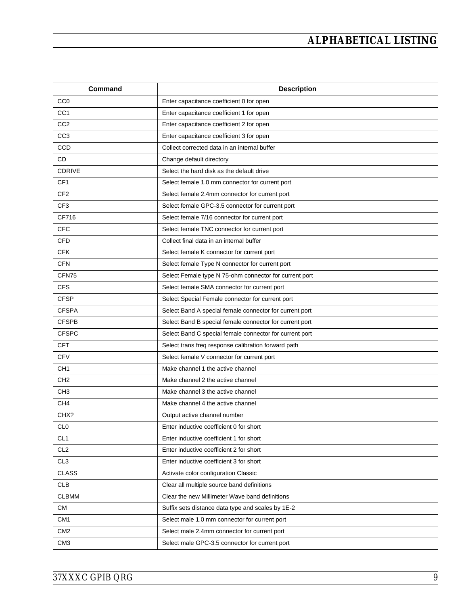| <b>Command</b>  | <b>Description</b>                                      |
|-----------------|---------------------------------------------------------|
| CC <sub>0</sub> | Enter capacitance coefficient 0 for open                |
| CC <sub>1</sub> | Enter capacitance coefficient 1 for open                |
| CC <sub>2</sub> | Enter capacitance coefficient 2 for open                |
| CC <sub>3</sub> | Enter capacitance coefficient 3 for open                |
| CCD             | Collect corrected data in an internal buffer            |
| <b>CD</b>       | Change default directory                                |
| <b>CDRIVE</b>   | Select the hard disk as the default drive               |
| CF <sub>1</sub> | Select female 1.0 mm connector for current port         |
| CF <sub>2</sub> | Select female 2.4mm connector for current port          |
| CF <sub>3</sub> | Select female GPC-3.5 connector for current port        |
| CF716           | Select female 7/16 connector for current port           |
| <b>CFC</b>      | Select female TNC connector for current port            |
| <b>CFD</b>      | Collect final data in an internal buffer                |
| <b>CFK</b>      | Select female K connector for current port              |
| <b>CFN</b>      | Select female Type N connector for current port         |
| CFN75           | Select Female type N 75-ohm connector for current port  |
| <b>CFS</b>      | Select female SMA connector for current port            |
| <b>CFSP</b>     | Select Special Female connector for current port        |
| <b>CFSPA</b>    | Select Band A special female connector for current port |
| <b>CFSPB</b>    | Select Band B special female connector for current port |
| <b>CFSPC</b>    | Select Band C special female connector for current port |
| <b>CFT</b>      | Select trans freq response calibration forward path     |
| <b>CFV</b>      | Select female V connector for current port              |
| CH <sub>1</sub> | Make channel 1 the active channel                       |
| CH <sub>2</sub> | Make channel 2 the active channel                       |
| CH <sub>3</sub> | Make channel 3 the active channel                       |
| CH <sub>4</sub> | Make channel 4 the active channel                       |
| CHX?            | Output active channel number                            |
| CL <sub>0</sub> | Enter inductive coefficient 0 for short                 |
| CL <sub>1</sub> | Enter inductive coefficient 1 for short                 |
| CL <sub>2</sub> | Enter inductive coefficient 2 for short                 |
| CL <sub>3</sub> | Enter inductive coefficient 3 for short                 |
| <b>CLASS</b>    | Activate color configuration Classic                    |
| <b>CLB</b>      | Clear all multiple source band definitions              |
| <b>CLBMM</b>    | Clear the new Millimeter Wave band definitions          |
| <b>CM</b>       | Suffix sets distance data type and scales by 1E-2       |
| CM <sub>1</sub> | Select male 1.0 mm connector for current port           |
| CM <sub>2</sub> | Select male 2.4mm connector for current port            |
| CM <sub>3</sub> | Select male GPC-3.5 connector for current port          |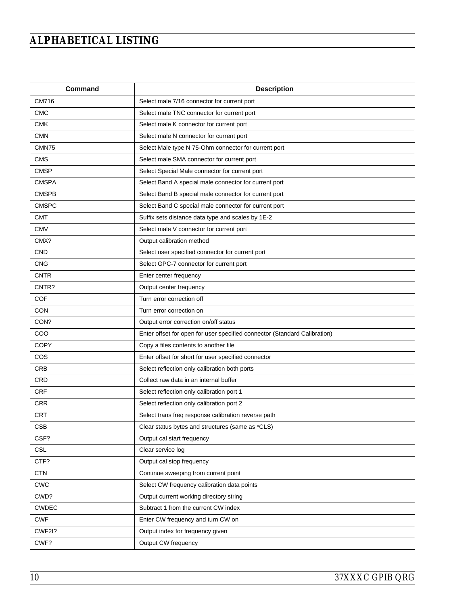| Command      | <b>Description</b>                                                        |
|--------------|---------------------------------------------------------------------------|
| CM716        | Select male 7/16 connector for current port                               |
| <b>CMC</b>   | Select male TNC connector for current port                                |
| <b>CMK</b>   | Select male K connector for current port                                  |
| <b>CMN</b>   | Select male N connector for current port                                  |
| CMN75        | Select Male type N 75-Ohm connector for current port                      |
| <b>CMS</b>   | Select male SMA connector for current port                                |
| <b>CMSP</b>  | Select Special Male connector for current port                            |
| <b>CMSPA</b> | Select Band A special male connector for current port                     |
| <b>CMSPB</b> | Select Band B special male connector for current port                     |
| <b>CMSPC</b> | Select Band C special male connector for current port                     |
| <b>CMT</b>   | Suffix sets distance data type and scales by 1E-2                         |
| <b>CMV</b>   | Select male V connector for current port                                  |
| CMX?         | Output calibration method                                                 |
| <b>CND</b>   | Select user specified connector for current port                          |
| <b>CNG</b>   | Select GPC-7 connector for current port                                   |
| <b>CNTR</b>  | Enter center frequency                                                    |
| CNTR?        | Output center frequency                                                   |
| <b>COF</b>   | Turn error correction off                                                 |
| CON          | Turn error correction on                                                  |
| CON?         | Output error correction on/off status                                     |
| COO          | Enter offset for open for user specified connector (Standard Calibration) |
| <b>COPY</b>  | Copy a files contents to another file                                     |
| COS          | Enter offset for short for user specified connector                       |
| <b>CRB</b>   | Select reflection only calibration both ports                             |
| CRD          | Collect raw data in an internal buffer                                    |
| <b>CRF</b>   | Select reflection only calibration port 1                                 |
| <b>CRR</b>   | Select reflection only calibration port 2                                 |
| <b>CRT</b>   | Select trans freq response calibration reverse path                       |
| <b>CSB</b>   | Clear status bytes and structures (same as *CLS)                          |
| CSF?         | Output cal start frequency                                                |
| CSL          | Clear service log                                                         |
| CTF?         | Output cal stop frequency                                                 |
| <b>CTN</b>   | Continue sweeping from current point                                      |
| <b>CWC</b>   | Select CW frequency calibration data points                               |
| CWD?         | Output current working directory string                                   |
| <b>CWDEC</b> | Subtract 1 from the current CW index                                      |
| <b>CWF</b>   | Enter CW frequency and turn CW on                                         |
| CWF2I?       | Output index for frequency given                                          |
| CWF?         | Output CW frequency                                                       |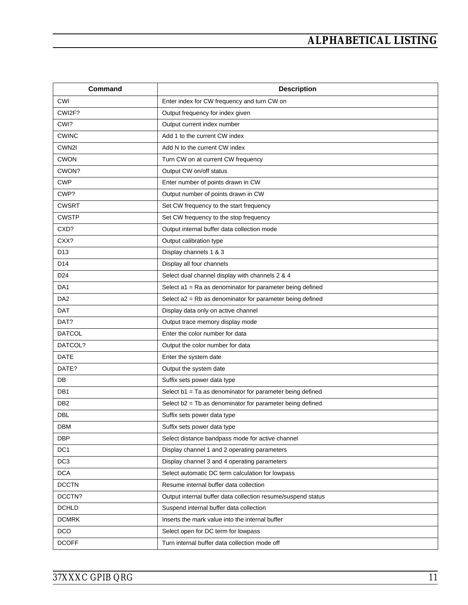| Command         | <b>Description</b>                                           |
|-----------------|--------------------------------------------------------------|
| CWI             | Enter index for CW frequency and turn CW on                  |
| CWI2F?          | Output frequency for index given                             |
| CWI?            | Output current index number                                  |
| <b>CWINC</b>    | Add 1 to the current CW index                                |
| CWN2I           | Add N to the current CW index                                |
| <b>CWON</b>     | Turn CW on at current CW frequency                           |
| CWON?           | Output CW on/off status                                      |
| <b>CWP</b>      | Enter number of points drawn in CW                           |
| CWP?            | Output number of points drawn in CW                          |
| <b>CWSRT</b>    | Set CW frequency to the start frequency                      |
| <b>CWSTP</b>    | Set CW frequency to the stop frequency                       |
| CXD?            | Output internal buffer data collection mode                  |
| CXX?            | Output calibration type                                      |
| D <sub>13</sub> | Display channels 1 & 3                                       |
| D <sub>14</sub> | Display all four channels                                    |
| D <sub>24</sub> | Select dual channel display with channels 2 & 4              |
| DA1             | Select a1 = Ra as denominator for parameter being defined    |
| DA <sub>2</sub> | Select a2 = Rb as denominator for parameter being defined    |
| <b>DAT</b>      | Display data only on active channel                          |
| DAT?            | Output trace memory display mode                             |
| <b>DATCOL</b>   | Enter the color number for data                              |
| DATCOL?         | Output the color number for data                             |
| <b>DATE</b>     | Enter the system date                                        |
| DATE?           | Output the system date                                       |
| DB              | Suffix sets power data type                                  |
| DB1             | Select b1 = Ta as denominator for parameter being defined    |
| DB <sub>2</sub> | Select b2 = Tb as denominator for parameter being defined    |
| DBL             | Suffix sets power data type                                  |
| <b>DBM</b>      | Suffix sets power data type                                  |
| <b>DBP</b>      | Select distance bandpass mode for active channel             |
| DC <sub>1</sub> | Display channel 1 and 2 operating parameters                 |
| DC <sub>3</sub> | Display channel 3 and 4 operating parameters                 |
| <b>DCA</b>      | Select automatic DC term calculation for lowpass             |
| <b>DCCTN</b>    | Resume internal buffer data collection                       |
| DCCTN?          | Output internal buffer data collection resume/suspend status |
| <b>DCHLD</b>    | Suspend internal buffer data collection                      |
| <b>DCMRK</b>    | Inserts the mark value into the internal buffer              |
| <b>DCO</b>      | Select open for DC term for lowpass                          |
| <b>DCOFF</b>    | Turn internal buffer data collection mode off                |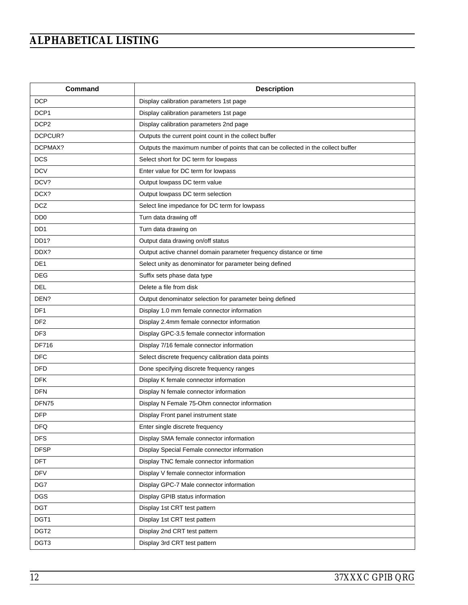| <b>Command</b>              | <b>Description</b>                                                               |
|-----------------------------|----------------------------------------------------------------------------------|
| <b>DCP</b>                  | Display calibration parameters 1st page                                          |
| DCP1                        | Display calibration parameters 1st page                                          |
| DCP <sub>2</sub>            | Display calibration parameters 2nd page                                          |
| DCPCUR?                     | Outputs the current point count in the collect buffer                            |
| DCPMAX?                     | Outputs the maximum number of points that can be collected in the collect buffer |
| <b>DCS</b>                  | Select short for DC term for lowpass                                             |
| <b>DCV</b>                  | Enter value for DC term for lowpass                                              |
| DCV?                        | Output lowpass DC term value                                                     |
| DCX?                        | Output lowpass DC term selection                                                 |
| <b>DCZ</b>                  | Select line impedance for DC term for lowpass                                    |
| D <sub>D</sub> <sub>0</sub> | Turn data drawing off                                                            |
| D <sub>D</sub> 1            | Turn data drawing on                                                             |
| DD <sub>1</sub> ?           | Output data drawing on/off status                                                |
| DDX?                        | Output active channel domain parameter frequency distance or time                |
| DE1                         | Select unity as denominator for parameter being defined                          |
| <b>DEG</b>                  | Suffix sets phase data type                                                      |
| <b>DEL</b>                  | Delete a file from disk                                                          |
| DEN?                        | Output denominator selection for parameter being defined                         |
| DF <sub>1</sub>             | Display 1.0 mm female connector information                                      |
| DF <sub>2</sub>             | Display 2.4mm female connector information                                       |
| DF <sub>3</sub>             | Display GPC-3.5 female connector information                                     |
| DF716                       | Display 7/16 female connector information                                        |
| <b>DFC</b>                  | Select discrete frequency calibration data points                                |
| <b>DFD</b>                  | Done specifying discrete frequency ranges                                        |
| <b>DFK</b>                  | Display K female connector information                                           |
| <b>DFN</b>                  | Display N female connector information                                           |
| DFN75                       | Display N Female 75-Ohm connector information                                    |
| <b>DFP</b>                  | Display Front panel instrument state                                             |
| DFQ                         | Enter single discrete frequency                                                  |
| <b>DFS</b>                  | Display SMA female connector information                                         |
| <b>DFSP</b>                 | Display Special Female connector information                                     |
| DFT                         | Display TNC female connector information                                         |
| <b>DFV</b>                  | Display V female connector information                                           |
| DG7                         | Display GPC-7 Male connector information                                         |
| <b>DGS</b>                  | Display GPIB status information                                                  |
| <b>DGT</b>                  | Display 1st CRT test pattern                                                     |
| DGT1                        | Display 1st CRT test pattern                                                     |
| DGT <sub>2</sub>            | Display 2nd CRT test pattern                                                     |
| DGT3                        | Display 3rd CRT test pattern                                                     |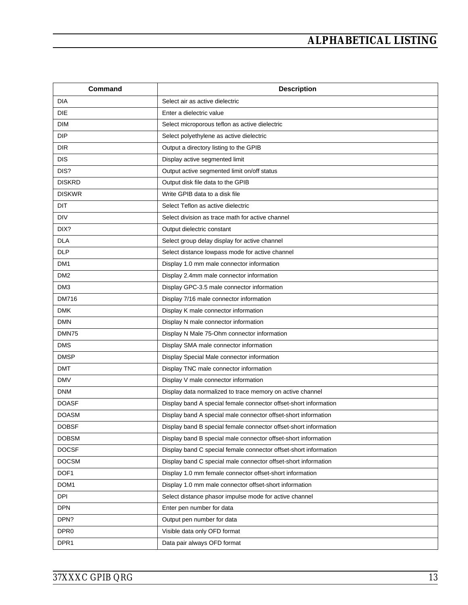| Command          | <b>Description</b>                                               |
|------------------|------------------------------------------------------------------|
| <b>DIA</b>       | Select air as active dielectric                                  |
| <b>DIE</b>       | Enter a dielectric value                                         |
| <b>DIM</b>       | Select microporous teflon as active dielectric                   |
| <b>DIP</b>       | Select polyethylene as active dielectric                         |
| <b>DIR</b>       | Output a directory listing to the GPIB                           |
| <b>DIS</b>       | Display active segmented limit                                   |
| DIS?             | Output active segmented limit on/off status                      |
| <b>DISKRD</b>    | Output disk file data to the GPIB                                |
| <b>DISKWR</b>    | Write GPIB data to a disk file                                   |
| DIT              | Select Teflon as active dielectric                               |
| <b>DIV</b>       | Select division as trace math for active channel                 |
| DIX?             | Output dielectric constant                                       |
| <b>DLA</b>       | Select group delay display for active channel                    |
| <b>DLP</b>       | Select distance lowpass mode for active channel                  |
| DM <sub>1</sub>  | Display 1.0 mm male connector information                        |
| DM <sub>2</sub>  | Display 2.4mm male connector information                         |
| DM3              | Display GPC-3.5 male connector information                       |
| <b>DM716</b>     | Display 7/16 male connector information                          |
| <b>DMK</b>       | Display K male connector information                             |
| <b>DMN</b>       | Display N male connector information                             |
| DMN75            | Display N Male 75-Ohm connector information                      |
| <b>DMS</b>       | Display SMA male connector information                           |
| <b>DMSP</b>      | Display Special Male connector information                       |
| <b>DMT</b>       | Display TNC male connector information                           |
| <b>DMV</b>       | Display V male connector information                             |
| <b>DNM</b>       | Display data normalized to trace memory on active channel        |
| <b>DOASF</b>     | Display band A special female connector offset-short information |
| <b>DOASM</b>     | Display band A special male connector offset-short information   |
| <b>DOBSF</b>     | Display band B special female connector offset-short information |
| <b>DOBSM</b>     | Display band B special male connector offset-short information   |
| <b>DOCSF</b>     | Display band C special female connector offset-short information |
| <b>DOCSM</b>     | Display band C special male connector offset-short information   |
| DOF <sub>1</sub> | Display 1.0 mm female connector offset-short information         |
| DOM <sub>1</sub> | Display 1.0 mm male connector offset-short information           |
| DPI              | Select distance phasor impulse mode for active channel           |
| <b>DPN</b>       | Enter pen number for data                                        |
| DPN?             | Output pen number for data                                       |
| DPR <sub>0</sub> | Visible data only OFD format                                     |
| DPR1             | Data pair always OFD format                                      |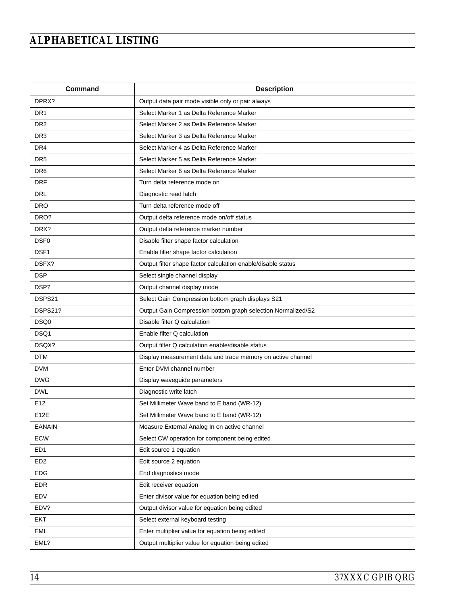| Command          | <b>Description</b>                                           |
|------------------|--------------------------------------------------------------|
| DPRX?            | Output data pair mode visible only or pair always            |
| DR <sub>1</sub>  | Select Marker 1 as Delta Reference Marker                    |
| DR <sub>2</sub>  | Select Marker 2 as Delta Reference Marker                    |
| DR <sub>3</sub>  | Select Marker 3 as Delta Reference Marker                    |
| DR4              | Select Marker 4 as Delta Reference Marker                    |
| DR <sub>5</sub>  | Select Marker 5 as Delta Reference Marker                    |
| DR <sub>6</sub>  | Select Marker 6 as Delta Reference Marker                    |
| <b>DRF</b>       | Turn delta reference mode on                                 |
| <b>DRL</b>       | Diagnostic read latch                                        |
| <b>DRO</b>       | Turn delta reference mode off                                |
| DRO?             | Output delta reference mode on/off status                    |
| DRX?             | Output delta reference marker number                         |
| DSF <sub>0</sub> | Disable filter shape factor calculation                      |
| DSF <sub>1</sub> | Enable filter shape factor calculation                       |
| DSFX?            | Output filter shape factor calculation enable/disable status |
| <b>DSP</b>       | Select single channel display                                |
| DSP?             | Output channel display mode                                  |
| DSPS21           | Select Gain Compression bottom graph displays S21            |
| DSPS21?          | Output Gain Compression bottom graph selection Normalized/S2 |
| DSQ0             | Disable filter Q calculation                                 |
| DSQ1             | Enable filter Q calculation                                  |
| DSQX?            | Output filter Q calculation enable/disable status            |
| <b>DTM</b>       | Display measurement data and trace memory on active channel  |
| <b>DVM</b>       | Enter DVM channel number                                     |
| <b>DWG</b>       | Display waveguide parameters                                 |
| <b>DWL</b>       | Diagnostic write latch                                       |
| E12              | Set Millimeter Wave band to E band (WR-12)                   |
| E12E             | Set Millimeter Wave band to E band (WR-12)                   |
| EANAIN           | Measure External Analog In on active channel                 |
| <b>ECW</b>       | Select CW operation for component being edited               |
| ED <sub>1</sub>  | Edit source 1 equation                                       |
| ED <sub>2</sub>  | Edit source 2 equation                                       |
| <b>EDG</b>       | End diagnostics mode                                         |
| <b>EDR</b>       | Edit receiver equation                                       |
| EDV              | Enter divisor value for equation being edited                |
| EDV?             | Output divisor value for equation being edited               |
| <b>EKT</b>       | Select external keyboard testing                             |
| EML              | Enter multiplier value for equation being edited             |
| EML?             | Output multiplier value for equation being edited            |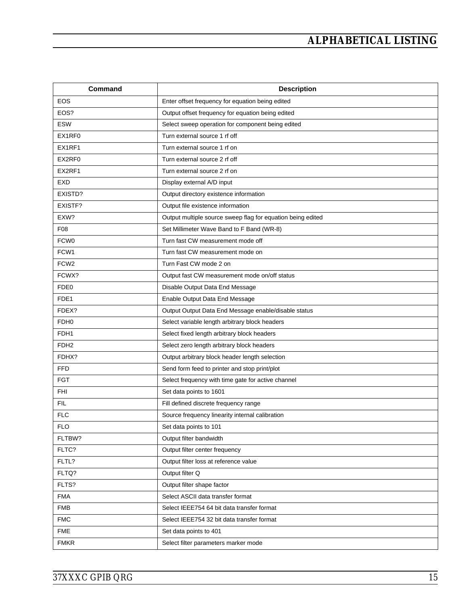| <b>Command</b>   | <b>Description</b>                                          |
|------------------|-------------------------------------------------------------|
| <b>EOS</b>       | Enter offset frequency for equation being edited            |
| EOS?             | Output offset frequency for equation being edited           |
| <b>ESW</b>       | Select sweep operation for component being edited           |
| EX1RF0           | Turn external source 1 rf off                               |
| EX1RF1           | Turn external source 1 rf on                                |
| EX2RF0           | Turn external source 2 rf off                               |
| EX2RF1           | Turn external source 2 rf on                                |
| <b>EXD</b>       | Display external A/D input                                  |
| EXISTD?          | Output directory existence information                      |
| EXISTF?          | Output file existence information                           |
| EXW?             | Output multiple source sweep flag for equation being edited |
| F08              | Set Millimeter Wave Band to F Band (WR-8)                   |
| FCW <sub>0</sub> | Turn fast CW measurement mode off                           |
| FCW1             | Turn fast CW measurement mode on                            |
| FCW <sub>2</sub> | Turn Fast CW mode 2 on                                      |
| FCWX?            | Output fast CW measurement mode on/off status               |
| FDE <sub>0</sub> | Disable Output Data End Message                             |
| FDE1             | Enable Output Data End Message                              |
| FDEX?            | Output Output Data End Message enable/disable status        |
| FDH <sub>0</sub> | Select variable length arbitrary block headers              |
| FDH1             | Select fixed length arbitrary block headers                 |
| FDH <sub>2</sub> | Select zero length arbitrary block headers                  |
| FDHX?            | Output arbitrary block header length selection              |
| <b>FFD</b>       | Send form feed to printer and stop print/plot               |
| <b>FGT</b>       | Select frequency with time gate for active channel          |
| FHI              | Set data points to 1601                                     |
| <b>FIL</b>       | Fill defined discrete frequency range                       |
| <b>FLC</b>       | Source frequency linearity internal calibration             |
| <b>FLO</b>       | Set data points to 101                                      |
| FLTBW?           | Output filter bandwidth                                     |
| FLTC?            | Output filter center frequency                              |
| FLTL?            | Output filter loss at reference value                       |
| FLTQ?            | Output filter Q                                             |
| FLTS?            | Output filter shape factor                                  |
| <b>FMA</b>       | Select ASCII data transfer format                           |
| <b>FMB</b>       | Select IEEE754 64 bit data transfer format                  |
| <b>FMC</b>       | Select IEEE754 32 bit data transfer format                  |
| <b>FME</b>       | Set data points to 401                                      |
| <b>FMKR</b>      | Select filter parameters marker mode                        |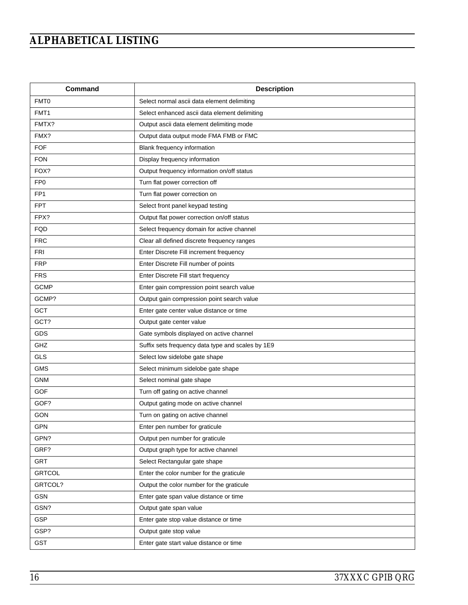| Command         | <b>Description</b>                                |
|-----------------|---------------------------------------------------|
| FMT0            | Select normal ascii data element delimiting       |
| FMT1            | Select enhanced ascii data element delimiting     |
| FMTX?           | Output ascii data element delimiting mode         |
| FMX?            | Output data output mode FMA FMB or FMC            |
| <b>FOF</b>      | Blank frequency information                       |
| <b>FON</b>      | Display frequency information                     |
| FOX?            | Output frequency information on/off status        |
| FP <sub>0</sub> | Turn flat power correction off                    |
| FP <sub>1</sub> | Turn flat power correction on                     |
| <b>FPT</b>      | Select front panel keypad testing                 |
| FPX?            | Output flat power correction on/off status        |
| <b>FQD</b>      | Select frequency domain for active channel        |
| <b>FRC</b>      | Clear all defined discrete frequency ranges       |
| <b>FRI</b>      | Enter Discrete Fill increment frequency           |
| <b>FRP</b>      | Enter Discrete Fill number of points              |
| <b>FRS</b>      | Enter Discrete Fill start frequency               |
| <b>GCMP</b>     | Enter gain compression point search value         |
| GCMP?           | Output gain compression point search value        |
| GCT             | Enter gate center value distance or time          |
| GCT?            | Output gate center value                          |
| GDS             | Gate symbols displayed on active channel          |
| GHZ             | Suffix sets frequency data type and scales by 1E9 |
| <b>GLS</b>      | Select low sidelobe gate shape                    |
| <b>GMS</b>      | Select minimum sidelobe gate shape                |
| <b>GNM</b>      | Select nominal gate shape                         |
| GOF             | Turn off gating on active channel                 |
| GOF?            | Output gating mode on active channel              |
| GON             | Turn on gating on active channel                  |
| GPN             | Enter pen number for graticule                    |
| GPN?            | Output pen number for graticule                   |
| GRF?            | Output graph type for active channel              |
| <b>GRT</b>      | Select Rectangular gate shape                     |
| <b>GRTCOL</b>   | Enter the color number for the graticule          |
| GRTCOL?         | Output the color number for the graticule         |
| <b>GSN</b>      | Enter gate span value distance or time            |
| GSN?            | Output gate span value                            |
| <b>GSP</b>      | Enter gate stop value distance or time            |
| GSP?            | Output gate stop value                            |
| <b>GST</b>      | Enter gate start value distance or time           |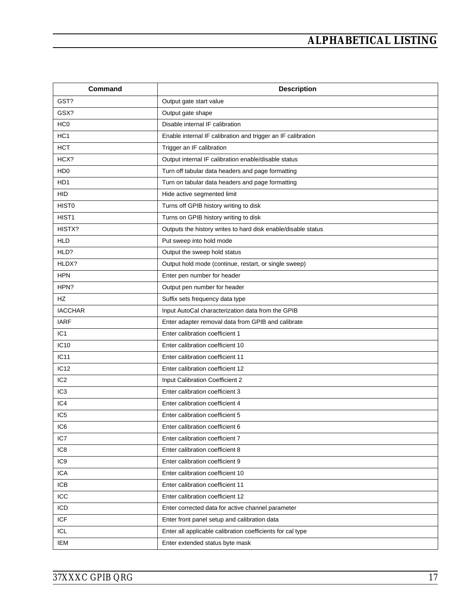| <b>Command</b>              | <b>Description</b>                                            |
|-----------------------------|---------------------------------------------------------------|
| GST?                        | Output gate start value                                       |
| GSX?                        | Output gate shape                                             |
| HC <sub>0</sub>             | Disable internal IF calibration                               |
| HC <sub>1</sub>             | Enable internal IF calibration and trigger an IF calibration  |
| <b>HCT</b>                  | Trigger an IF calibration                                     |
| HCX?                        | Output internal IF calibration enable/disable status          |
| H <sub>D</sub> <sub>0</sub> | Turn off tabular data headers and page formatting             |
| HD1                         | Turn on tabular data headers and page formatting              |
| <b>HID</b>                  | Hide active segmented limit                                   |
| <b>HIST0</b>                | Turns off GPIB history writing to disk                        |
| HIST <sub>1</sub>           | Turns on GPIB history writing to disk                         |
| HISTX?                      | Outputs the history writes to hard disk enable/disable status |
| <b>HLD</b>                  | Put sweep into hold mode                                      |
| HLD?                        | Output the sweep hold status                                  |
| HLDX?                       | Output hold mode (continue, restart, or single sweep)         |
| <b>HPN</b>                  | Enter pen number for header                                   |
| HPN?                        | Output pen number for header                                  |
| <b>HZ</b>                   | Suffix sets frequency data type                               |
| <b>IACCHAR</b>              | Input AutoCal characterization data from the GPIB             |
| <b>IARF</b>                 | Enter adapter removal data from GPIB and calibrate            |
| IC <sub>1</sub>             | Enter calibration coefficient 1                               |
| IC10                        | Enter calibration coefficient 10                              |
| IC11                        | Enter calibration coefficient 11                              |
| IC <sub>12</sub>            | Enter calibration coefficient 12                              |
| IC <sub>2</sub>             | Input Calibration Coefficient 2                               |
| IC <sub>3</sub>             | Enter calibration coefficient 3                               |
| IC4                         | Enter calibration coefficient 4                               |
| IC <sub>5</sub>             | Enter calibration coefficient 5                               |
| IC <sub>6</sub>             | Enter calibration coefficient 6                               |
| IC7                         | Enter calibration coefficient 7                               |
| IC <sub>8</sub>             | Enter calibration coefficient 8                               |
| IC <sub>9</sub>             | Enter calibration coefficient 9                               |
| <b>ICA</b>                  | Enter calibration coefficient 10                              |
| <b>ICB</b>                  | Enter calibration coefficient 11                              |
| ICC                         | Enter calibration coefficient 12                              |
| ICD                         | Enter corrected data for active channel parameter             |
| <b>ICF</b>                  | Enter front panel setup and calibration data                  |
| ICL                         | Enter all applicable calibration coefficients for cal type    |
| IEM                         | Enter extended status byte mask                               |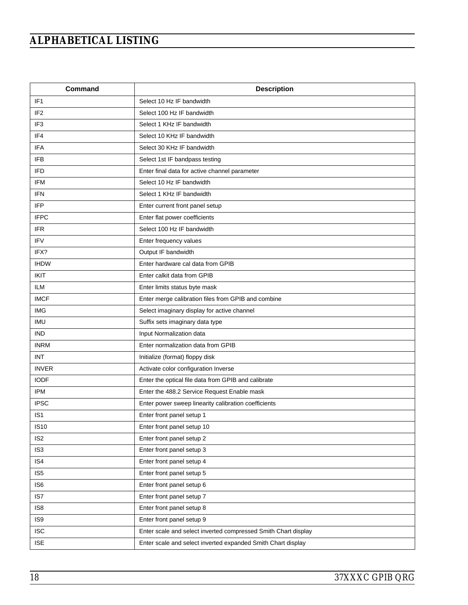| <b>Command</b>   | <b>Description</b>                                             |
|------------------|----------------------------------------------------------------|
| IF <sub>1</sub>  | Select 10 Hz IF bandwidth                                      |
| IF <sub>2</sub>  | Select 100 Hz IF bandwidth                                     |
| IF <sub>3</sub>  | Select 1 KHz IF bandwidth                                      |
| IF4              | Select 10 KHz IF bandwidth                                     |
| IFA              | Select 30 KHz IF bandwidth                                     |
| <b>IFB</b>       | Select 1st IF bandpass testing                                 |
| <b>IFD</b>       | Enter final data for active channel parameter                  |
| <b>IFM</b>       | Select 10 Hz IF bandwidth                                      |
| <b>IFN</b>       | Select 1 KHz IF bandwidth                                      |
| <b>IFP</b>       | Enter current front panel setup                                |
| <b>IFPC</b>      | Enter flat power coefficients                                  |
| <b>IFR</b>       | Select 100 Hz IF bandwidth                                     |
| <b>IFV</b>       | Enter frequency values                                         |
| IFX?             | Output IF bandwidth                                            |
| <b>IHDW</b>      | Enter hardware cal data from GPIB                              |
| <b>IKIT</b>      | Enter calkit data from GPIB                                    |
| <b>ILM</b>       | Enter limits status byte mask                                  |
| <b>IMCF</b>      | Enter merge calibration files from GPIB and combine            |
| <b>IMG</b>       | Select imaginary display for active channel                    |
| <b>IMU</b>       | Suffix sets imaginary data type                                |
| <b>IND</b>       | Input Normalization data                                       |
| <b>INRM</b>      | Enter normalization data from GPIB                             |
| <b>INT</b>       | Initialize (format) floppy disk                                |
| <b>INVER</b>     | Activate color configuration Inverse                           |
| <b>IODF</b>      | Enter the optical file data from GPIB and calibrate            |
| <b>IPM</b>       | Enter the 488.2 Service Request Enable mask                    |
| <b>IPSC</b>      | Enter power sweep linearity calibration coefficients           |
| IS <sub>1</sub>  | Enter front panel setup 1                                      |
| IS <sub>10</sub> | Enter front panel setup 10                                     |
| IS <sub>2</sub>  | Enter front panel setup 2                                      |
| IS <sub>3</sub>  | Enter front panel setup 3                                      |
| IS <sub>4</sub>  | Enter front panel setup 4                                      |
| IS <sub>5</sub>  | Enter front panel setup 5                                      |
| IS <sub>6</sub>  | Enter front panel setup 6                                      |
| IS7              | Enter front panel setup 7                                      |
| IS <sub>8</sub>  | Enter front panel setup 8                                      |
| IS9              | Enter front panel setup 9                                      |
| <b>ISC</b>       | Enter scale and select inverted compressed Smith Chart display |
| <b>ISE</b>       | Enter scale and select inverted expanded Smith Chart display   |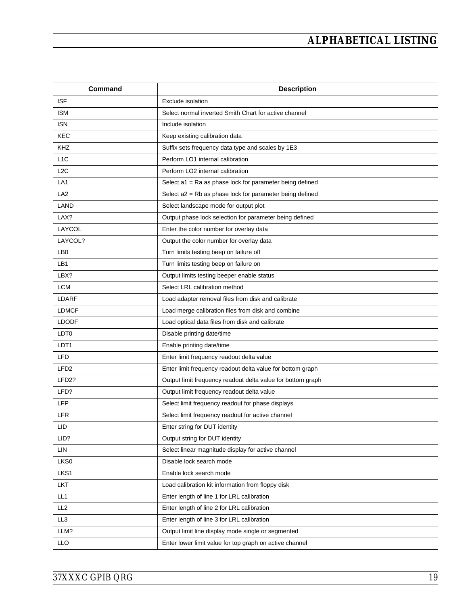| Command            | <b>Description</b>                                          |
|--------------------|-------------------------------------------------------------|
| <b>ISF</b>         | <b>Exclude isolation</b>                                    |
| <b>ISM</b>         | Select normal inverted Smith Chart for active channel       |
| <b>ISN</b>         | Include isolation                                           |
| <b>KEC</b>         | Keep existing calibration data                              |
| KHZ                | Suffix sets frequency data type and scales by 1E3           |
| L <sub>1</sub> C   | Perform LO1 internal calibration                            |
| L <sub>2</sub> C   | Perform LO2 internal calibration                            |
| LA <sub>1</sub>    | Select a1 = Ra as phase lock for parameter being defined    |
| LA <sub>2</sub>    | Select a2 = Rb as phase lock for parameter being defined    |
| LAND               | Select landscape mode for output plot                       |
| LAX?               | Output phase lock selection for parameter being defined     |
| LAYCOL             | Enter the color number for overlay data                     |
| LAYCOL?            | Output the color number for overlay data                    |
| LB <sub>0</sub>    | Turn limits testing beep on failure off                     |
| LB1                | Turn limits testing beep on failure on                      |
| LBX?               | Output limits testing beeper enable status                  |
| <b>LCM</b>         | Select LRL calibration method                               |
| LDARF              | Load adapter removal files from disk and calibrate          |
| <b>LDMCF</b>       | Load merge calibration files from disk and combine          |
| <b>LDODF</b>       | Load optical data files from disk and calibrate             |
| LDT <sub>0</sub>   | Disable printing date/time                                  |
| LDT <sub>1</sub>   | Enable printing date/time                                   |
| <b>LFD</b>         | Enter limit frequency readout delta value                   |
| LFD <sub>2</sub>   | Enter limit frequency readout delta value for bottom graph  |
| LFD <sub>2</sub> ? | Output limit frequency readout delta value for bottom graph |
| LFD?               | Output limit frequency readout delta value                  |
| <b>LFP</b>         | Select limit frequency readout for phase displays           |
| LFR                | Select limit frequency readout for active channel           |
| LID                | Enter string for DUT identity                               |
| LID?               | Output string for DUT identity                              |
| LIN                | Select linear magnitude display for active channel          |
| LKS0               | Disable lock search mode                                    |
| LKS1               | Enable lock search mode                                     |
| LKT                | Load calibration kit information from floppy disk           |
| LL1                | Enter length of line 1 for LRL calibration                  |
| LL <sub>2</sub>    | Enter length of line 2 for LRL calibration                  |
| LL3                | Enter length of line 3 for LRL calibration                  |
| LLM?               | Output limit line display mode single or segmented          |
| <b>LLO</b>         | Enter lower limit value for top graph on active channel     |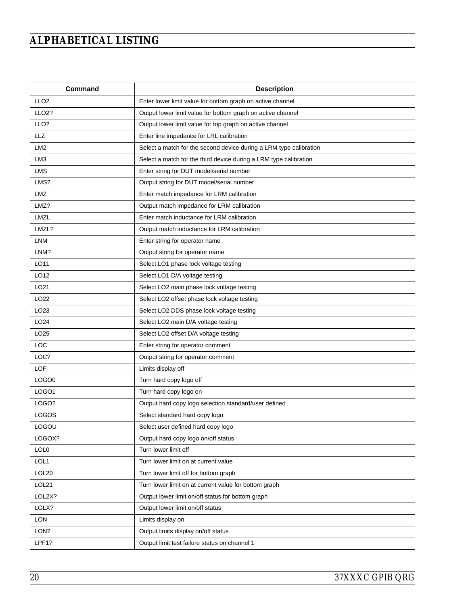| Command          | <b>Description</b>                                                 |
|------------------|--------------------------------------------------------------------|
| LLO <sub>2</sub> | Enter lower limit value for bottom graph on active channel         |
| <b>LLO2?</b>     | Output lower limit value for bottom graph on active channel        |
| LLO?             | Output lower limit value for top graph on active channel           |
| <b>LLZ</b>       | Enter line impedance for LRL calibration                           |
| LM <sub>2</sub>  | Select a match for the second device during a LRM type calibration |
| LM3              | Select a match for the third device during a LRM type calibration  |
| <b>LMS</b>       | Enter string for DUT model/serial number                           |
| LMS?             | Output string for DUT model/serial number                          |
| <b>LMZ</b>       | Enter match impedance for LRM calibration                          |
| LMZ?             | Output match impedance for LRM calibration                         |
| <b>LMZL</b>      | Enter match inductance for LRM calibration                         |
| LMZL?            | Output match inductance for LRM calibration                        |
| <b>LNM</b>       | Enter string for operator name                                     |
| LNM?             | Output string for operator name                                    |
| LO11             | Select LO1 phase lock voltage testing                              |
| LO12             | Select LO1 D/A voltage testing                                     |
| LO <sub>21</sub> | Select LO2 main phase lock voltage testing                         |
| LO <sub>22</sub> | Select LO2 offset phase lock voltage testing                       |
| LO23             | Select LO2 DDS phase lock voltage testing                          |
| LO <sub>24</sub> | Select LO2 main D/A voltage testing                                |
| LO <sub>25</sub> | Select LO2 offset D/A voltage testing                              |
| <b>LOC</b>       | Enter string for operator comment                                  |
| LOC?             | Output string for operator comment                                 |
| LOF              | Limits display off                                                 |
| LOGO0            | Turn hard copy logo off                                            |
| LOGO1            | Turn hard copy logo on                                             |
| LOGO?            | Output hard copy logo selection standard/user defined              |
| LOGOS            | Select standard hard copy logo                                     |
| <b>LOGOU</b>     | Select user defined hard copy logo                                 |
| LOGOX?           | Output hard copy logo on/off status                                |
| LOL <sub>0</sub> | Turn lower limit off                                               |
| LOL1             | Turn lower limit on at current value                               |
| LOL20            | Turn lower limit off for bottom graph                              |
| LOL21            | Turn lower limit on at current value for bottom graph              |
| LOL2X?           | Output lower limit on/off status for bottom graph                  |
| LOLX?            | Output lower limit on/off status                                   |
| <b>LON</b>       | Limits display on                                                  |
| LON?             | Output limits display on/off status                                |
| LPF1?            | Output limit test failure status on channel 1                      |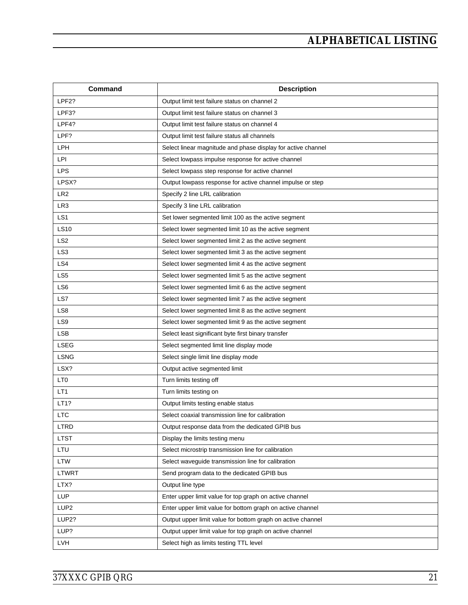| Command          | <b>Description</b>                                           |
|------------------|--------------------------------------------------------------|
| LPF2?            | Output limit test failure status on channel 2                |
| LPF3?            | Output limit test failure status on channel 3                |
| LPF4?            | Output limit test failure status on channel 4                |
| LPF?             | Output limit test failure status all channels                |
| LPH              | Select linear magnitude and phase display for active channel |
| LPI              | Select lowpass impulse response for active channel           |
| <b>LPS</b>       | Select lowpass step response for active channel              |
| LPSX?            | Output lowpass response for active channel impulse or step   |
| LR <sub>2</sub>  | Specify 2 line LRL calibration                               |
| LR <sub>3</sub>  | Specify 3 line LRL calibration                               |
| LS1              | Set lower segmented limit 100 as the active segment          |
| <b>LS10</b>      | Select lower segmented limit 10 as the active segment        |
| LS <sub>2</sub>  | Select lower segmented limit 2 as the active segment         |
| LS <sub>3</sub>  | Select lower segmented limit 3 as the active segment         |
| LS4              | Select lower segmented limit 4 as the active segment         |
| LS <sub>5</sub>  | Select lower segmented limit 5 as the active segment         |
| LS <sub>6</sub>  | Select lower segmented limit 6 as the active segment         |
| LS7              | Select lower segmented limit 7 as the active segment         |
| LS8              | Select lower segmented limit 8 as the active segment         |
| LS9              | Select lower segmented limit 9 as the active segment         |
| <b>LSB</b>       | Select least significant byte first binary transfer          |
| LSEG             | Select segmented limit line display mode                     |
| <b>LSNG</b>      | Select single limit line display mode                        |
| LSX?             | Output active segmented limit                                |
| LT <sub>0</sub>  | Turn limits testing off                                      |
| LT <sub>1</sub>  | Turn limits testing on                                       |
| LT1?             | Output limits testing enable status                          |
| <b>LTC</b>       | Select coaxial transmission line for calibration             |
| LTRD             | Output response data from the dedicated GPIB bus             |
| LTST             | Display the limits testing menu                              |
| LTU              | Select microstrip transmission line for calibration          |
| <b>LTW</b>       | Select waveguide transmission line for calibration           |
| <b>LTWRT</b>     | Send program data to the dedicated GPIB bus                  |
| LTX?             | Output line type                                             |
| LUP              | Enter upper limit value for top graph on active channel      |
| LUP <sub>2</sub> | Enter upper limit value for bottom graph on active channel   |
| LUP2?            | Output upper limit value for bottom graph on active channel  |
| LUP?             | Output upper limit value for top graph on active channel     |
| LVH              | Select high as limits testing TTL level                      |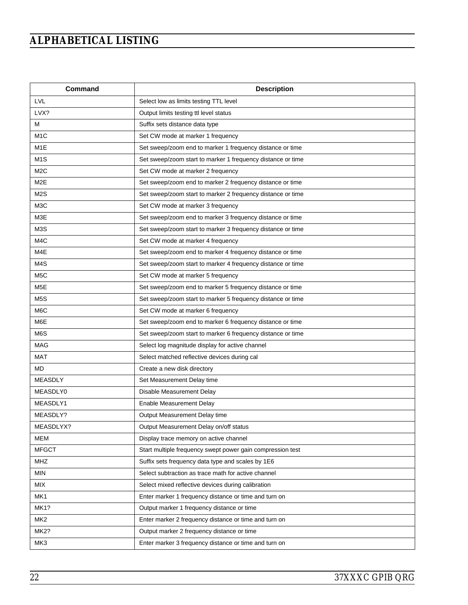| <b>Command</b>   | <b>Description</b>                                          |
|------------------|-------------------------------------------------------------|
| LVL              | Select low as limits testing TTL level                      |
| LVX?             | Output limits testing ttl level status                      |
| м                | Suffix sets distance data type                              |
| M <sub>1</sub> C | Set CW mode at marker 1 frequency                           |
| M <sub>1</sub> E | Set sweep/zoom end to marker 1 frequency distance or time   |
| M <sub>1</sub> S | Set sweep/zoom start to marker 1 frequency distance or time |
| M <sub>2</sub> C | Set CW mode at marker 2 frequency                           |
| M <sub>2</sub> E | Set sweep/zoom end to marker 2 frequency distance or time   |
| M <sub>2</sub> S | Set sweep/zoom start to marker 2 frequency distance or time |
| M <sub>3</sub> C | Set CW mode at marker 3 frequency                           |
| M3E              | Set sweep/zoom end to marker 3 frequency distance or time   |
| M <sub>3</sub> S | Set sweep/zoom start to marker 3 frequency distance or time |
| M <sub>4</sub> C | Set CW mode at marker 4 frequency                           |
| M4E              | Set sweep/zoom end to marker 4 frequency distance or time   |
| M4S              | Set sweep/zoom start to marker 4 frequency distance or time |
| M <sub>5</sub> C | Set CW mode at marker 5 frequency                           |
| M <sub>5</sub> E | Set sweep/zoom end to marker 5 frequency distance or time   |
| M <sub>5</sub> S | Set sweep/zoom start to marker 5 frequency distance or time |
| M <sub>6</sub> C | Set CW mode at marker 6 frequency                           |
| M6E              | Set sweep/zoom end to marker 6 frequency distance or time   |
| M6S              | Set sweep/zoom start to marker 6 frequency distance or time |
| <b>MAG</b>       | Select log magnitude display for active channel             |
| <b>MAT</b>       | Select matched reflective devices during cal                |
| <b>MD</b>        | Create a new disk directory                                 |
| <b>MEASDLY</b>   | Set Measurement Delay time                                  |
| MEASDLY0         | Disable Measurement Delay                                   |
| MEASDLY1         | <b>Enable Measurement Delay</b>                             |
| MEASDLY?         | Output Measurement Delay time                               |
| MEASDLYX?        | Output Measurement Delay on/off status                      |
| MEM              | Display trace memory on active channel                      |
| <b>MFGCT</b>     | Start multiple frequency swept power gain compression test  |
| MHZ              | Suffix sets frequency data type and scales by 1E6           |
| <b>MIN</b>       | Select subtraction as trace math for active channel         |
| <b>MIX</b>       | Select mixed reflective devices during calibration          |
| MK1              | Enter marker 1 frequency distance or time and turn on       |
| <b>MK1?</b>      | Output marker 1 frequency distance or time                  |
| MK <sub>2</sub>  | Enter marker 2 frequency distance or time and turn on       |
| MK2?             | Output marker 2 frequency distance or time                  |
| MK3              | Enter marker 3 frequency distance or time and turn on       |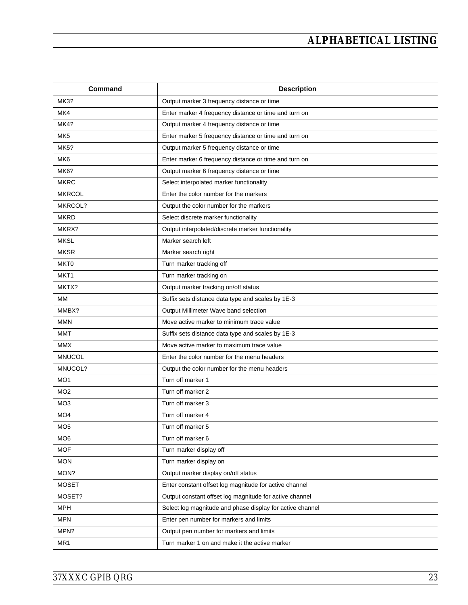| Command         | <b>Description</b>                                        |
|-----------------|-----------------------------------------------------------|
| MK3?            | Output marker 3 frequency distance or time                |
| MK4             | Enter marker 4 frequency distance or time and turn on     |
| <b>MK4?</b>     | Output marker 4 frequency distance or time                |
| MK <sub>5</sub> | Enter marker 5 frequency distance or time and turn on     |
| MK5?            | Output marker 5 frequency distance or time                |
| MK <sub>6</sub> | Enter marker 6 frequency distance or time and turn on     |
| MK6?            | Output marker 6 frequency distance or time                |
| <b>MKRC</b>     | Select interpolated marker functionality                  |
| <b>MKRCOL</b>   | Enter the color number for the markers                    |
| MKRCOL?         | Output the color number for the markers                   |
| <b>MKRD</b>     | Select discrete marker functionality                      |
| MKRX?           | Output interpolated/discrete marker functionality         |
| <b>MKSL</b>     | Marker search left                                        |
| <b>MKSR</b>     | Marker search right                                       |
| MKT0            | Turn marker tracking off                                  |
| MKT1            | Turn marker tracking on                                   |
| MKTX?           | Output marker tracking on/off status                      |
| <b>MM</b>       | Suffix sets distance data type and scales by 1E-3         |
| MMBX?           | Output Millimeter Wave band selection                     |
| <b>MMN</b>      | Move active marker to minimum trace value                 |
| <b>MMT</b>      | Suffix sets distance data type and scales by 1E-3         |
| <b>MMX</b>      | Move active marker to maximum trace value                 |
| <b>MNUCOL</b>   | Enter the color number for the menu headers               |
| MNUCOL?         | Output the color number for the menu headers              |
| MO <sub>1</sub> | Turn off marker 1                                         |
| MO <sub>2</sub> | Turn off marker 2                                         |
| MO <sub>3</sub> | Turn off marker 3                                         |
| MO <sub>4</sub> | Turn off marker 4                                         |
| MO <sub>5</sub> | Turn off marker 5                                         |
| MO <sub>6</sub> | Turn off marker 6                                         |
| <b>MOF</b>      | Turn marker display off                                   |
| <b>MON</b>      | Turn marker display on                                    |
| MON?            | Output marker display on/off status                       |
| <b>MOSET</b>    | Enter constant offset log magnitude for active channel    |
| MOSET?          | Output constant offset log magnitude for active channel   |
| <b>MPH</b>      | Select log magnitude and phase display for active channel |
| <b>MPN</b>      | Enter pen number for markers and limits                   |
| MPN?            | Output pen number for markers and limits                  |
| MR1             | Turn marker 1 on and make it the active marker            |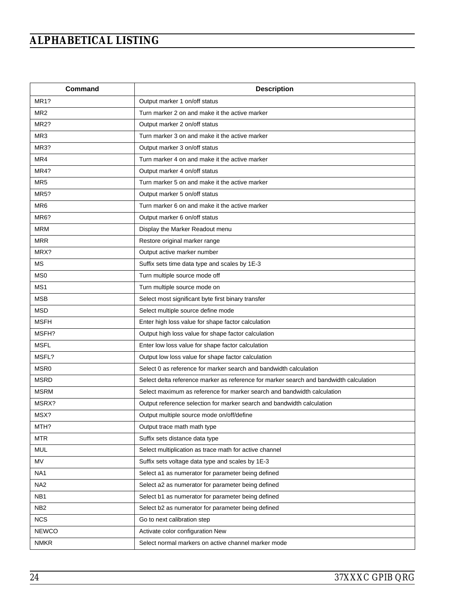| <b>Command</b>    | <b>Description</b>                                                                     |
|-------------------|----------------------------------------------------------------------------------------|
| MR1?              | Output marker 1 on/off status                                                          |
| MR <sub>2</sub>   | Turn marker 2 on and make it the active marker                                         |
| MR2?              | Output marker 2 on/off status                                                          |
| MR <sub>3</sub>   | Turn marker 3 on and make it the active marker                                         |
| MR3?              | Output marker 3 on/off status                                                          |
| MR4               | Turn marker 4 on and make it the active marker                                         |
| MR4?              | Output marker 4 on/off status                                                          |
| MR <sub>5</sub>   | Turn marker 5 on and make it the active marker                                         |
| MR5?              | Output marker 5 on/off status                                                          |
| MR <sub>6</sub>   | Turn marker 6 on and make it the active marker                                         |
| MR <sub>6</sub> ? | Output marker 6 on/off status                                                          |
| <b>MRM</b>        | Display the Marker Readout menu                                                        |
| <b>MRR</b>        | Restore original marker range                                                          |
| MRX?              | Output active marker number                                                            |
| <b>MS</b>         | Suffix sets time data type and scales by 1E-3                                          |
| MS <sub>0</sub>   | Turn multiple source mode off                                                          |
| MS <sub>1</sub>   | Turn multiple source mode on                                                           |
| <b>MSB</b>        | Select most significant byte first binary transfer                                     |
| <b>MSD</b>        | Select multiple source define mode                                                     |
| <b>MSFH</b>       | Enter high loss value for shape factor calculation                                     |
| MSFH?             | Output high loss value for shape factor calculation                                    |
| <b>MSFL</b>       | Enter low loss value for shape factor calculation                                      |
| MSFL?             | Output low loss value for shape factor calculation                                     |
| MSR <sub>0</sub>  | Select 0 as reference for marker search and bandwidth calculation                      |
| <b>MSRD</b>       | Select delta reference marker as reference for marker search and bandwidth calculation |
| <b>MSRM</b>       | Select maximum as reference for marker search and bandwidth calculation                |
| MSRX?             | Output reference selection for marker search and bandwidth calculation                 |
| MSX?              | Output multiple source mode on/off/define                                              |
| MTH?              | Output trace math math type                                                            |
| MTR.              | Suffix sets distance data type                                                         |
| <b>MUL</b>        | Select multiplication as trace math for active channel                                 |
| <b>MV</b>         | Suffix sets voltage data type and scales by 1E-3                                       |
| NA <sub>1</sub>   | Select a1 as numerator for parameter being defined                                     |
| NA <sub>2</sub>   | Select a2 as numerator for parameter being defined                                     |
| NB <sub>1</sub>   | Select b1 as numerator for parameter being defined                                     |
| NB <sub>2</sub>   | Select b2 as numerator for parameter being defined                                     |
| <b>NCS</b>        | Go to next calibration step                                                            |
| <b>NEWCO</b>      | Activate color configuration New                                                       |
| <b>NMKR</b>       | Select normal markers on active channel marker mode                                    |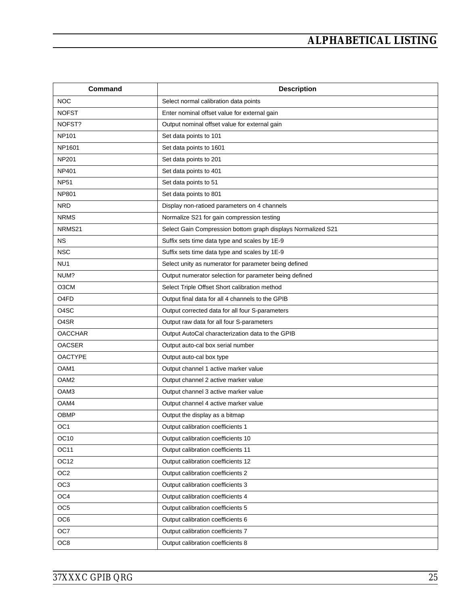| Command                       | <b>Description</b>                                           |
|-------------------------------|--------------------------------------------------------------|
| <b>NOC</b>                    | Select normal calibration data points                        |
| <b>NOFST</b>                  | Enter nominal offset value for external gain                 |
| NOFST?                        | Output nominal offset value for external gain                |
| <b>NP101</b>                  | Set data points to 101                                       |
| NP1601                        | Set data points to 1601                                      |
| <b>NP201</b>                  | Set data points to 201                                       |
| NP401                         | Set data points to 401                                       |
| <b>NP51</b>                   | Set data points to 51                                        |
| NP801                         | Set data points to 801                                       |
| <b>NRD</b>                    | Display non-ratioed parameters on 4 channels                 |
| <b>NRMS</b>                   | Normalize S21 for gain compression testing                   |
| NRMS21                        | Select Gain Compression bottom graph displays Normalized S21 |
| <b>NS</b>                     | Suffix sets time data type and scales by 1E-9                |
| <b>NSC</b>                    | Suffix sets time data type and scales by 1E-9                |
| NU <sub>1</sub>               | Select unity as numerator for parameter being defined        |
| NUM?                          | Output numerator selection for parameter being defined       |
| O3CM                          | Select Triple Offset Short calibration method                |
| O <sub>4</sub> F <sub>D</sub> | Output final data for all 4 channels to the GPIB             |
| O <sub>4</sub> SC             | Output corrected data for all four S-parameters              |
| O <sub>4</sub> SR             | Output raw data for all four S-parameters                    |
| <b>OACCHAR</b>                | Output AutoCal characterization data to the GPIB             |
| <b>OACSER</b>                 | Output auto-cal box serial number                            |
| <b>OACTYPE</b>                | Output auto-cal box type                                     |
| OAM1                          | Output channel 1 active marker value                         |
| OAM <sub>2</sub>              | Output channel 2 active marker value                         |
| OAM3                          | Output channel 3 active marker value                         |
| OAM4                          | Output channel 4 active marker value                         |
| <b>OBMP</b>                   | Output the display as a bitmap                               |
| OC <sub>1</sub>               | Output calibration coefficients 1                            |
| OC <sub>10</sub>              | Output calibration coefficients 10                           |
| OC <sub>11</sub>              | Output calibration coefficients 11                           |
| OC <sub>12</sub>              | Output calibration coefficients 12                           |
| OC <sub>2</sub>               | Output calibration coefficients 2                            |
| OC <sub>3</sub>               | Output calibration coefficients 3                            |
| OC4                           | Output calibration coefficients 4                            |
| OC <sub>5</sub>               | Output calibration coefficients 5                            |
| OC6                           | Output calibration coefficients 6                            |
| OC7                           | Output calibration coefficients 7                            |
| OC8                           | Output calibration coefficients 8                            |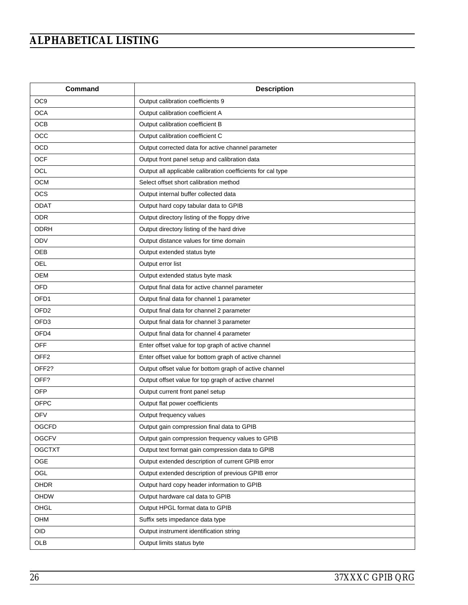| <b>Command</b>    | <b>Description</b>                                          |
|-------------------|-------------------------------------------------------------|
| OC <sub>9</sub>   | Output calibration coefficients 9                           |
| <b>OCA</b>        | Output calibration coefficient A                            |
| <b>OCB</b>        | Output calibration coefficient B                            |
| OCC               | Output calibration coefficient C                            |
| <b>OCD</b>        | Output corrected data for active channel parameter          |
| <b>OCF</b>        | Output front panel setup and calibration data               |
| OCL               | Output all applicable calibration coefficients for cal type |
| <b>OCM</b>        | Select offset short calibration method                      |
| <b>OCS</b>        | Output internal buffer collected data                       |
| <b>ODAT</b>       | Output hard copy tabular data to GPIB                       |
| <b>ODR</b>        | Output directory listing of the floppy drive                |
| <b>ODRH</b>       | Output directory listing of the hard drive                  |
| ODV               | Output distance values for time domain                      |
| OEB               | Output extended status byte                                 |
| <b>OEL</b>        | Output error list                                           |
| <b>OEM</b>        | Output extended status byte mask                            |
| <b>OFD</b>        | Output final data for active channel parameter              |
| OFD1              | Output final data for channel 1 parameter                   |
| OFD <sub>2</sub>  | Output final data for channel 2 parameter                   |
| OFD <sub>3</sub>  | Output final data for channel 3 parameter                   |
| OFD4              | Output final data for channel 4 parameter                   |
| <b>OFF</b>        | Enter offset value for top graph of active channel          |
| OFF <sub>2</sub>  | Enter offset value for bottom graph of active channel       |
| OFF <sub>2?</sub> | Output offset value for bottom graph of active channel      |
| OFF?              | Output offset value for top graph of active channel         |
| <b>OFP</b>        | Output current front panel setup                            |
| <b>OFPC</b>       | Output flat power coefficients                              |
| <b>OFV</b>        | Output frequency values                                     |
| OGCFD             | Output gain compression final data to GPIB                  |
| <b>OGCFV</b>      | Output gain compression frequency values to GPIB            |
| <b>OGCTXT</b>     | Output text format gain compression data to GPIB            |
| OGE               | Output extended description of current GPIB error           |
| OGL               | Output extended description of previous GPIB error          |
| OHDR              | Output hard copy header information to GPIB                 |
| OHDW              | Output hardware cal data to GPIB                            |
| OHGL              | Output HPGL format data to GPIB                             |
| OHM               | Suffix sets impedance data type                             |
| <b>OID</b>        | Output instrument identification string                     |
| OLB               | Output limits status byte                                   |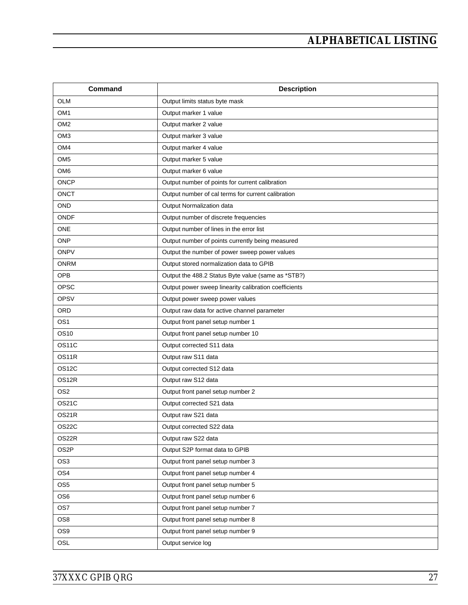| Command         | <b>Description</b>                                    |
|-----------------|-------------------------------------------------------|
| <b>OLM</b>      | Output limits status byte mask                        |
| OM <sub>1</sub> | Output marker 1 value                                 |
| OM <sub>2</sub> | Output marker 2 value                                 |
| OM <sub>3</sub> | Output marker 3 value                                 |
| OM4             | Output marker 4 value                                 |
| OM <sub>5</sub> | Output marker 5 value                                 |
| OM <sub>6</sub> | Output marker 6 value                                 |
| <b>ONCP</b>     | Output number of points for current calibration       |
| <b>ONCT</b>     | Output number of cal terms for current calibration    |
| <b>OND</b>      | Output Normalization data                             |
| <b>ONDF</b>     | Output number of discrete frequencies                 |
| <b>ONE</b>      | Output number of lines in the error list              |
| <b>ONP</b>      | Output number of points currently being measured      |
| <b>ONPV</b>     | Output the number of power sweep power values         |
| <b>ONRM</b>     | Output stored normalization data to GPIB              |
| OPB             | Output the 488.2 Status Byte value (same as *STB?)    |
| OPSC            | Output power sweep linearity calibration coefficients |
| <b>OPSV</b>     | Output power sweep power values                       |
| ORD             | Output raw data for active channel parameter          |
| OS <sub>1</sub> | Output front panel setup number 1                     |
| OS10            | Output front panel setup number 10                    |
| <b>OS11C</b>    | Output corrected S11 data                             |
| OS11R           | Output raw S11 data                                   |
| OS12C           | Output corrected S12 data                             |
| OS12R           | Output raw S12 data                                   |
| OS <sub>2</sub> | Output front panel setup number 2                     |
| <b>OS21C</b>    | Output corrected S21 data                             |
| OS21R           | Output raw S21 data                                   |
| OS22C           | Output corrected S22 data                             |
| OS22R           | Output raw S22 data                                   |
| OS2P            | Output S2P format data to GPIB                        |
| OS <sub>3</sub> | Output front panel setup number 3                     |
| OS4             | Output front panel setup number 4                     |
| OS <sub>5</sub> | Output front panel setup number 5                     |
| OS <sub>6</sub> | Output front panel setup number 6                     |
| OS7             | Output front panel setup number 7                     |
| OS8             | Output front panel setup number 8                     |
| OS9             | Output front panel setup number 9                     |
| OSL             | Output service log                                    |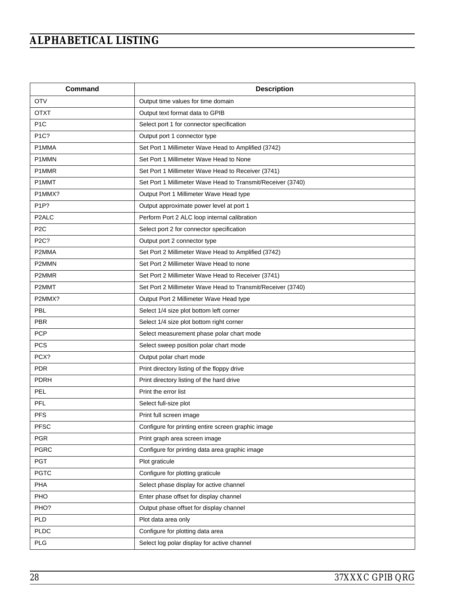| Command            | <b>Description</b>                                          |
|--------------------|-------------------------------------------------------------|
| <b>OTV</b>         | Output time values for time domain                          |
| <b>OTXT</b>        | Output text format data to GPIB                             |
| P <sub>1</sub> C   | Select port 1 for connector specification                   |
| P <sub>1C</sub> ?  | Output port 1 connector type                                |
| P1MMA              | Set Port 1 Millimeter Wave Head to Amplified (3742)         |
| P <sub>1</sub> MMN | Set Port 1 Millimeter Wave Head to None                     |
| P <sub>1</sub> MMR | Set Port 1 Millimeter Wave Head to Receiver (3741)          |
| P1MMT              | Set Port 1 Millimeter Wave Head to Transmit/Receiver (3740) |
| P1MMX?             | Output Port 1 Millimeter Wave Head type                     |
| P <sub>1P?</sub>   | Output approximate power level at port 1                    |
| P <sub>2</sub> ALC | Perform Port 2 ALC loop internal calibration                |
| P <sub>2</sub> C   | Select port 2 for connector specification                   |
| P <sub>2C</sub> ?  | Output port 2 connector type                                |
| P2MMA              | Set Port 2 Millimeter Wave Head to Amplified (3742)         |
| P2MMN              | Set Port 2 Millimeter Wave Head to none                     |
| P2MMR              | Set Port 2 Millimeter Wave Head to Receiver (3741)          |
| P2MMT              | Set Port 2 Millimeter Wave Head to Transmit/Receiver (3740) |
| P2MMX?             | Output Port 2 Millimeter Wave Head type                     |
| PBL                | Select 1/4 size plot bottom left corner                     |
| <b>PBR</b>         | Select 1/4 size plot bottom right corner                    |
| <b>PCP</b>         | Select measurement phase polar chart mode                   |
| <b>PCS</b>         | Select sweep position polar chart mode                      |
| PCX?               | Output polar chart mode                                     |
| <b>PDR</b>         | Print directory listing of the floppy drive                 |
| <b>PDRH</b>        | Print directory listing of the hard drive                   |
| PEL                | Print the error list                                        |
| PFL                | Select full-size plot                                       |
| <b>PFS</b>         | Print full screen image                                     |
| <b>PFSC</b>        | Configure for printing entire screen graphic image          |
| <b>PGR</b>         | Print graph area screen image                               |
| <b>PGRC</b>        | Configure for printing data area graphic image              |
| <b>PGT</b>         | Plot graticule                                              |
| <b>PGTC</b>        | Configure for plotting graticule                            |
| PHA                | Select phase display for active channel                     |
| PHO                | Enter phase offset for display channel                      |
| PHO?               | Output phase offset for display channel                     |
| <b>PLD</b>         | Plot data area only                                         |
| <b>PLDC</b>        | Configure for plotting data area                            |
| <b>PLG</b>         | Select log polar display for active channel                 |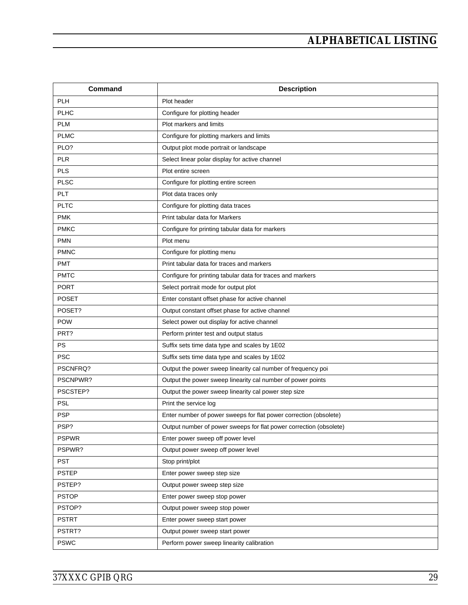| Command      | <b>Description</b>                                                 |
|--------------|--------------------------------------------------------------------|
| <b>PLH</b>   | Plot header                                                        |
| <b>PLHC</b>  | Configure for plotting header                                      |
| <b>PLM</b>   | Plot markers and limits                                            |
| <b>PLMC</b>  | Configure for plotting markers and limits                          |
| PLO?         | Output plot mode portrait or landscape                             |
| <b>PLR</b>   | Select linear polar display for active channel                     |
| <b>PLS</b>   | Plot entire screen                                                 |
| <b>PLSC</b>  | Configure for plotting entire screen                               |
| <b>PLT</b>   | Plot data traces only                                              |
| <b>PLTC</b>  | Configure for plotting data traces                                 |
| <b>PMK</b>   | Print tabular data for Markers                                     |
| <b>PMKC</b>  | Configure for printing tabular data for markers                    |
| <b>PMN</b>   | Plot menu                                                          |
| <b>PMNC</b>  | Configure for plotting menu                                        |
| <b>PMT</b>   | Print tabular data for traces and markers                          |
| <b>PMTC</b>  | Configure for printing tabular data for traces and markers         |
| <b>PORT</b>  | Select portrait mode for output plot                               |
| <b>POSET</b> | Enter constant offset phase for active channel                     |
| POSET?       | Output constant offset phase for active channel                    |
| <b>POW</b>   | Select power out display for active channel                        |
| PRT?         | Perform printer test and output status                             |
| <b>PS</b>    | Suffix sets time data type and scales by 1E02                      |
| <b>PSC</b>   | Suffix sets time data type and scales by 1E02                      |
| PSCNFRQ?     | Output the power sweep linearity cal number of frequency poi       |
| PSCNPWR?     | Output the power sweep linearity cal number of power points        |
| PSCSTEP?     | Output the power sweep linearity cal power step size               |
| <b>PSL</b>   | Print the service log                                              |
| <b>PSP</b>   | Enter number of power sweeps for flat power correction (obsolete)  |
| PSP?         | Output number of power sweeps for flat power correction (obsolete) |
| <b>PSPWR</b> | Enter power sweep off power level                                  |
| PSPWR?       | Output power sweep off power level                                 |
| <b>PST</b>   | Stop print/plot                                                    |
| <b>PSTEP</b> | Enter power sweep step size                                        |
| PSTEP?       | Output power sweep step size                                       |
| <b>PSTOP</b> | Enter power sweep stop power                                       |
| PSTOP?       | Output power sweep stop power                                      |
| <b>PSTRT</b> | Enter power sweep start power                                      |
| PSTRT?       | Output power sweep start power                                     |
| <b>PSWC</b>  | Perform power sweep linearity calibration                          |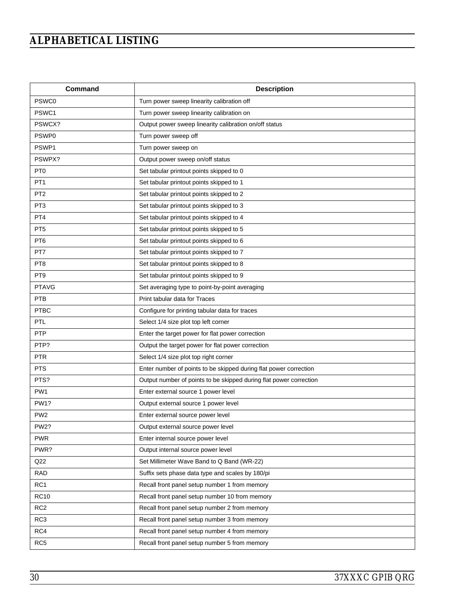| <b>Command</b>    | <b>Description</b>                                                 |
|-------------------|--------------------------------------------------------------------|
| PSWC0             | Turn power sweep linearity calibration off                         |
| PSWC1             | Turn power sweep linearity calibration on                          |
| PSWCX?            | Output power sweep linearity calibration on/off status             |
| PSWP0             | Turn power sweep off                                               |
| PSWP1             | Turn power sweep on                                                |
| PSWPX?            | Output power sweep on/off status                                   |
| PT <sub>0</sub>   | Set tabular printout points skipped to 0                           |
| PT <sub>1</sub>   | Set tabular printout points skipped to 1                           |
| PT <sub>2</sub>   | Set tabular printout points skipped to 2                           |
| PT <sub>3</sub>   | Set tabular printout points skipped to 3                           |
| PT <sub>4</sub>   | Set tabular printout points skipped to 4                           |
| PT <sub>5</sub>   | Set tabular printout points skipped to 5                           |
| PT <sub>6</sub>   | Set tabular printout points skipped to 6                           |
| PT7               | Set tabular printout points skipped to 7                           |
| PT <sub>8</sub>   | Set tabular printout points skipped to 8                           |
| PT <sub>9</sub>   | Set tabular printout points skipped to 9                           |
| <b>PTAVG</b>      | Set averaging type to point-by-point averaging                     |
| <b>PTB</b>        | Print tabular data for Traces                                      |
| <b>PTBC</b>       | Configure for printing tabular data for traces                     |
| <b>PTL</b>        | Select 1/4 size plot top left corner                               |
| <b>PTP</b>        | Enter the target power for flat power correction                   |
| PTP?              | Output the target power for flat power correction                  |
| <b>PTR</b>        | Select 1/4 size plot top right corner                              |
| <b>PTS</b>        | Enter number of points to be skipped during flat power correction  |
| PTS?              | Output number of points to be skipped during flat power correction |
| PW <sub>1</sub>   | Enter external source 1 power level                                |
| <b>PW1?</b>       | Output external source 1 power level                               |
| PW <sub>2</sub>   | Enter external source power level                                  |
| PW <sub>2</sub> ? | Output external source power level                                 |
| <b>PWR</b>        | Enter internal source power level                                  |
| PWR?              | Output internal source power level                                 |
| Q22               | Set Millimeter Wave Band to Q Band (WR-22)                         |
| <b>RAD</b>        | Suffix sets phase data type and scales by 180/pi                   |
| RC1               | Recall front panel setup number 1 from memory                      |
| <b>RC10</b>       | Recall front panel setup number 10 from memory                     |
| RC <sub>2</sub>   | Recall front panel setup number 2 from memory                      |
| RC3               | Recall front panel setup number 3 from memory                      |
| RC4               | Recall front panel setup number 4 from memory                      |
| RC <sub>5</sub>   | Recall front panel setup number 5 from memory                      |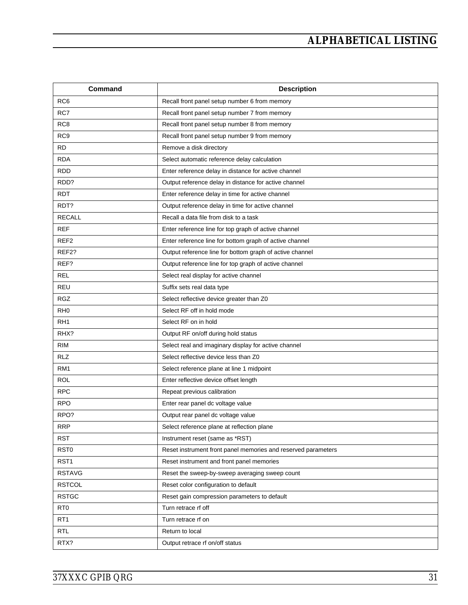| Command           | <b>Description</b>                                            |
|-------------------|---------------------------------------------------------------|
| RC <sub>6</sub>   | Recall front panel setup number 6 from memory                 |
| RC7               | Recall front panel setup number 7 from memory                 |
| RC <sub>8</sub>   | Recall front panel setup number 8 from memory                 |
| RC <sub>9</sub>   | Recall front panel setup number 9 from memory                 |
| <b>RD</b>         | Remove a disk directory                                       |
| <b>RDA</b>        | Select automatic reference delay calculation                  |
| <b>RDD</b>        | Enter reference delay in distance for active channel          |
| RDD?              | Output reference delay in distance for active channel         |
| <b>RDT</b>        | Enter reference delay in time for active channel              |
| RDT?              | Output reference delay in time for active channel             |
| <b>RECALL</b>     | Recall a data file from disk to a task                        |
| <b>REF</b>        | Enter reference line for top graph of active channel          |
| REF <sub>2</sub>  | Enter reference line for bottom graph of active channel       |
| REF <sub>2?</sub> | Output reference line for bottom graph of active channel      |
| REF?              | Output reference line for top graph of active channel         |
| <b>REL</b>        | Select real display for active channel                        |
| REU               | Suffix sets real data type                                    |
| <b>RGZ</b>        | Select reflective device greater than Z0                      |
| RH <sub>0</sub>   | Select RF off in hold mode                                    |
| RH <sub>1</sub>   | Select RF on in hold                                          |
| RHX?              | Output RF on/off during hold status                           |
| <b>RIM</b>        | Select real and imaginary display for active channel          |
| <b>RLZ</b>        | Select reflective device less than Z0                         |
| RM <sub>1</sub>   | Select reference plane at line 1 midpoint                     |
| <b>ROL</b>        | Enter reflective device offset length                         |
| <b>RPC</b>        | Repeat previous calibration                                   |
| <b>RPO</b>        | Enter rear panel dc voltage value                             |
| RPO?              | Output rear panel dc voltage value                            |
| <b>RRP</b>        | Select reference plane at reflection plane                    |
| <b>RST</b>        | Instrument reset (same as *RST)                               |
| RST <sub>0</sub>  | Reset instrument front panel memories and reserved parameters |
| RST1              | Reset instrument and front panel memories                     |
| <b>RSTAVG</b>     | Reset the sweep-by-sweep averaging sweep count                |
| <b>RSTCOL</b>     | Reset color configuration to default                          |
| <b>RSTGC</b>      | Reset gain compression parameters to default                  |
| RT <sub>0</sub>   | Turn retrace rf off                                           |
| RT <sub>1</sub>   | Turn retrace rf on                                            |
| RTL               | Return to local                                               |
| RTX?              | Output retrace rf on/off status                               |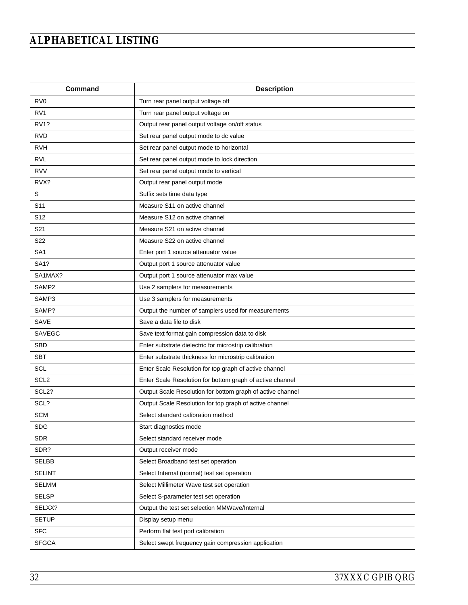| Command                     | <b>Description</b>                                         |
|-----------------------------|------------------------------------------------------------|
| R <sub>V</sub> <sub>0</sub> | Turn rear panel output voltage off                         |
| RV <sub>1</sub>             | Turn rear panel output voltage on                          |
| <b>RV1?</b>                 | Output rear panel output voltage on/off status             |
| <b>RVD</b>                  | Set rear panel output mode to dc value                     |
| <b>RVH</b>                  | Set rear panel output mode to horizontal                   |
| <b>RVL</b>                  | Set rear panel output mode to lock direction               |
| <b>RVV</b>                  | Set rear panel output mode to vertical                     |
| RVX?                        | Output rear panel output mode                              |
| $\mathbb S$                 | Suffix sets time data type                                 |
| S <sub>11</sub>             | Measure S11 on active channel                              |
| S <sub>12</sub>             | Measure S12 on active channel                              |
| S <sub>21</sub>             | Measure S21 on active channel                              |
| S <sub>22</sub>             | Measure S22 on active channel                              |
| SA <sub>1</sub>             | Enter port 1 source attenuator value                       |
| <b>SA1?</b>                 | Output port 1 source attenuator value                      |
| SA1MAX?                     | Output port 1 source attenuator max value                  |
| SAMP <sub>2</sub>           | Use 2 samplers for measurements                            |
| SAMP3                       | Use 3 samplers for measurements                            |
| SAMP?                       | Output the number of samplers used for measurements        |
| SAVE                        | Save a data file to disk                                   |
| <b>SAVEGC</b>               | Save text format gain compression data to disk             |
| <b>SBD</b>                  | Enter substrate dielectric for microstrip calibration      |
| <b>SBT</b>                  | Enter substrate thickness for microstrip calibration       |
| <b>SCL</b>                  | Enter Scale Resolution for top graph of active channel     |
| SCL <sub>2</sub>            | Enter Scale Resolution for bottom graph of active channel  |
| SCL <sub>2?</sub>           | Output Scale Resolution for bottom graph of active channel |
| SCL?                        | Output Scale Resolution for top graph of active channel    |
| <b>SCM</b>                  | Select standard calibration method                         |
| SDG                         | Start diagnostics mode                                     |
| <b>SDR</b>                  | Select standard receiver mode                              |
| SDR?                        | Output receiver mode                                       |
| SELBB                       | Select Broadband test set operation                        |
| <b>SELINT</b>               | Select Internal (normal) test set operation                |
| <b>SELMM</b>                | Select Millimeter Wave test set operation                  |
| <b>SELSP</b>                | Select S-parameter test set operation                      |
| SELXX?                      | Output the test set selection MMWave/Internal              |
| <b>SETUP</b>                | Display setup menu                                         |
| <b>SFC</b>                  | Perform flat test port calibration                         |
| <b>SFGCA</b>                | Select swept frequency gain compression application        |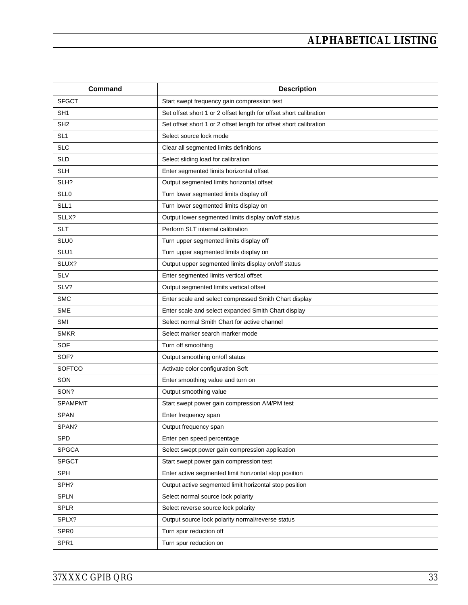| Command          | <b>Description</b>                                                 |
|------------------|--------------------------------------------------------------------|
| <b>SFGCT</b>     | Start swept frequency gain compression test                        |
| SH <sub>1</sub>  | Set offset short 1 or 2 offset length for offset short calibration |
| SH <sub>2</sub>  | Set offset short 1 or 2 offset length for offset short calibration |
| SL <sub>1</sub>  | Select source lock mode                                            |
| <b>SLC</b>       | Clear all segmented limits definitions                             |
| <b>SLD</b>       | Select sliding load for calibration                                |
| <b>SLH</b>       | Enter segmented limits horizontal offset                           |
| SLH?             | Output segmented limits horizontal offset                          |
| <b>SLL0</b>      | Turn lower segmented limits display off                            |
| SLL1             | Turn lower segmented limits display on                             |
| SLLX?            | Output lower segmented limits display on/off status                |
| <b>SLT</b>       | Perform SLT internal calibration                                   |
| SLU0             | Turn upper segmented limits display off                            |
| SLU1             | Turn upper segmented limits display on                             |
| SLUX?            | Output upper segmented limits display on/off status                |
| <b>SLV</b>       | Enter segmented limits vertical offset                             |
| SLV?             | Output segmented limits vertical offset                            |
| <b>SMC</b>       | Enter scale and select compressed Smith Chart display              |
| <b>SME</b>       | Enter scale and select expanded Smith Chart display                |
| SMI              | Select normal Smith Chart for active channel                       |
| <b>SMKR</b>      | Select marker search marker mode                                   |
| <b>SOF</b>       | Turn off smoothing                                                 |
| SOF?             | Output smoothing on/off status                                     |
| <b>SOFTCO</b>    | Activate color configuration Soft                                  |
| SON              | Enter smoothing value and turn on                                  |
| SON?             | Output smoothing value                                             |
| <b>SPAMPMT</b>   | Start swept power gain compression AM/PM test                      |
| <b>SPAN</b>      | Enter frequency span                                               |
| SPAN?            | Output frequency span                                              |
| <b>SPD</b>       | Enter pen speed percentage                                         |
| <b>SPGCA</b>     | Select swept power gain compression application                    |
| <b>SPGCT</b>     | Start swept power gain compression test                            |
| SPH              | Enter active segmented limit horizontal stop position              |
| SPH?             | Output active segmented limit horizontal stop position             |
| <b>SPLN</b>      | Select normal source lock polarity                                 |
| <b>SPLR</b>      | Select reverse source lock polarity                                |
| SPLX?            | Output source lock polarity normal/reverse status                  |
| SPR <sub>0</sub> | Turn spur reduction off                                            |
| SPR1             | Turn spur reduction on                                             |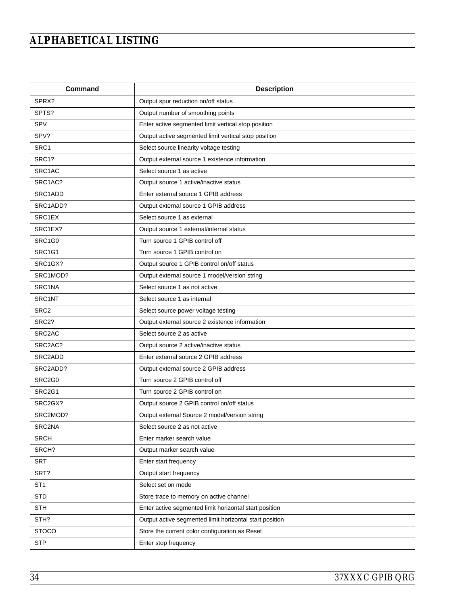| <b>Command</b>   | <b>Description</b>                                      |
|------------------|---------------------------------------------------------|
| SPRX?            | Output spur reduction on/off status                     |
| SPTS?            | Output number of smoothing points                       |
| <b>SPV</b>       | Enter active segmented limit vertical stop position     |
| SPV?             | Output active segmented limit vertical stop position    |
| SRC1             | Select source linearity voltage testing                 |
| SRC1?            | Output external source 1 existence information          |
| SRC1AC           | Select source 1 as active                               |
| SRC1AC?          | Output source 1 active/inactive status                  |
| SRC1ADD          | Enter external source 1 GPIB address                    |
| SRC1ADD?         | Output external source 1 GPIB address                   |
| SRC1EX           | Select source 1 as external                             |
| SRC1EX?          | Output source 1 external/internal status                |
| SRC1G0           | Turn source 1 GPIB control off                          |
| SRC1G1           | Turn source 1 GPIB control on                           |
| SRC1GX?          | Output source 1 GPIB control on/off status              |
| SRC1MOD?         | Output external source 1 model/version string           |
| SRC1NA           | Select source 1 as not active                           |
| SRC1NT           | Select source 1 as internal                             |
| SRC <sub>2</sub> | Select source power voltage testing                     |
| SRC2?            | Output external source 2 existence information          |
| SRC2AC           | Select source 2 as active                               |
| SRC2AC?          | Output source 2 active/inactive status                  |
| SRC2ADD          | Enter external source 2 GPIB address                    |
| SRC2ADD?         | Output external source 2 GPIB address                   |
| SRC2G0           | Turn source 2 GPIB control off                          |
| SRC2G1           | Turn source 2 GPIB control on                           |
| SRC2GX?          | Output source 2 GPIB control on/off status              |
| SRC2MOD?         | Output external Source 2 model/version string           |
| SRC2NA           | Select source 2 as not active                           |
| <b>SRCH</b>      | Enter marker search value                               |
| SRCH?            | Output marker search value                              |
| <b>SRT</b>       | Enter start frequency                                   |
| SRT?             | Output start frequency                                  |
| ST <sub>1</sub>  | Select set on mode                                      |
| <b>STD</b>       | Store trace to memory on active channel                 |
| <b>STH</b>       | Enter active segmented limit horizontal start position  |
| STH?             | Output active segmented limit horizontal start position |
| <b>STOCO</b>     | Store the current color configuration as Reset          |
| <b>STP</b>       | Enter stop frequency                                    |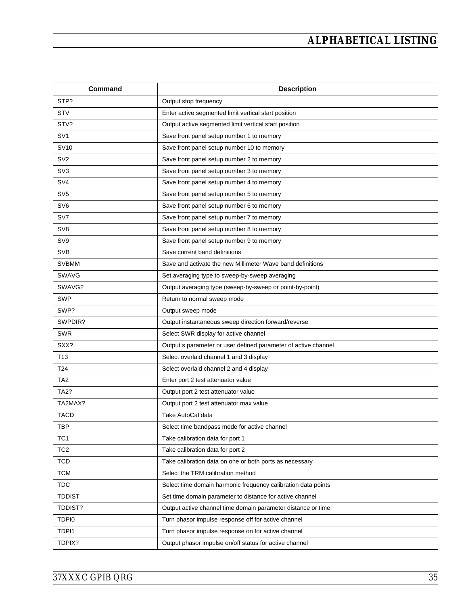| Command         | <b>Description</b>                                             |  |
|-----------------|----------------------------------------------------------------|--|
| STP?            | Output stop frequency                                          |  |
| <b>STV</b>      | Enter active segmented limit vertical start position           |  |
| STV?            | Output active segmented limit vertical start position          |  |
| SV <sub>1</sub> | Save front panel setup number 1 to memory                      |  |
| <b>SV10</b>     | Save front panel setup number 10 to memory                     |  |
| SV <sub>2</sub> | Save front panel setup number 2 to memory                      |  |
| SV <sub>3</sub> | Save front panel setup number 3 to memory                      |  |
| SV <sub>4</sub> | Save front panel setup number 4 to memory                      |  |
| SV <sub>5</sub> | Save front panel setup number 5 to memory                      |  |
| SV <sub>6</sub> | Save front panel setup number 6 to memory                      |  |
| SV7             | Save front panel setup number 7 to memory                      |  |
| SV <sub>8</sub> | Save front panel setup number 8 to memory                      |  |
| SV9             | Save front panel setup number 9 to memory                      |  |
| <b>SVB</b>      | Save current band definitions                                  |  |
| <b>SVBMM</b>    | Save and activate the new Millimeter Wave band definitions     |  |
| <b>SWAVG</b>    | Set averaging type to sweep-by-sweep averaging                 |  |
| SWAVG?          | Output averaging type (sweep-by-sweep or point-by-point)       |  |
| SWP             | Return to normal sweep mode                                    |  |
| SWP?            | Output sweep mode                                              |  |
| SWPDIR?         | Output instantaneous sweep direction forward/reverse           |  |
| <b>SWR</b>      | Select SWR display for active channel                          |  |
| SXX?            | Output s parameter or user defined parameter of active channel |  |
| T <sub>13</sub> | Select overlaid channel 1 and 3 display                        |  |
| T24             | Select overlaid channel 2 and 4 display                        |  |
| TA <sub>2</sub> | Enter port 2 test attenuator value                             |  |
| <b>TA2?</b>     | Output port 2 test attenuator value                            |  |
| TA2MAX?         | Output port 2 test attenuator max value                        |  |
| <b>TACD</b>     | Take AutoCal data                                              |  |
| TBP             | Select time bandpass mode for active channel                   |  |
| TC <sub>1</sub> | Take calibration data for port 1                               |  |
| TC <sub>2</sub> | Take calibration data for port 2                               |  |
| <b>TCD</b>      | Take calibration data on one or both ports as necessary        |  |
| <b>TCM</b>      | Select the TRM calibration method                              |  |
| <b>TDC</b>      | Select time domain harmonic frequency calibration data points  |  |
| <b>TDDIST</b>   | Set time domain parameter to distance for active channel       |  |
| TDDIST?         | Output active channel time domain parameter distance or time   |  |
| TDPI0           | Turn phasor impulse response off for active channel            |  |
| TDPI1           | Turn phasor impulse response on for active channel             |  |
| TDPIX?          | Output phasor impulse on/off status for active channel         |  |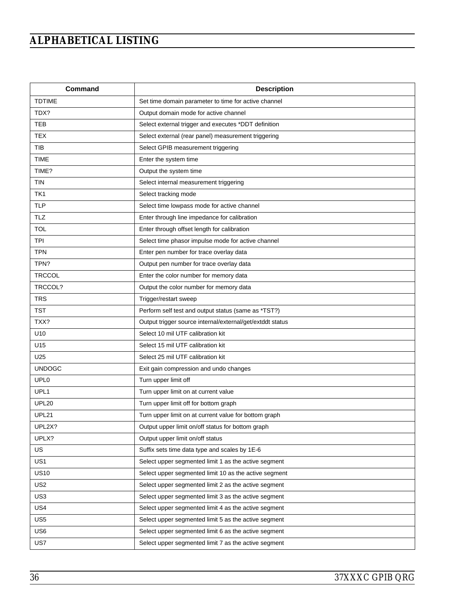| Command          | <b>Description</b>                                        |
|------------------|-----------------------------------------------------------|
| <b>TDTIME</b>    | Set time domain parameter to time for active channel      |
| TDX?             | Output domain mode for active channel                     |
| TEB              | Select external trigger and executes *DDT definition      |
| <b>TEX</b>       | Select external (rear panel) measurement triggering       |
| <b>TIB</b>       | Select GPIB measurement triggering                        |
| <b>TIME</b>      | Enter the system time                                     |
| TIME?            | Output the system time                                    |
| <b>TIN</b>       | Select internal measurement triggering                    |
| TK1              | Select tracking mode                                      |
| TLP              | Select time lowpass mode for active channel               |
| <b>TLZ</b>       | Enter through line impedance for calibration              |
| <b>TOL</b>       | Enter through offset length for calibration               |
| <b>TPI</b>       | Select time phasor impulse mode for active channel        |
| <b>TPN</b>       | Enter pen number for trace overlay data                   |
| TPN?             | Output pen number for trace overlay data                  |
| <b>TRCCOL</b>    | Enter the color number for memory data                    |
| TRCCOL?          | Output the color number for memory data                   |
| <b>TRS</b>       | Trigger/restart sweep                                     |
| <b>TST</b>       | Perform self test and output status (same as *TST?)       |
| TXX?             | Output trigger source internal/external/get/extddt status |
| U10              | Select 10 mil UTF calibration kit                         |
| U15              | Select 15 mil UTF calibration kit                         |
| U <sub>25</sub>  | Select 25 mil UTF calibration kit                         |
| <b>UNDOGC</b>    | Exit gain compression and undo changes                    |
| UPL <sub>0</sub> | Turn upper limit off                                      |
| UPL <sub>1</sub> | Turn upper limit on at current value                      |
| <b>UPL20</b>     | Turn upper limit off for bottom graph                     |
| UPL21            | Turn upper limit on at current value for bottom graph     |
| UPL2X?           | Output upper limit on/off status for bottom graph         |
| UPLX?            | Output upper limit on/off status                          |
| US               | Suffix sets time data type and scales by 1E-6             |
| US <sub>1</sub>  | Select upper segmented limit 1 as the active segment      |
| <b>US10</b>      | Select upper segmented limit 10 as the active segment     |
| US <sub>2</sub>  | Select upper segmented limit 2 as the active segment      |
| US <sub>3</sub>  | Select upper segmented limit 3 as the active segment      |
| US4              | Select upper segmented limit 4 as the active segment      |
| US5              | Select upper segmented limit 5 as the active segment      |
| US6              | Select upper segmented limit 6 as the active segment      |
| US7              | Select upper segmented limit 7 as the active segment      |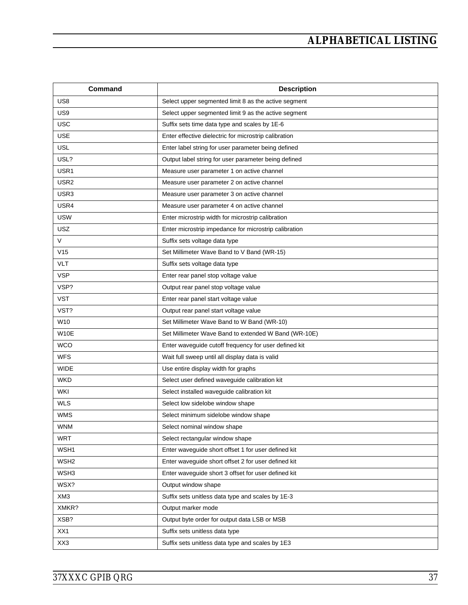| Command          | <b>Description</b>                                    |
|------------------|-------------------------------------------------------|
| US <sub>8</sub>  | Select upper segmented limit 8 as the active segment  |
| US <sub>9</sub>  | Select upper segmented limit 9 as the active segment  |
| <b>USC</b>       | Suffix sets time data type and scales by 1E-6         |
| <b>USE</b>       | Enter effective dielectric for microstrip calibration |
| <b>USL</b>       | Enter label string for user parameter being defined   |
| USL?             | Output label string for user parameter being defined  |
| USR1             | Measure user parameter 1 on active channel            |
| USR <sub>2</sub> | Measure user parameter 2 on active channel            |
| USR3             | Measure user parameter 3 on active channel            |
| USR4             | Measure user parameter 4 on active channel            |
| <b>USW</b>       | Enter microstrip width for microstrip calibration     |
| <b>USZ</b>       | Enter microstrip impedance for microstrip calibration |
| V                | Suffix sets voltage data type                         |
| V15              | Set Millimeter Wave Band to V Band (WR-15)            |
| <b>VLT</b>       | Suffix sets voltage data type                         |
| <b>VSP</b>       | Enter rear panel stop voltage value                   |
| VSP?             | Output rear panel stop voltage value                  |
| <b>VST</b>       | Enter rear panel start voltage value                  |
| VST?             | Output rear panel start voltage value                 |
| W <sub>10</sub>  | Set Millimeter Wave Band to W Band (WR-10)            |
| W10E             | Set Millimeter Wave Band to extended W Band (WR-10E)  |
| <b>WCO</b>       | Enter waveguide cutoff frequency for user defined kit |
| <b>WFS</b>       | Wait full sweep until all display data is valid       |
| <b>WIDE</b>      | Use entire display width for graphs                   |
| <b>WKD</b>       | Select user defined waveguide calibration kit         |
| WKI              | Select installed waveguide calibration kit            |
| <b>WLS</b>       | Select low sidelobe window shape                      |
| <b>WMS</b>       | Select minimum sidelobe window shape                  |
| <b>WNM</b>       | Select nominal window shape                           |
| <b>WRT</b>       | Select rectangular window shape                       |
| WSH1             | Enter waveguide short offset 1 for user defined kit   |
| WSH <sub>2</sub> | Enter waveguide short offset 2 for user defined kit   |
| WSH3             | Enter waveguide short 3 offset for user defined kit   |
| WSX?             | Output window shape                                   |
| XM <sub>3</sub>  | Suffix sets unitless data type and scales by 1E-3     |
| XMKR?            | Output marker mode                                    |
| XSB?             | Output byte order for output data LSB or MSB          |
| XX1              | Suffix sets unitless data type                        |
| XX3              | Suffix sets unitless data type and scales by 1E3      |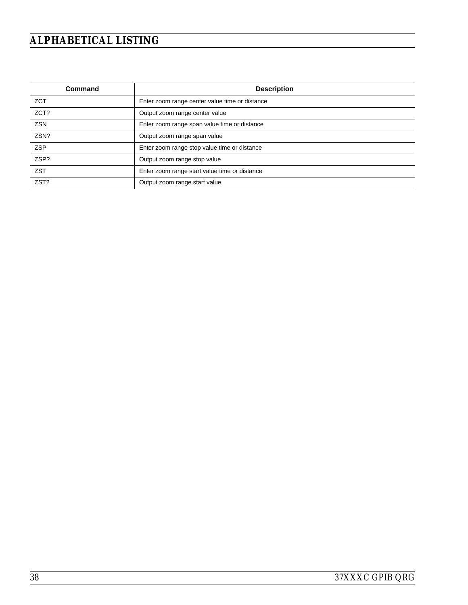| Command    | <b>Description</b>                             |
|------------|------------------------------------------------|
| <b>ZCT</b> | Enter zoom range center value time or distance |
| ZCT?       | Output zoom range center value                 |
| <b>ZSN</b> | Enter zoom range span value time or distance   |
| ZSN?       | Output zoom range span value                   |
| <b>ZSP</b> | Enter zoom range stop value time or distance   |
| ZSP?       | Output zoom range stop value                   |
| <b>ZST</b> | Enter zoom range start value time or distance  |
| ZST?       | Output zoom range start value                  |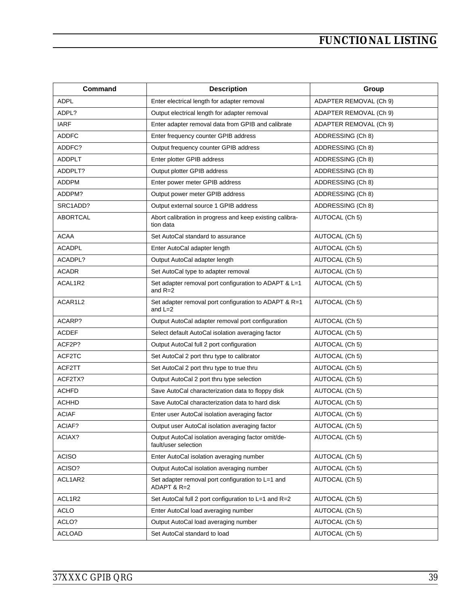| Command       | <b>Description</b>                                                         | Group                  |
|---------------|----------------------------------------------------------------------------|------------------------|
| <b>ADPL</b>   | Enter electrical length for adapter removal                                | ADAPTER REMOVAL (Ch 9) |
| ADPL?         | Output electrical length for adapter removal                               | ADAPTER REMOVAL (Ch 9) |
| <b>IARF</b>   | Enter adapter removal data from GPIB and calibrate                         | ADAPTER REMOVAL (Ch 9) |
| <b>ADDFC</b>  | Enter frequency counter GPIB address                                       | ADDRESSING (Ch 8)      |
| ADDFC?        | Output frequency counter GPIB address                                      | ADDRESSING (Ch 8)      |
| <b>ADDPLT</b> | Enter plotter GPIB address                                                 | ADDRESSING (Ch 8)      |
| ADDPLT?       | Output plotter GPIB address                                                | ADDRESSING (Ch 8)      |
| ADDPM         | Enter power meter GPIB address                                             | ADDRESSING (Ch 8)      |
| ADDPM?        | Output power meter GPIB address                                            | ADDRESSING (Ch 8)      |
| SRC1ADD?      | Output external source 1 GPIB address                                      | ADDRESSING (Ch 8)      |
| ABORTCAL      | Abort calibration in progress and keep existing calibra-<br>tion data      | AUTOCAL (Ch 5)         |
| <b>ACAA</b>   | Set AutoCal standard to assurance                                          | AUTOCAL (Ch 5)         |
| <b>ACADPL</b> | Enter AutoCal adapter length                                               | AUTOCAL (Ch 5)         |
| ACADPL?       | Output AutoCal adapter length                                              | AUTOCAL (Ch 5)         |
| <b>ACADR</b>  | Set AutoCal type to adapter removal                                        | AUTOCAL (Ch 5)         |
| ACAL1R2       | Set adapter removal port configuration to ADAPT & L=1<br>and $R=2$         | AUTOCAL (Ch 5)         |
| ACAR1L2       | Set adapter removal port configuration to ADAPT & R=1<br>and $L=2$         | AUTOCAL (Ch 5)         |
| ACARP?        | Output AutoCal adapter removal port configuration                          | AUTOCAL (Ch 5)         |
| <b>ACDEF</b>  | Select default AutoCal isolation averaging factor                          | AUTOCAL (Ch 5)         |
| ACF2P?        | Output AutoCal full 2 port configuration                                   | AUTOCAL (Ch 5)         |
| ACF2TC        | Set AutoCal 2 port thru type to calibrator                                 | AUTOCAL (Ch 5)         |
| ACF2TT        | Set AutoCal 2 port thru type to true thru                                  | AUTOCAL (Ch 5)         |
| ACF2TX?       | Output AutoCal 2 port thru type selection                                  | AUTOCAL (Ch 5)         |
| <b>ACHFD</b>  | Save AutoCal characterization data to floppy disk                          | AUTOCAL (Ch 5)         |
| <b>ACHHD</b>  | Save AutoCal characterization data to hard disk                            | AUTOCAL (Ch 5)         |
| <b>ACIAF</b>  | Enter user AutoCal isolation averaging factor                              | AUTOCAL (Ch 5)         |
| ACIAF?        | Output user AutoCal isolation averaging factor                             | AUTOCAL (Ch 5)         |
| ACIAX?        | Output AutoCal isolation averaging factor omit/de-<br>fault/user selection | AUTOCAL (Ch 5)         |
| <b>ACISO</b>  | Enter AutoCal isolation averaging number                                   | AUTOCAL (Ch 5)         |
| ACISO?        | Output AutoCal isolation averaging number                                  | AUTOCAL (Ch 5)         |
| ACL1AR2       | Set adapter removal port configuration to L=1 and<br>ADAPT & R=2           | AUTOCAL (Ch 5)         |
| ACL1R2        | Set AutoCal full 2 port configuration to L=1 and R=2                       | AUTOCAL (Ch 5)         |
| <b>ACLO</b>   | Enter AutoCal load averaging number                                        | AUTOCAL (Ch 5)         |
| ACLO?         | Output AutoCal load averaging number                                       | AUTOCAL (Ch 5)         |
| <b>ACLOAD</b> | Set AutoCal standard to load                                               | AUTOCAL (Ch 5)         |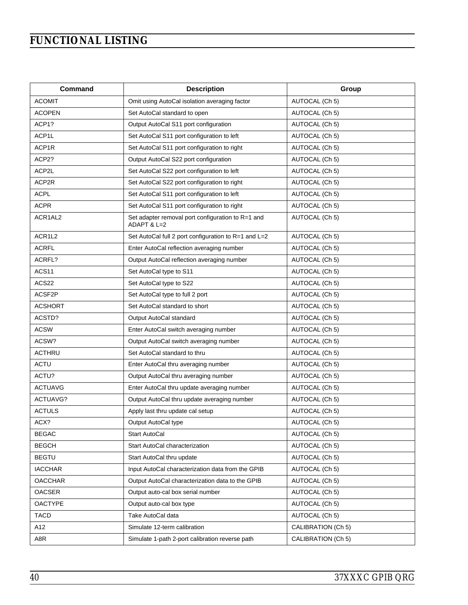| Command        | <b>Description</b>                                               | Group              |
|----------------|------------------------------------------------------------------|--------------------|
| <b>ACOMIT</b>  | Omit using AutoCal isolation averaging factor                    | AUTOCAL (Ch 5)     |
| <b>ACOPEN</b>  | Set AutoCal standard to open                                     | AUTOCAL (Ch 5)     |
| ACP1?          | Output AutoCal S11 port configuration                            | AUTOCAL (Ch 5)     |
| ACP1L          | Set AutoCal S11 port configuration to left                       | AUTOCAL (Ch 5)     |
| ACP1R          | Set AutoCal S11 port configuration to right                      | AUTOCAL (Ch 5)     |
| ACP2?          | Output AutoCal S22 port configuration                            | AUTOCAL (Ch 5)     |
| ACP2L          | Set AutoCal S22 port configuration to left                       | AUTOCAL (Ch 5)     |
| ACP2R          | Set AutoCal S22 port configuration to right                      | AUTOCAL (Ch 5)     |
| <b>ACPL</b>    | Set AutoCal S11 port configuration to left                       | AUTOCAL (Ch 5)     |
| <b>ACPR</b>    | Set AutoCal S11 port configuration to right                      | AUTOCAL (Ch 5)     |
| ACR1AL2        | Set adapter removal port configuration to R=1 and<br>ADAPT & L=2 | AUTOCAL (Ch 5)     |
| ACR1L2         | Set AutoCal full 2 port configuration to R=1 and L=2             | AUTOCAL (Ch 5)     |
| <b>ACRFL</b>   | Enter AutoCal reflection averaging number                        | AUTOCAL (Ch 5)     |
| ACRFL?         | Output AutoCal reflection averaging number                       | AUTOCAL (Ch 5)     |
| ACS11          | Set AutoCal type to S11                                          | AUTOCAL (Ch 5)     |
| ACS22          | Set AutoCal type to S22                                          | AUTOCAL (Ch 5)     |
| ACSF2P         | Set AutoCal type to full 2 port                                  | AUTOCAL (Ch 5)     |
| <b>ACSHORT</b> | Set AutoCal standard to short                                    | AUTOCAL (Ch 5)     |
| ACSTD?         | Output AutoCal standard                                          | AUTOCAL (Ch 5)     |
| <b>ACSW</b>    | Enter AutoCal switch averaging number                            | AUTOCAL (Ch 5)     |
| ACSW?          | Output AutoCal switch averaging number                           | AUTOCAL (Ch 5)     |
| ACTHRU         | Set AutoCal standard to thru                                     | AUTOCAL (Ch 5)     |
| <b>ACTU</b>    | Enter AutoCal thru averaging number                              | AUTOCAL (Ch 5)     |
| ACTU?          | Output AutoCal thru averaging number                             | AUTOCAL (Ch 5)     |
| <b>ACTUAVG</b> | Enter AutoCal thru update averaging number                       | AUTOCAL (Ch 5)     |
| ACTUAVG?       | Output AutoCal thru update averaging number                      | AUTOCAL (Ch 5)     |
| <b>ACTULS</b>  | Apply last thru update cal setup                                 | AUTOCAL (Ch 5)     |
| ACX?           | Output AutoCal type                                              | AUTOCAL (Ch 5)     |
| <b>BEGAC</b>   | <b>Start AutoCal</b>                                             | AUTOCAL (Ch 5)     |
| <b>BEGCH</b>   | Start AutoCal characterization                                   | AUTOCAL (Ch 5)     |
| <b>BEGTU</b>   | Start AutoCal thru update                                        | AUTOCAL (Ch 5)     |
| <b>IACCHAR</b> | Input AutoCal characterization data from the GPIB                | AUTOCAL (Ch 5)     |
| <b>OACCHAR</b> | Output AutoCal characterization data to the GPIB                 | AUTOCAL (Ch 5)     |
| <b>OACSER</b>  | Output auto-cal box serial number                                | AUTOCAL (Ch 5)     |
| <b>OACTYPE</b> | Output auto-cal box type                                         | AUTOCAL (Ch 5)     |
| <b>TACD</b>    | Take AutoCal data                                                | AUTOCAL (Ch 5)     |
| A12            | Simulate 12-term calibration                                     | CALIBRATION (Ch 5) |
| A8R            | Simulate 1-path 2-port calibration reverse path                  | CALIBRATION (Ch 5) |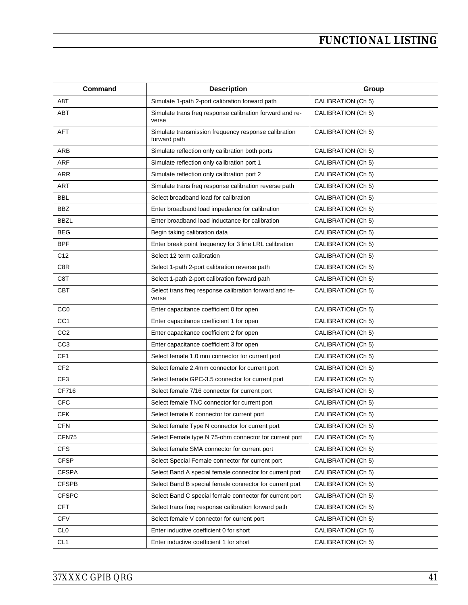| <b>Command</b>  | <b>Description</b>                                                   | Group                     |
|-----------------|----------------------------------------------------------------------|---------------------------|
| A8T             | Simulate 1-path 2-port calibration forward path                      | CALIBRATION (Ch 5)        |
| <b>ABT</b>      | Simulate trans freq response calibration forward and re-<br>verse    | CALIBRATION (Ch 5)        |
| <b>AFT</b>      | Simulate transmission frequency response calibration<br>forward path | CALIBRATION (Ch 5)        |
| ARB             | Simulate reflection only calibration both ports                      | CALIBRATION (Ch 5)        |
| <b>ARF</b>      | Simulate reflection only calibration port 1                          | CALIBRATION (Ch 5)        |
| <b>ARR</b>      | Simulate reflection only calibration port 2                          | CALIBRATION (Ch 5)        |
| <b>ART</b>      | Simulate trans freq response calibration reverse path                | CALIBRATION (Ch 5)        |
| <b>BBL</b>      | Select broadband load for calibration                                | CALIBRATION (Ch 5)        |
| <b>BBZ</b>      | Enter broadband load impedance for calibration                       | CALIBRATION (Ch 5)        |
| <b>BBZL</b>     | Enter broadband load inductance for calibration                      | CALIBRATION (Ch 5)        |
| <b>BEG</b>      | Begin taking calibration data                                        | CALIBRATION (Ch 5)        |
| <b>BPF</b>      | Enter break point frequency for 3 line LRL calibration               | CALIBRATION (Ch 5)        |
| C <sub>12</sub> | Select 12 term calibration                                           | <b>CALIBRATION (Ch 5)</b> |
| C8R             | Select 1-path 2-port calibration reverse path                        | CALIBRATION (Ch 5)        |
| C8T             | Select 1-path 2-port calibration forward path                        | CALIBRATION (Ch 5)        |
| <b>CBT</b>      | Select trans freq response calibration forward and re-<br>verse      | CALIBRATION (Ch 5)        |
| CC <sub>0</sub> | Enter capacitance coefficient 0 for open                             | CALIBRATION (Ch 5)        |
| CC <sub>1</sub> | Enter capacitance coefficient 1 for open                             | CALIBRATION (Ch 5)        |
| CC <sub>2</sub> | Enter capacitance coefficient 2 for open                             | CALIBRATION (Ch 5)        |
| CC <sub>3</sub> | Enter capacitance coefficient 3 for open                             | CALIBRATION (Ch 5)        |
| CF <sub>1</sub> | Select female 1.0 mm connector for current port                      | CALIBRATION (Ch 5)        |
| CF <sub>2</sub> | Select female 2.4mm connector for current port                       | CALIBRATION (Ch 5)        |
| CF <sub>3</sub> | Select female GPC-3.5 connector for current port                     | CALIBRATION (Ch 5)        |
| CF716           | Select female 7/16 connector for current port                        | CALIBRATION (Ch 5)        |
| <b>CFC</b>      | Select female TNC connector for current port                         | CALIBRATION (Ch 5)        |
| <b>CFK</b>      | Select female K connector for current port                           | CALIBRATION (Ch 5)        |
| <b>CFN</b>      | Select female Type N connector for current port                      | CALIBRATION (Ch 5)        |
| CFN75           | Select Female type N 75-ohm connector for current port               | CALIBRATION (Ch 5)        |
| <b>CFS</b>      | Select female SMA connector for current port                         | CALIBRATION (Ch 5)        |
| <b>CFSP</b>     | Select Special Female connector for current port                     | CALIBRATION (Ch 5)        |
| <b>CFSPA</b>    | Select Band A special female connector for current port              | CALIBRATION (Ch 5)        |
| <b>CFSPB</b>    | Select Band B special female connector for current port              | CALIBRATION (Ch 5)        |
| <b>CFSPC</b>    | Select Band C special female connector for current port              | CALIBRATION (Ch 5)        |
| <b>CFT</b>      | Select trans freq response calibration forward path                  | CALIBRATION (Ch 5)        |
| <b>CFV</b>      | Select female V connector for current port                           | CALIBRATION (Ch 5)        |
| CL <sub>0</sub> | Enter inductive coefficient 0 for short                              | CALIBRATION (Ch 5)        |
| CL <sub>1</sub> | Enter inductive coefficient 1 for short                              | CALIBRATION (Ch 5)        |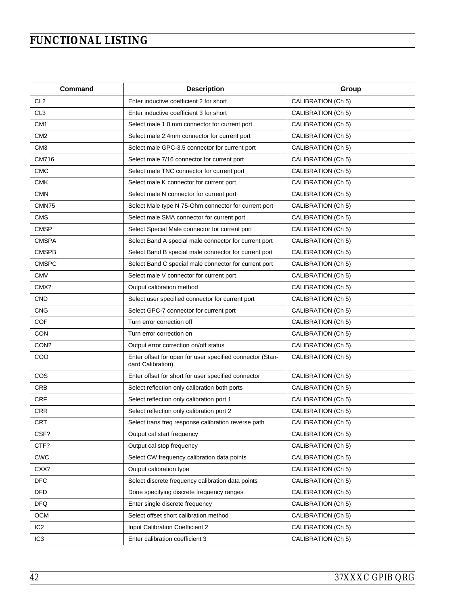| Command         | <b>Description</b>                                                             | Group              |
|-----------------|--------------------------------------------------------------------------------|--------------------|
| CL <sub>2</sub> | Enter inductive coefficient 2 for short                                        | CALIBRATION (Ch 5) |
| CL <sub>3</sub> | Enter inductive coefficient 3 for short                                        | CALIBRATION (Ch 5) |
| CM <sub>1</sub> | Select male 1.0 mm connector for current port                                  | CALIBRATION (Ch 5) |
| CM <sub>2</sub> | Select male 2.4mm connector for current port                                   | CALIBRATION (Ch 5) |
| CM <sub>3</sub> | Select male GPC-3.5 connector for current port                                 | CALIBRATION (Ch 5) |
| CM716           | Select male 7/16 connector for current port                                    | CALIBRATION (Ch 5) |
| <b>CMC</b>      | Select male TNC connector for current port                                     | CALIBRATION (Ch 5) |
| <b>CMK</b>      | Select male K connector for current port                                       | CALIBRATION (Ch 5) |
| <b>CMN</b>      | Select male N connector for current port                                       | CALIBRATION (Ch 5) |
| CMN75           | Select Male type N 75-Ohm connector for current port                           | CALIBRATION (Ch 5) |
| <b>CMS</b>      | Select male SMA connector for current port                                     | CALIBRATION (Ch 5) |
| <b>CMSP</b>     | Select Special Male connector for current port                                 | CALIBRATION (Ch 5) |
| <b>CMSPA</b>    | Select Band A special male connector for current port                          | CALIBRATION (Ch 5) |
| <b>CMSPB</b>    | Select Band B special male connector for current port                          | CALIBRATION (Ch 5) |
| <b>CMSPC</b>    | Select Band C special male connector for current port                          | CALIBRATION (Ch 5) |
| <b>CMV</b>      | Select male V connector for current port                                       | CALIBRATION (Ch 5) |
| CMX?            | Output calibration method                                                      | CALIBRATION (Ch 5) |
| <b>CND</b>      | Select user specified connector for current port                               | CALIBRATION (Ch 5) |
| <b>CNG</b>      | Select GPC-7 connector for current port                                        | CALIBRATION (Ch 5) |
| <b>COF</b>      | Turn error correction off                                                      | CALIBRATION (Ch 5) |
| CON             | Turn error correction on                                                       | CALIBRATION (Ch 5) |
| CON?            | Output error correction on/off status                                          | CALIBRATION (Ch 5) |
| COO             | Enter offset for open for user specified connector (Stan-<br>dard Calibration) | CALIBRATION (Ch 5) |
| COS             | Enter offset for short for user specified connector                            | CALIBRATION (Ch 5) |
| <b>CRB</b>      | Select reflection only calibration both ports                                  | CALIBRATION (Ch 5) |
| <b>CRF</b>      | Select reflection only calibration port 1                                      | CALIBRATION (Ch 5) |
| CRR             | Select reflection only calibration port 2                                      | CALIBRATION (Ch 5) |
| <b>CRT</b>      | Select trans freq response calibration reverse path                            | CALIBRATION (Ch 5) |
| CSF?            | Output cal start frequency                                                     | CALIBRATION (Ch 5) |
| CTF?            | Output cal stop frequency                                                      | CALIBRATION (Ch 5) |
| <b>CWC</b>      | Select CW frequency calibration data points                                    | CALIBRATION (Ch 5) |
| CXX?            | Output calibration type                                                        | CALIBRATION (Ch 5) |
| <b>DFC</b>      | Select discrete frequency calibration data points                              | CALIBRATION (Ch 5) |
| <b>DFD</b>      | Done specifying discrete frequency ranges                                      | CALIBRATION (Ch 5) |
| <b>DFQ</b>      | Enter single discrete frequency                                                | CALIBRATION (Ch 5) |
| <b>OCM</b>      | Select offset short calibration method                                         | CALIBRATION (Ch 5) |
| IC <sub>2</sub> | Input Calibration Coefficient 2                                                | CALIBRATION (Ch 5) |
| IC <sub>3</sub> | Enter calibration coefficient 3                                                | CALIBRATION (Ch 5) |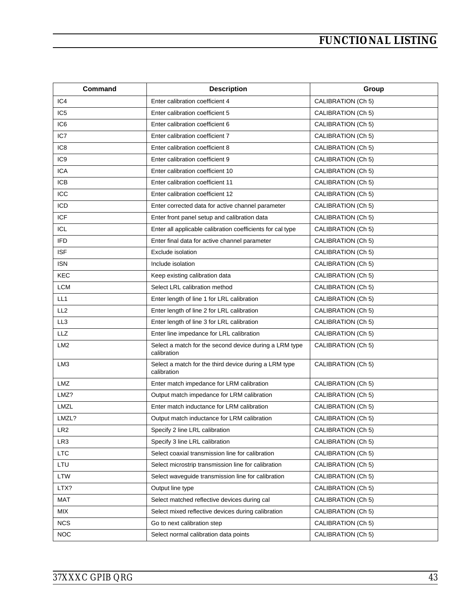| Command         | <b>Description</b>                                                    | Group                     |
|-----------------|-----------------------------------------------------------------------|---------------------------|
| IC4             | Enter calibration coefficient 4                                       | CALIBRATION (Ch 5)        |
| IC <sub>5</sub> | Enter calibration coefficient 5                                       | CALIBRATION (Ch 5)        |
| IC6             | Enter calibration coefficient 6                                       | CALIBRATION (Ch 5)        |
| IC7             | Enter calibration coefficient 7                                       | CALIBRATION (Ch 5)        |
| IC8             | Enter calibration coefficient 8                                       | CALIBRATION (Ch 5)        |
| IC <sub>9</sub> | Enter calibration coefficient 9                                       | CALIBRATION (Ch 5)        |
| <b>ICA</b>      | Enter calibration coefficient 10                                      | <b>CALIBRATION (Ch 5)</b> |
| <b>ICB</b>      | Enter calibration coefficient 11                                      | CALIBRATION (Ch 5)        |
| ICC             | Enter calibration coefficient 12                                      | CALIBRATION (Ch 5)        |
| ICD             | Enter corrected data for active channel parameter                     | CALIBRATION (Ch 5)        |
| <b>ICF</b>      | Enter front panel setup and calibration data                          | CALIBRATION (Ch 5)        |
| ICL             | Enter all applicable calibration coefficients for cal type            | CALIBRATION (Ch 5)        |
| <b>IFD</b>      | Enter final data for active channel parameter                         | CALIBRATION (Ch 5)        |
| <b>ISF</b>      | Exclude isolation                                                     | CALIBRATION (Ch 5)        |
| <b>ISN</b>      | Include isolation                                                     | CALIBRATION (Ch 5)        |
| KEC             | Keep existing calibration data                                        | CALIBRATION (Ch 5)        |
| <b>LCM</b>      | Select LRL calibration method                                         | CALIBRATION (Ch 5)        |
| LL1             | Enter length of line 1 for LRL calibration                            | <b>CALIBRATION (Ch 5)</b> |
| LL <sub>2</sub> | Enter length of line 2 for LRL calibration                            | CALIBRATION (Ch 5)        |
| LL <sub>3</sub> | Enter length of line 3 for LRL calibration                            | CALIBRATION (Ch 5)        |
| LLZ             | Enter line impedance for LRL calibration                              | CALIBRATION (Ch 5)        |
| LM <sub>2</sub> | Select a match for the second device during a LRM type<br>calibration | CALIBRATION (Ch 5)        |
| LM <sub>3</sub> | Select a match for the third device during a LRM type<br>calibration  | CALIBRATION (Ch 5)        |
| <b>LMZ</b>      | Enter match impedance for LRM calibration                             | CALIBRATION (Ch 5)        |
| LMZ?            | Output match impedance for LRM calibration                            | CALIBRATION (Ch 5)        |
| <b>LMZL</b>     | Enter match inductance for LRM calibration                            | CALIBRATION (Ch 5)        |
| LMZL?           | Output match inductance for LRM calibration                           | CALIBRATION (Ch 5)        |
| LR <sub>2</sub> | Specify 2 line LRL calibration                                        | CALIBRATION (Ch 5)        |
| LR <sub>3</sub> | Specify 3 line LRL calibration                                        | CALIBRATION (Ch 5)        |
| <b>LTC</b>      | Select coaxial transmission line for calibration                      | CALIBRATION (Ch 5)        |
| LTU             | Select microstrip transmission line for calibration                   | CALIBRATION (Ch 5)        |
| LTW             | Select waveguide transmission line for calibration                    | CALIBRATION (Ch 5)        |
| LTX?            | Output line type                                                      | CALIBRATION (Ch 5)        |
| <b>MAT</b>      | Select matched reflective devices during cal                          | CALIBRATION (Ch 5)        |
| MIX             | Select mixed reflective devices during calibration                    | CALIBRATION (Ch 5)        |
| <b>NCS</b>      | Go to next calibration step                                           | CALIBRATION (Ch 5)        |
| <b>NOC</b>      | Select normal calibration data points                                 | CALIBRATION (Ch 5)        |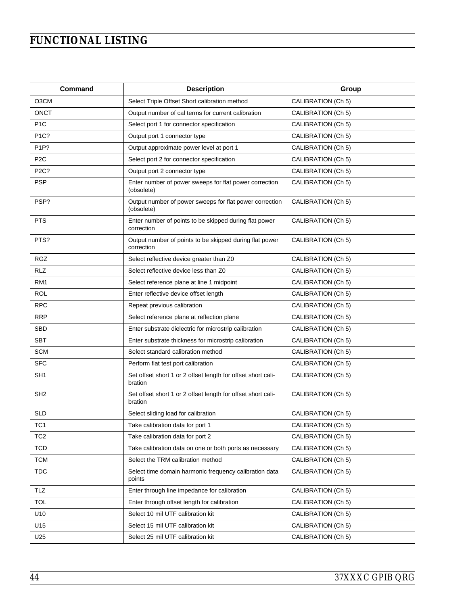| Command           | <b>Description</b>                                                      | Group                     |
|-------------------|-------------------------------------------------------------------------|---------------------------|
| O3CM              | Select Triple Offset Short calibration method                           | CALIBRATION (Ch 5)        |
| <b>ONCT</b>       | Output number of cal terms for current calibration                      | CALIBRATION (Ch 5)        |
| P <sub>1</sub> C  | Select port 1 for connector specification                               | CALIBRATION (Ch 5)        |
| P1C?              | Output port 1 connector type                                            | CALIBRATION (Ch 5)        |
| P <sub>1P</sub> ? | Output approximate power level at port 1                                | CALIBRATION (Ch 5)        |
| P <sub>2</sub> C  | Select port 2 for connector specification                               | CALIBRATION (Ch 5)        |
| P <sub>2</sub> C? | Output port 2 connector type                                            | CALIBRATION (Ch 5)        |
| <b>PSP</b>        | Enter number of power sweeps for flat power correction<br>(obsolete)    | CALIBRATION (Ch 5)        |
| PSP?              | Output number of power sweeps for flat power correction<br>(obsolete)   | CALIBRATION (Ch 5)        |
| <b>PTS</b>        | Enter number of points to be skipped during flat power<br>correction    | CALIBRATION (Ch 5)        |
| PTS?              | Output number of points to be skipped during flat power<br>correction   | CALIBRATION (Ch 5)        |
| <b>RGZ</b>        | Select reflective device greater than Z0                                | CALIBRATION (Ch 5)        |
| <b>RLZ</b>        | Select reflective device less than Z0                                   | CALIBRATION (Ch 5)        |
| RM <sub>1</sub>   | Select reference plane at line 1 midpoint                               | <b>CALIBRATION (Ch 5)</b> |
| ROL               | Enter reflective device offset length                                   | CALIBRATION (Ch 5)        |
| <b>RPC</b>        | Repeat previous calibration                                             | CALIBRATION (Ch 5)        |
| <b>RRP</b>        | Select reference plane at reflection plane                              | CALIBRATION (Ch 5)        |
| <b>SBD</b>        | Enter substrate dielectric for microstrip calibration                   | CALIBRATION (Ch 5)        |
| <b>SBT</b>        | Enter substrate thickness for microstrip calibration                    | CALIBRATION (Ch 5)        |
| <b>SCM</b>        | Select standard calibration method                                      | CALIBRATION (Ch 5)        |
| <b>SFC</b>        | Perform flat test port calibration                                      | CALIBRATION (Ch 5)        |
| SH <sub>1</sub>   | Set offset short 1 or 2 offset length for offset short cali-<br>bration | CALIBRATION (Ch 5)        |
| SH <sub>2</sub>   | Set offset short 1 or 2 offset length for offset short cali-<br>bration | CALIBRATION (Ch 5)        |
| <b>SLD</b>        | Select sliding load for calibration                                     | CALIBRATION (Ch 5)        |
| TC <sub>1</sub>   | Take calibration data for port 1                                        | <b>CALIBRATION (Ch 5)</b> |
| TC2               | Take calibration data for port 2                                        | CALIBRATION (Ch 5)        |
| <b>TCD</b>        | Take calibration data on one or both ports as necessary                 | CALIBRATION (Ch 5)        |
| <b>TCM</b>        | Select the TRM calibration method                                       | CALIBRATION (Ch 5)        |
| <b>TDC</b>        | Select time domain harmonic frequency calibration data<br>points        | CALIBRATION (Ch 5)        |
| TLZ               | Enter through line impedance for calibration                            | CALIBRATION (Ch 5)        |
| <b>TOL</b>        | Enter through offset length for calibration                             | CALIBRATION (Ch 5)        |
| U10               | Select 10 mil UTF calibration kit                                       | CALIBRATION (Ch 5)        |
| U15               | Select 15 mil UTF calibration kit                                       | CALIBRATION (Ch 5)        |
| U25               | Select 25 mil UTF calibration kit                                       | CALIBRATION (Ch 5)        |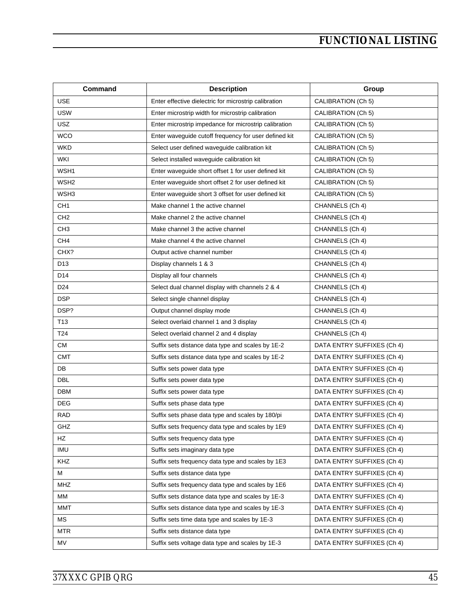| <b>Command</b>   | <b>Description</b>                                    | Group                      |
|------------------|-------------------------------------------------------|----------------------------|
| <b>USE</b>       | Enter effective dielectric for microstrip calibration | CALIBRATION (Ch 5)         |
| <b>USW</b>       | Enter microstrip width for microstrip calibration     | CALIBRATION (Ch 5)         |
| <b>USZ</b>       | Enter microstrip impedance for microstrip calibration | CALIBRATION (Ch 5)         |
| <b>WCO</b>       | Enter waveguide cutoff frequency for user defined kit | CALIBRATION (Ch 5)         |
| <b>WKD</b>       | Select user defined waveguide calibration kit         | CALIBRATION (Ch 5)         |
| <b>WKI</b>       | Select installed waveguide calibration kit            | CALIBRATION (Ch 5)         |
| WSH1             | Enter waveguide short offset 1 for user defined kit   | CALIBRATION (Ch 5)         |
| WSH <sub>2</sub> | Enter waveguide short offset 2 for user defined kit   | CALIBRATION (Ch 5)         |
| WSH3             | Enter wavequide short 3 offset for user defined kit   | CALIBRATION (Ch 5)         |
| CH <sub>1</sub>  | Make channel 1 the active channel                     | CHANNELS (Ch 4)            |
| CH <sub>2</sub>  | Make channel 2 the active channel                     | CHANNELS (Ch 4)            |
| CH <sub>3</sub>  | Make channel 3 the active channel                     | CHANNELS (Ch 4)            |
| CH <sub>4</sub>  | Make channel 4 the active channel                     | CHANNELS (Ch 4)            |
| CHX?             | Output active channel number                          | CHANNELS (Ch 4)            |
| D <sub>13</sub>  | Display channels 1 & 3                                | CHANNELS (Ch 4)            |
| D14              | Display all four channels                             | CHANNELS (Ch 4)            |
| D <sub>24</sub>  | Select dual channel display with channels 2 & 4       | CHANNELS (Ch 4)            |
| <b>DSP</b>       | Select single channel display                         | CHANNELS (Ch 4)            |
| DSP?             | Output channel display mode                           | CHANNELS (Ch 4)            |
| T <sub>13</sub>  | Select overlaid channel 1 and 3 display               | CHANNELS (Ch 4)            |
| T24              | Select overlaid channel 2 and 4 display               | CHANNELS (Ch 4)            |
| <b>CM</b>        | Suffix sets distance data type and scales by 1E-2     | DATA ENTRY SUFFIXES (Ch 4) |
| <b>CMT</b>       | Suffix sets distance data type and scales by 1E-2     | DATA ENTRY SUFFIXES (Ch 4) |
| DB               | Suffix sets power data type                           | DATA ENTRY SUFFIXES (Ch 4) |
| <b>DBL</b>       | Suffix sets power data type                           | DATA ENTRY SUFFIXES (Ch 4) |
| <b>DBM</b>       | Suffix sets power data type                           | DATA ENTRY SUFFIXES (Ch 4) |
| <b>DEG</b>       | Suffix sets phase data type                           | DATA ENTRY SUFFIXES (Ch 4) |
| <b>RAD</b>       | Suffix sets phase data type and scales by 180/pi      | DATA ENTRY SUFFIXES (Ch 4) |
| GHZ              | Suffix sets frequency data type and scales by 1E9     | DATA ENTRY SUFFIXES (Ch 4) |
| HZ               | Suffix sets frequency data type                       | DATA ENTRY SUFFIXES (Ch 4) |
| <b>IMU</b>       | Suffix sets imaginary data type                       | DATA ENTRY SUFFIXES (Ch 4) |
| KHZ              | Suffix sets frequency data type and scales by 1E3     | DATA ENTRY SUFFIXES (Ch 4) |
| м                | Suffix sets distance data type                        | DATA ENTRY SUFFIXES (Ch 4) |
| <b>MHZ</b>       | Suffix sets frequency data type and scales by 1E6     | DATA ENTRY SUFFIXES (Ch 4) |
| МM               | Suffix sets distance data type and scales by 1E-3     | DATA ENTRY SUFFIXES (Ch 4) |
| <b>MMT</b>       | Suffix sets distance data type and scales by 1E-3     | DATA ENTRY SUFFIXES (Ch 4) |
| MS.              | Suffix sets time data type and scales by 1E-3         | DATA ENTRY SUFFIXES (Ch 4) |
| <b>MTR</b>       | Suffix sets distance data type                        | DATA ENTRY SUFFIXES (Ch 4) |
| MV               | Suffix sets voltage data type and scales by 1E-3      | DATA ENTRY SUFFIXES (Ch 4) |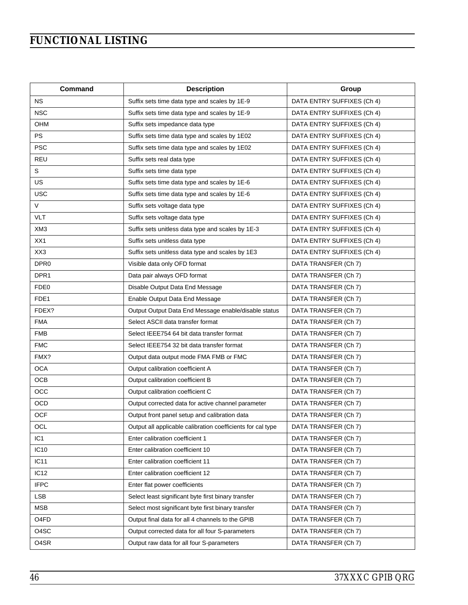| Command                       | <b>Description</b>                                          | Group                      |
|-------------------------------|-------------------------------------------------------------|----------------------------|
| <b>NS</b>                     | Suffix sets time data type and scales by 1E-9               | DATA ENTRY SUFFIXES (Ch 4) |
| <b>NSC</b>                    | Suffix sets time data type and scales by 1E-9               | DATA ENTRY SUFFIXES (Ch 4) |
| OHM                           | Suffix sets impedance data type                             | DATA ENTRY SUFFIXES (Ch 4) |
| <b>PS</b>                     | Suffix sets time data type and scales by 1E02               | DATA ENTRY SUFFIXES (Ch 4) |
| <b>PSC</b>                    | Suffix sets time data type and scales by 1E02               | DATA ENTRY SUFFIXES (Ch 4) |
| <b>REU</b>                    | Suffix sets real data type                                  | DATA ENTRY SUFFIXES (Ch 4) |
| S                             | Suffix sets time data type                                  | DATA ENTRY SUFFIXES (Ch 4) |
| US                            | Suffix sets time data type and scales by 1E-6               | DATA ENTRY SUFFIXES (Ch 4) |
| <b>USC</b>                    | Suffix sets time data type and scales by 1E-6               | DATA ENTRY SUFFIXES (Ch 4) |
| V                             | Suffix sets voltage data type                               | DATA ENTRY SUFFIXES (Ch 4) |
| <b>VLT</b>                    | Suffix sets voltage data type                               | DATA ENTRY SUFFIXES (Ch 4) |
| XM <sub>3</sub>               | Suffix sets unitless data type and scales by 1E-3           | DATA ENTRY SUFFIXES (Ch 4) |
| XX1                           | Suffix sets unitless data type                              | DATA ENTRY SUFFIXES (Ch 4) |
| XX3                           | Suffix sets unitless data type and scales by 1E3            | DATA ENTRY SUFFIXES (Ch 4) |
| DPR <sub>0</sub>              | Visible data only OFD format                                | DATA TRANSFER (Ch 7)       |
| DPR1                          | Data pair always OFD format                                 | DATA TRANSFER (Ch 7)       |
| FDE <sub>0</sub>              | Disable Output Data End Message                             | DATA TRANSFER (Ch 7)       |
| FDE1                          | Enable Output Data End Message                              | DATA TRANSFER (Ch 7)       |
| FDEX?                         | Output Output Data End Message enable/disable status        | DATA TRANSFER (Ch 7)       |
| <b>FMA</b>                    | Select ASCII data transfer format                           | DATA TRANSFER (Ch 7)       |
| <b>FMB</b>                    | Select IEEE754 64 bit data transfer format                  | DATA TRANSFER (Ch 7)       |
| <b>FMC</b>                    | Select IEEE754 32 bit data transfer format                  | DATA TRANSFER (Ch 7)       |
| FMX?                          | Output data output mode FMA FMB or FMC                      | DATA TRANSFER (Ch 7)       |
| <b>OCA</b>                    | Output calibration coefficient A                            | DATA TRANSFER (Ch 7)       |
| <b>OCB</b>                    | Output calibration coefficient B                            | DATA TRANSFER (Ch 7)       |
| OCC                           | Output calibration coefficient C                            | DATA TRANSFER (Ch 7)       |
| OCD                           | Output corrected data for active channel parameter          | DATA TRANSFER (Ch 7)       |
| OCF                           | Output front panel setup and calibration data               | DATA TRANSFER (Ch 7)       |
| OCL                           | Output all applicable calibration coefficients for cal type | DATA TRANSFER (Ch 7)       |
| IC <sub>1</sub>               | Enter calibration coefficient 1                             | DATA TRANSFER (Ch 7)       |
| IC <sub>10</sub>              | Enter calibration coefficient 10                            | DATA TRANSFER (Ch 7)       |
| IC11                          | Enter calibration coefficient 11                            | DATA TRANSFER (Ch 7)       |
| IC12                          | Enter calibration coefficient 12                            | DATA TRANSFER (Ch 7)       |
| <b>IFPC</b>                   | Enter flat power coefficients                               | DATA TRANSFER (Ch 7)       |
| <b>LSB</b>                    | Select least significant byte first binary transfer         | DATA TRANSFER (Ch 7)       |
| <b>MSB</b>                    | Select most significant byte first binary transfer          | DATA TRANSFER (Ch 7)       |
| O <sub>4</sub> F <sub>D</sub> | Output final data for all 4 channels to the GPIB            | DATA TRANSFER (Ch 7)       |
| O4SC                          | Output corrected data for all four S-parameters             | DATA TRANSFER (Ch 7)       |
| O4SR                          | Output raw data for all four S-parameters                   | DATA TRANSFER (Ch 7)       |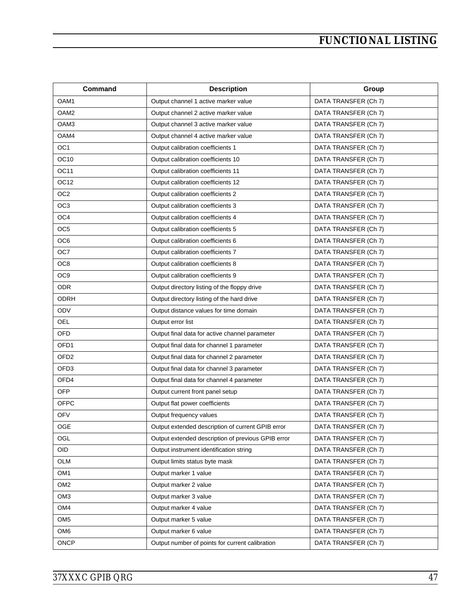| Command          | <b>Description</b>                                 | Group                |
|------------------|----------------------------------------------------|----------------------|
| OAM1             | Output channel 1 active marker value               | DATA TRANSFER (Ch 7) |
| OAM <sub>2</sub> | Output channel 2 active marker value               | DATA TRANSFER (Ch 7) |
| OAM3             | Output channel 3 active marker value               | DATA TRANSFER (Ch 7) |
| OAM4             | Output channel 4 active marker value               | DATA TRANSFER (Ch 7) |
| OC <sub>1</sub>  | Output calibration coefficients 1                  | DATA TRANSFER (Ch 7) |
| OC <sub>10</sub> | Output calibration coefficients 10                 | DATA TRANSFER (Ch 7) |
| OC <sub>11</sub> | Output calibration coefficients 11                 | DATA TRANSFER (Ch 7) |
| OC <sub>12</sub> | Output calibration coefficients 12                 | DATA TRANSFER (Ch 7) |
| OC <sub>2</sub>  | Output calibration coefficients 2                  | DATA TRANSFER (Ch 7) |
| OC <sub>3</sub>  | Output calibration coefficients 3                  | DATA TRANSFER (Ch 7) |
| OC4              | Output calibration coefficients 4                  | DATA TRANSFER (Ch 7) |
| OC <sub>5</sub>  | Output calibration coefficients 5                  | DATA TRANSFER (Ch 7) |
| OC6              | Output calibration coefficients 6                  | DATA TRANSFER (Ch 7) |
| OC7              | Output calibration coefficients 7                  | DATA TRANSFER (Ch 7) |
| OC8              | Output calibration coefficients 8                  | DATA TRANSFER (Ch 7) |
| OC <sub>9</sub>  | Output calibration coefficients 9                  | DATA TRANSFER (Ch 7) |
| <b>ODR</b>       | Output directory listing of the floppy drive       | DATA TRANSFER (Ch 7) |
| <b>ODRH</b>      | Output directory listing of the hard drive         | DATA TRANSFER (Ch 7) |
| ODV              | Output distance values for time domain             | DATA TRANSFER (Ch 7) |
| OEL              | Output error list                                  | DATA TRANSFER (Ch 7) |
| <b>OFD</b>       | Output final data for active channel parameter     | DATA TRANSFER (Ch 7) |
| OFD1             | Output final data for channel 1 parameter          | DATA TRANSFER (Ch 7) |
| OFD <sub>2</sub> | Output final data for channel 2 parameter          | DATA TRANSFER (Ch 7) |
| OFD <sub>3</sub> | Output final data for channel 3 parameter          | DATA TRANSFER (Ch 7) |
| OFD4             | Output final data for channel 4 parameter          | DATA TRANSFER (Ch 7) |
| <b>OFP</b>       | Output current front panel setup                   | DATA TRANSFER (Ch 7) |
| <b>OFPC</b>      | Output flat power coefficients                     | DATA TRANSFER (Ch 7) |
| <b>OFV</b>       | Output frequency values                            | DATA TRANSFER (Ch 7) |
| OGE              | Output extended description of current GPIB error  | DATA TRANSFER (Ch 7) |
| OGL              | Output extended description of previous GPIB error | DATA TRANSFER (Ch 7) |
| OID.             | Output instrument identification string            | DATA TRANSFER (Ch 7) |
| <b>OLM</b>       | Output limits status byte mask                     | DATA TRANSFER (Ch 7) |
| OM <sub>1</sub>  | Output marker 1 value                              | DATA TRANSFER (Ch 7) |
| OM <sub>2</sub>  | Output marker 2 value                              | DATA TRANSFER (Ch 7) |
| OM <sub>3</sub>  | Output marker 3 value                              | DATA TRANSFER (Ch 7) |
| OM4              | Output marker 4 value                              | DATA TRANSFER (Ch 7) |
| OM <sub>5</sub>  | Output marker 5 value                              | DATA TRANSFER (Ch 7) |
| OM <sub>6</sub>  | Output marker 6 value                              | DATA TRANSFER (Ch 7) |
| <b>ONCP</b>      | Output number of points for current calibration    | DATA TRANSFER (Ch 7) |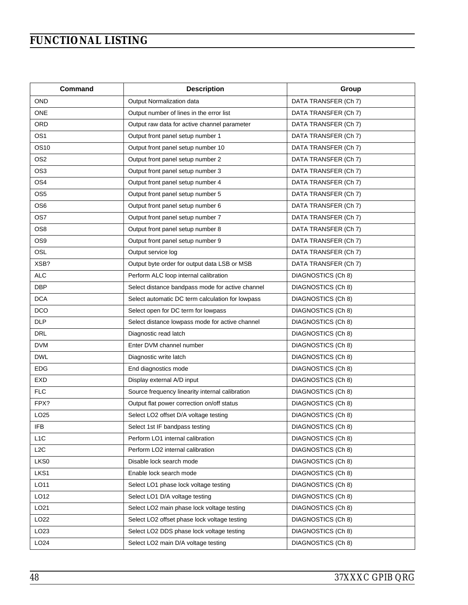| <b>Command</b>   | <b>Description</b>                               | Group                |
|------------------|--------------------------------------------------|----------------------|
| <b>OND</b>       | Output Normalization data                        | DATA TRANSFER (Ch 7) |
| <b>ONE</b>       | Output number of lines in the error list         | DATA TRANSFER (Ch 7) |
| ORD              | Output raw data for active channel parameter     | DATA TRANSFER (Ch 7) |
| OS <sub>1</sub>  | Output front panel setup number 1                | DATA TRANSFER (Ch 7) |
| OS <sub>10</sub> | Output front panel setup number 10               | DATA TRANSFER (Ch 7) |
| OS <sub>2</sub>  | Output front panel setup number 2                | DATA TRANSFER (Ch 7) |
| OS <sub>3</sub>  | Output front panel setup number 3                | DATA TRANSFER (Ch 7) |
| OS <sub>4</sub>  | Output front panel setup number 4                | DATA TRANSFER (Ch 7) |
| OS <sub>5</sub>  | Output front panel setup number 5                | DATA TRANSFER (Ch 7) |
| OS <sub>6</sub>  | Output front panel setup number 6                | DATA TRANSFER (Ch 7) |
| OS7              | Output front panel setup number 7                | DATA TRANSFER (Ch 7) |
| OS <sub>8</sub>  | Output front panel setup number 8                | DATA TRANSFER (Ch 7) |
| OS <sub>9</sub>  | Output front panel setup number 9                | DATA TRANSFER (Ch 7) |
| OSL              | Output service log                               | DATA TRANSFER (Ch 7) |
| XSB?             | Output byte order for output data LSB or MSB     | DATA TRANSFER (Ch 7) |
| <b>ALC</b>       | Perform ALC loop internal calibration            | DIAGNOSTICS (Ch 8)   |
| <b>DBP</b>       | Select distance bandpass mode for active channel | DIAGNOSTICS (Ch 8)   |
| <b>DCA</b>       | Select automatic DC term calculation for lowpass | DIAGNOSTICS (Ch 8)   |
| <b>DCO</b>       | Select open for DC term for lowpass              | DIAGNOSTICS (Ch 8)   |
| <b>DLP</b>       | Select distance lowpass mode for active channel  | DIAGNOSTICS (Ch 8)   |
| <b>DRL</b>       | Diagnostic read latch                            | DIAGNOSTICS (Ch 8)   |
| <b>DVM</b>       | Enter DVM channel number                         | DIAGNOSTICS (Ch 8)   |
| <b>DWL</b>       | Diagnostic write latch                           | DIAGNOSTICS (Ch 8)   |
| <b>EDG</b>       | End diagnostics mode                             | DIAGNOSTICS (Ch 8)   |
| <b>EXD</b>       | Display external A/D input                       | DIAGNOSTICS (Ch 8)   |
| <b>FLC</b>       | Source frequency linearity internal calibration  | DIAGNOSTICS (Ch 8)   |
| FPX?             | Output flat power correction on/off status       | DIAGNOSTICS (Ch 8)   |
| LO <sub>25</sub> | Select LO2 offset D/A voltage testing            | DIAGNOSTICS (Ch 8)   |
| <b>IFB</b>       | Select 1st IF bandpass testing                   | DIAGNOSTICS (Ch 8)   |
| L <sub>1</sub> C | Perform LO1 internal calibration                 | DIAGNOSTICS (Ch 8)   |
| L2C              | Perform LO2 internal calibration                 | DIAGNOSTICS (Ch 8)   |
| LKS0             | Disable lock search mode                         | DIAGNOSTICS (Ch 8)   |
| LKS1             | Enable lock search mode                          | DIAGNOSTICS (Ch 8)   |
| LO11             | Select LO1 phase lock voltage testing            | DIAGNOSTICS (Ch 8)   |
| LO12             | Select LO1 D/A voltage testing                   | DIAGNOSTICS (Ch 8)   |
| LO <sub>21</sub> | Select LO2 main phase lock voltage testing       | DIAGNOSTICS (Ch 8)   |
| LO <sub>22</sub> | Select LO2 offset phase lock voltage testing     | DIAGNOSTICS (Ch 8)   |
| LO <sub>23</sub> | Select LO2 DDS phase lock voltage testing        | DIAGNOSTICS (Ch 8)   |
| LO <sub>24</sub> | Select LO2 main D/A voltage testing              | DIAGNOSTICS (Ch 8)   |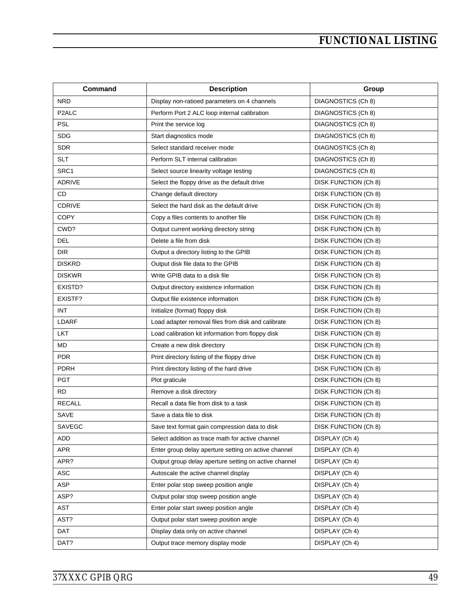| <b>Command</b>     | <b>Description</b>                                    | Group                       |
|--------------------|-------------------------------------------------------|-----------------------------|
| <b>NRD</b>         | Display non-ratioed parameters on 4 channels          | DIAGNOSTICS (Ch 8)          |
| P <sub>2</sub> ALC | Perform Port 2 ALC loop internal calibration          | DIAGNOSTICS (Ch 8)          |
| <b>PSL</b>         | Print the service log                                 | DIAGNOSTICS (Ch 8)          |
| <b>SDG</b>         | Start diagnostics mode                                | DIAGNOSTICS (Ch 8)          |
| <b>SDR</b>         | Select standard receiver mode                         | DIAGNOSTICS (Ch 8)          |
| <b>SLT</b>         | Perform SLT internal calibration                      | DIAGNOSTICS (Ch 8)          |
| SRC1               | Select source linearity voltage testing               | DIAGNOSTICS (Ch 8)          |
| ADRIVE             | Select the floppy drive as the default drive          | <b>DISK FUNCTION (Ch 8)</b> |
| CD                 | Change default directory                              | <b>DISK FUNCTION (Ch 8)</b> |
| <b>CDRIVE</b>      | Select the hard disk as the default drive             | DISK FUNCTION (Ch 8)        |
| <b>COPY</b>        | Copy a files contents to another file                 | DISK FUNCTION (Ch 8)        |
| CWD?               | Output current working directory string               | DISK FUNCTION (Ch 8)        |
| <b>DEL</b>         | Delete a file from disk                               | <b>DISK FUNCTION (Ch 8)</b> |
| <b>DIR</b>         | Output a directory listing to the GPIB                | DISK FUNCTION (Ch 8)        |
| <b>DISKRD</b>      | Output disk file data to the GPIB                     | DISK FUNCTION (Ch 8)        |
| <b>DISKWR</b>      | Write GPIB data to a disk file                        | DISK FUNCTION (Ch 8)        |
| EXISTD?            | Output directory existence information                | DISK FUNCTION (Ch 8)        |
| EXISTF?            | Output file existence information                     | DISK FUNCTION (Ch 8)        |
| <b>INT</b>         | Initialize (format) floppy disk                       | DISK FUNCTION (Ch 8)        |
| LDARF              | Load adapter removal files from disk and calibrate    | <b>DISK FUNCTION (Ch 8)</b> |
| <b>LKT</b>         | Load calibration kit information from floppy disk     | DISK FUNCTION (Ch 8)        |
| <b>MD</b>          | Create a new disk directory                           | DISK FUNCTION (Ch 8)        |
| <b>PDR</b>         | Print directory listing of the floppy drive           | DISK FUNCTION (Ch 8)        |
| <b>PDRH</b>        | Print directory listing of the hard drive             | <b>DISK FUNCTION (Ch 8)</b> |
| <b>PGT</b>         | Plot graticule                                        | DISK FUNCTION (Ch 8)        |
| <b>RD</b>          | Remove a disk directory                               | <b>DISK FUNCTION (Ch 8)</b> |
| <b>RECALL</b>      | Recall a data file from disk to a task                | <b>DISK FUNCTION (Ch 8)</b> |
| SAVE               | Save a data file to disk                              | <b>DISK FUNCTION (Ch 8)</b> |
| <b>SAVEGC</b>      | Save text format gain compression data to disk        | DISK FUNCTION (Ch 8)        |
| ADD                | Select addition as trace math for active channel      | DISPLAY (Ch 4)              |
| APR                | Enter group delay aperture setting on active channel  | DISPLAY (Ch 4)              |
| APR?               | Output group delay aperture setting on active channel | DISPLAY (Ch 4)              |
| ASC                | Autoscale the active channel display                  | DISPLAY (Ch 4)              |
| <b>ASP</b>         | Enter polar stop sweep position angle                 | DISPLAY (Ch 4)              |
| ASP?               | Output polar stop sweep position angle                | DISPLAY (Ch 4)              |
| AST                | Enter polar start sweep position angle                | DISPLAY (Ch 4)              |
| AST?               | Output polar start sweep position angle               | DISPLAY (Ch 4)              |
| <b>DAT</b>         | Display data only on active channel                   | DISPLAY (Ch 4)              |
| DAT?               | Output trace memory display mode                      | DISPLAY (Ch 4)              |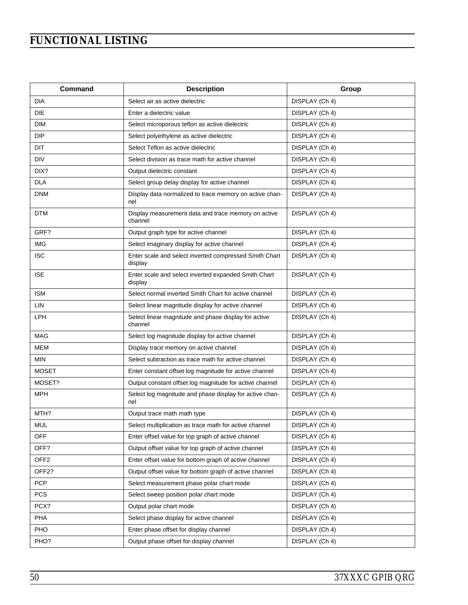| Command           | <b>Description</b>                                                | Group          |
|-------------------|-------------------------------------------------------------------|----------------|
| <b>DIA</b>        | Select air as active dielectric                                   | DISPLAY (Ch 4) |
| <b>DIE</b>        | Enter a dielectric value                                          | DISPLAY (Ch 4) |
| <b>DIM</b>        | Select microporous teflon as active dielectric                    | DISPLAY (Ch 4) |
| <b>DIP</b>        | Select polyethylene as active dielectric                          | DISPLAY (Ch 4) |
| DIT               | Select Teflon as active dielectric                                | DISPLAY (Ch 4) |
| <b>DIV</b>        | Select division as trace math for active channel                  | DISPLAY (Ch 4) |
| DIX?              | Output dielectric constant                                        | DISPLAY (Ch 4) |
| <b>DLA</b>        | Select group delay display for active channel                     | DISPLAY (Ch 4) |
| <b>DNM</b>        | Display data normalized to trace memory on active chan-<br>nel    | DISPLAY (Ch 4) |
| <b>DTM</b>        | Display measurement data and trace memory on active<br>channel    | DISPLAY (Ch 4) |
| GRF?              | Output graph type for active channel                              | DISPLAY (Ch 4) |
| <b>IMG</b>        | Select imaginary display for active channel                       | DISPLAY (Ch 4) |
| <b>ISC</b>        | Enter scale and select inverted compressed Smith Chart<br>display | DISPLAY (Ch 4) |
| <b>ISE</b>        | Enter scale and select inverted expanded Smith Chart<br>display   | DISPLAY (Ch 4) |
| <b>ISM</b>        | Select normal inverted Smith Chart for active channel             | DISPLAY (Ch 4) |
| <b>LIN</b>        | Select linear magnitude display for active channel                | DISPLAY (Ch 4) |
| LPH               | Select linear magnitude and phase display for active<br>channel   | DISPLAY (Ch 4) |
| MAG               | Select log magnitude display for active channel                   | DISPLAY (Ch 4) |
| <b>MEM</b>        | Display trace memory on active channel                            | DISPLAY (Ch 4) |
| <b>MIN</b>        | Select subtraction as trace math for active channel               | DISPLAY (Ch 4) |
| <b>MOSET</b>      | Enter constant offset log magnitude for active channel            | DISPLAY (Ch 4) |
| MOSET?            | Output constant offset log magnitude for active channel           | DISPLAY (Ch 4) |
| <b>MPH</b>        | Select log magnitude and phase display for active chan-<br>nel    | DISPLAY (Ch 4) |
| MTH?              | Output trace math math type                                       | DISPLAY (Ch 4) |
| <b>MUL</b>        | Select multiplication as trace math for active channel            | DISPLAY (Ch 4) |
| OFF               | Enter offset value for top graph of active channel                | DISPLAY (Ch 4) |
| OFF?              | Output offset value for top graph of active channel               | DISPLAY (Ch 4) |
| OFF <sub>2</sub>  | Enter offset value for bottom graph of active channel             | DISPLAY (Ch 4) |
| OFF <sub>2?</sub> | Output offset value for bottom graph of active channel            | DISPLAY (Ch 4) |
| PCP               | Select measurement phase polar chart mode                         | DISPLAY (Ch 4) |
| <b>PCS</b>        | Select sweep position polar chart mode                            | DISPLAY (Ch 4) |
| PCX?              | Output polar chart mode                                           | DISPLAY (Ch 4) |
| PHA               | Select phase display for active channel                           | DISPLAY (Ch 4) |
| <b>PHO</b>        | Enter phase offset for display channel                            | DISPLAY (Ch 4) |
| PHO?              | Output phase offset for display channel                           | DISPLAY (Ch 4) |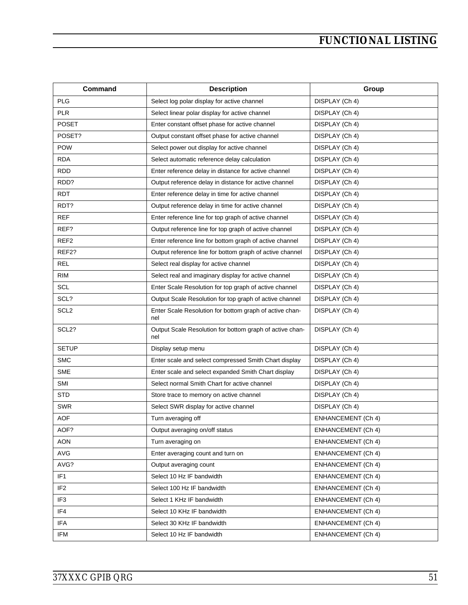| Command           | <b>Description</b>                                              | Group                     |
|-------------------|-----------------------------------------------------------------|---------------------------|
| <b>PLG</b>        | Select log polar display for active channel                     | DISPLAY (Ch 4)            |
| <b>PLR</b>        | Select linear polar display for active channel                  | DISPLAY (Ch 4)            |
| <b>POSET</b>      | Enter constant offset phase for active channel                  | DISPLAY (Ch 4)            |
| POSET?            | Output constant offset phase for active channel                 | DISPLAY (Ch 4)            |
| <b>POW</b>        | Select power out display for active channel                     | DISPLAY (Ch 4)            |
| <b>RDA</b>        | Select automatic reference delay calculation                    | DISPLAY (Ch 4)            |
| <b>RDD</b>        | Enter reference delay in distance for active channel            | DISPLAY (Ch 4)            |
| RDD?              | Output reference delay in distance for active channel           | DISPLAY (Ch 4)            |
| <b>RDT</b>        | Enter reference delay in time for active channel                | DISPLAY (Ch 4)            |
| RDT?              | Output reference delay in time for active channel               | DISPLAY (Ch 4)            |
| <b>REF</b>        | Enter reference line for top graph of active channel            | DISPLAY (Ch 4)            |
| REF?              | Output reference line for top graph of active channel           | DISPLAY (Ch 4)            |
| REF <sub>2</sub>  | Enter reference line for bottom graph of active channel         | DISPLAY (Ch 4)            |
| REF2?             | Output reference line for bottom graph of active channel        | DISPLAY (Ch 4)            |
| <b>REL</b>        | Select real display for active channel                          | DISPLAY (Ch 4)            |
| <b>RIM</b>        | Select real and imaginary display for active channel            | DISPLAY (Ch 4)            |
| <b>SCL</b>        | Enter Scale Resolution for top graph of active channel          | DISPLAY (Ch 4)            |
| SCL?              | Output Scale Resolution for top graph of active channel         | DISPLAY (Ch 4)            |
| SCL <sub>2</sub>  | Enter Scale Resolution for bottom graph of active chan-<br>nel  | DISPLAY (Ch 4)            |
| SCL <sub>2?</sub> | Output Scale Resolution for bottom graph of active chan-<br>nel | DISPLAY (Ch 4)            |
| <b>SETUP</b>      | Display setup menu                                              | DISPLAY (Ch 4)            |
| <b>SMC</b>        | Enter scale and select compressed Smith Chart display           | DISPLAY (Ch 4)            |
| <b>SME</b>        | Enter scale and select expanded Smith Chart display             | DISPLAY (Ch 4)            |
| SMI               | Select normal Smith Chart for active channel                    | DISPLAY (Ch 4)            |
| STD.              | Store trace to memory on active channel                         | DISPLAY (Ch 4)            |
| <b>SWR</b>        | Select SWR display for active channel                           | DISPLAY (Ch 4)            |
| AOF               | Turn averaging off                                              | <b>ENHANCEMENT (Ch 4)</b> |
| AOF?              | Output averaging on/off status                                  | <b>ENHANCEMENT (Ch 4)</b> |
| <b>AON</b>        | Turn averaging on                                               | <b>ENHANCEMENT (Ch 4)</b> |
| AVG               | Enter averaging count and turn on                               | ENHANCEMENT (Ch 4)        |
| AVG?              | Output averaging count                                          | <b>ENHANCEMENT (Ch 4)</b> |
| IF <sub>1</sub>   | Select 10 Hz IF bandwidth                                       | ENHANCEMENT (Ch 4)        |
| IF <sub>2</sub>   | Select 100 Hz IF bandwidth                                      | <b>ENHANCEMENT (Ch 4)</b> |
| IF <sub>3</sub>   | Select 1 KHz IF bandwidth                                       | ENHANCEMENT (Ch 4)        |
| IF4               | Select 10 KHz IF bandwidth                                      | ENHANCEMENT (Ch 4)        |
| IFA               | Select 30 KHz IF bandwidth                                      | ENHANCEMENT (Ch 4)        |
| IFM               | Select 10 Hz IF bandwidth                                       | ENHANCEMENT (Ch 4)        |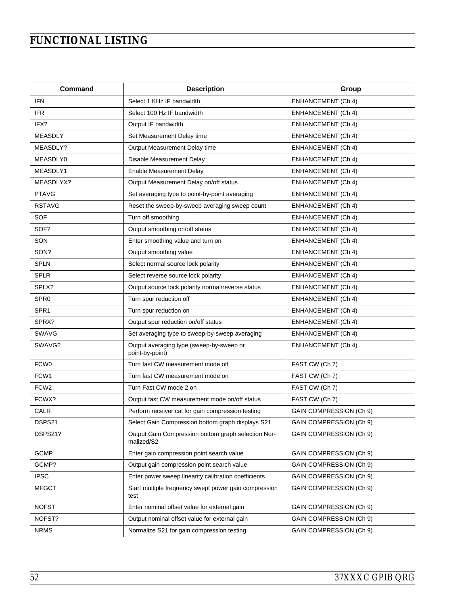| Command          | <b>Description</b>                                                | Group                          |
|------------------|-------------------------------------------------------------------|--------------------------------|
| IFN              | Select 1 KHz IF bandwidth                                         | <b>ENHANCEMENT (Ch 4)</b>      |
| <b>IFR</b>       | Select 100 Hz IF bandwidth                                        | <b>ENHANCEMENT (Ch 4)</b>      |
| IFX?             | Output IF bandwidth                                               | <b>ENHANCEMENT (Ch 4)</b>      |
| <b>MEASDLY</b>   | Set Measurement Delay time                                        | <b>ENHANCEMENT (Ch 4)</b>      |
| MEASDLY?         | Output Measurement Delay time                                     | ENHANCEMENT (Ch 4)             |
| MEASDLY0         | Disable Measurement Delay                                         | <b>ENHANCEMENT (Ch 4)</b>      |
| MEASDLY1         | <b>Enable Measurement Delay</b>                                   | <b>ENHANCEMENT (Ch 4)</b>      |
| MEASDLYX?        | Output Measurement Delay on/off status                            | <b>ENHANCEMENT (Ch 4)</b>      |
| <b>PTAVG</b>     | Set averaging type to point-by-point averaging                    | ENHANCEMENT (Ch 4)             |
| <b>RSTAVG</b>    | Reset the sweep-by-sweep averaging sweep count                    | <b>ENHANCEMENT (Ch 4)</b>      |
| <b>SOF</b>       | Turn off smoothing                                                | <b>ENHANCEMENT (Ch 4)</b>      |
| SOF?             | Output smoothing on/off status                                    | ENHANCEMENT (Ch 4)             |
| SON              | Enter smoothing value and turn on                                 | <b>ENHANCEMENT (Ch 4)</b>      |
| SON?             | Output smoothing value                                            | <b>ENHANCEMENT (Ch 4)</b>      |
| <b>SPLN</b>      | Select normal source lock polarity                                | <b>ENHANCEMENT (Ch 4)</b>      |
| <b>SPLR</b>      | Select reverse source lock polarity                               | <b>ENHANCEMENT (Ch 4)</b>      |
| SPLX?            | Output source lock polarity normal/reverse status                 | <b>ENHANCEMENT (Ch 4)</b>      |
| SPR <sub>0</sub> | Turn spur reduction off                                           | <b>ENHANCEMENT (Ch 4)</b>      |
| SPR1             | Turn spur reduction on                                            | <b>ENHANCEMENT (Ch 4)</b>      |
| SPRX?            | Output spur reduction on/off status                               | <b>ENHANCEMENT (Ch 4)</b>      |
| <b>SWAVG</b>     | Set averaging type to sweep-by-sweep averaging                    | <b>ENHANCEMENT (Ch 4)</b>      |
| SWAVG?           | Output averaging type (sweep-by-sweep or<br>point-by-point)       | <b>ENHANCEMENT (Ch 4)</b>      |
| FCW <sub>0</sub> | Turn fast CW measurement mode off                                 | FAST CW (Ch 7)                 |
| FCW <sub>1</sub> | Turn fast CW measurement mode on                                  | FAST CW (Ch 7)                 |
| FCW <sub>2</sub> | Turn Fast CW mode 2 on                                            | FAST CW (Ch 7)                 |
| FCWX?            | Output fast CW measurement mode on/off status                     | FAST CW (Ch 7)                 |
| CALR             | Perform receiver cal for gain compression testing                 | <b>GAIN COMPRESSION (Ch 9)</b> |
| DSPS21           | Select Gain Compression bottom graph displays S21                 | GAIN COMPRESSION (Ch 9)        |
| DSPS21?          | Output Gain Compression bottom graph selection Nor-<br>malized/S2 | GAIN COMPRESSION (Ch 9)        |
| <b>GCMP</b>      | Enter gain compression point search value                         | GAIN COMPRESSION (Ch 9)        |
| GCMP?            | Output gain compression point search value                        | GAIN COMPRESSION (Ch 9)        |
| <b>IPSC</b>      | Enter power sweep linearity calibration coefficients              | GAIN COMPRESSION (Ch 9)        |
| <b>MFGCT</b>     | Start multiple frequency swept power gain compression<br>test     | GAIN COMPRESSION (Ch 9)        |
| <b>NOFST</b>     | Enter nominal offset value for external gain                      | GAIN COMPRESSION (Ch 9)        |
| NOFST?           | Output nominal offset value for external gain                     | GAIN COMPRESSION (Ch 9)        |
| <b>NRMS</b>      | Normalize S21 for gain compression testing                        | GAIN COMPRESSION (Ch 9)        |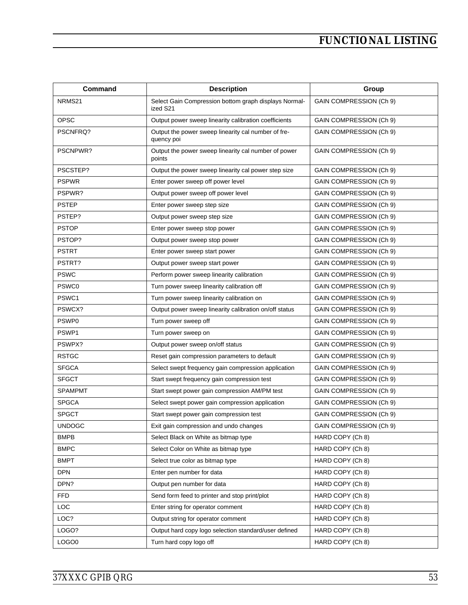| Command        | <b>Description</b>                                                | Group                   |
|----------------|-------------------------------------------------------------------|-------------------------|
| NRMS21         | Select Gain Compression bottom graph displays Normal-<br>ized S21 | GAIN COMPRESSION (Ch 9) |
| <b>OPSC</b>    | Output power sweep linearity calibration coefficients             | GAIN COMPRESSION (Ch 9) |
| PSCNFRQ?       | Output the power sweep linearity cal number of fre-<br>quency poi | GAIN COMPRESSION (Ch 9) |
| PSCNPWR?       | Output the power sweep linearity cal number of power<br>points    | GAIN COMPRESSION (Ch 9) |
| PSCSTEP?       | Output the power sweep linearity cal power step size              | GAIN COMPRESSION (Ch 9) |
| <b>PSPWR</b>   | Enter power sweep off power level                                 | GAIN COMPRESSION (Ch 9) |
| PSPWR?         | Output power sweep off power level                                | GAIN COMPRESSION (Ch 9) |
| <b>PSTEP</b>   | Enter power sweep step size                                       | GAIN COMPRESSION (Ch 9) |
| PSTEP?         | Output power sweep step size                                      | GAIN COMPRESSION (Ch 9) |
| <b>PSTOP</b>   | Enter power sweep stop power                                      | GAIN COMPRESSION (Ch 9) |
| PSTOP?         | Output power sweep stop power                                     | GAIN COMPRESSION (Ch 9) |
| <b>PSTRT</b>   | Enter power sweep start power                                     | GAIN COMPRESSION (Ch 9) |
| PSTRT?         | Output power sweep start power                                    | GAIN COMPRESSION (Ch 9) |
| <b>PSWC</b>    | Perform power sweep linearity calibration                         | GAIN COMPRESSION (Ch 9) |
| PSWC0          | Turn power sweep linearity calibration off                        | GAIN COMPRESSION (Ch 9) |
| PSWC1          | Turn power sweep linearity calibration on                         | GAIN COMPRESSION (Ch 9) |
| PSWCX?         | Output power sweep linearity calibration on/off status            | GAIN COMPRESSION (Ch 9) |
| PSWP0          | Turn power sweep off                                              | GAIN COMPRESSION (Ch 9) |
| PSWP1          | Turn power sweep on                                               | GAIN COMPRESSION (Ch 9) |
| PSWPX?         | Output power sweep on/off status                                  | GAIN COMPRESSION (Ch 9) |
| <b>RSTGC</b>   | Reset gain compression parameters to default                      | GAIN COMPRESSION (Ch 9) |
| <b>SFGCA</b>   | Select swept frequency gain compression application               | GAIN COMPRESSION (Ch 9) |
| <b>SFGCT</b>   | Start swept frequency gain compression test                       | GAIN COMPRESSION (Ch 9) |
| <b>SPAMPMT</b> | Start swept power gain compression AM/PM test                     | GAIN COMPRESSION (Ch 9) |
| <b>SPGCA</b>   | Select swept power gain compression application                   | GAIN COMPRESSION (Ch 9) |
| <b>SPGCT</b>   | Start swept power gain compression test                           | GAIN COMPRESSION (Ch 9) |
| <b>UNDOGC</b>  | Exit gain compression and undo changes                            | GAIN COMPRESSION (Ch 9) |
| <b>BMPB</b>    | Select Black on White as bitmap type                              | HARD COPY (Ch 8)        |
| <b>BMPC</b>    | Select Color on White as bitmap type                              | HARD COPY (Ch 8)        |
| <b>BMPT</b>    | Select true color as bitmap type                                  | HARD COPY (Ch 8)        |
| <b>DPN</b>     | Enter pen number for data                                         | HARD COPY (Ch 8)        |
| DPN?           | Output pen number for data                                        | HARD COPY (Ch 8)        |
| <b>FFD</b>     | Send form feed to printer and stop print/plot                     | HARD COPY (Ch 8)        |
| LOC            | Enter string for operator comment                                 | HARD COPY (Ch 8)        |
| LOC?           | Output string for operator comment                                | HARD COPY (Ch 8)        |
| LOGO?          | Output hard copy logo selection standard/user defined             | HARD COPY (Ch 8)        |
| LOGO0          | Turn hard copy logo off                                           | HARD COPY (Ch 8)        |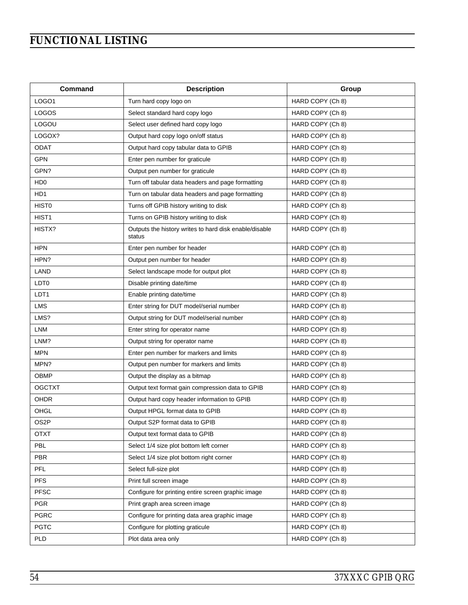| Command           | <b>Description</b>                                               | Group            |
|-------------------|------------------------------------------------------------------|------------------|
| LOGO1             | Turn hard copy logo on                                           | HARD COPY (Ch 8) |
| <b>LOGOS</b>      | Select standard hard copy logo                                   | HARD COPY (Ch 8) |
| LOGOU             | Select user defined hard copy logo                               | HARD COPY (Ch 8) |
| LOGOX?            | Output hard copy logo on/off status                              | HARD COPY (Ch 8) |
| <b>ODAT</b>       | Output hard copy tabular data to GPIB                            | HARD COPY (Ch 8) |
| <b>GPN</b>        | Enter pen number for graticule                                   | HARD COPY (Ch 8) |
| GPN?              | Output pen number for graticule                                  | HARD COPY (Ch 8) |
| HD <sub>0</sub>   | Turn off tabular data headers and page formatting                | HARD COPY (Ch 8) |
| HD1               | Turn on tabular data headers and page formatting                 | HARD COPY (Ch 8) |
| <b>HIST0</b>      | Turns off GPIB history writing to disk                           | HARD COPY (Ch 8) |
| HIST1             | Turns on GPIB history writing to disk                            | HARD COPY (Ch 8) |
| HISTX?            | Outputs the history writes to hard disk enable/disable<br>status | HARD COPY (Ch 8) |
| <b>HPN</b>        | Enter pen number for header                                      | HARD COPY (Ch 8) |
| HPN?              | Output pen number for header                                     | HARD COPY (Ch 8) |
| LAND              | Select landscape mode for output plot                            | HARD COPY (Ch 8) |
| LDT <sub>0</sub>  | Disable printing date/time                                       | HARD COPY (Ch 8) |
| LDT1              | Enable printing date/time                                        | HARD COPY (Ch 8) |
| <b>LMS</b>        | Enter string for DUT model/serial number                         | HARD COPY (Ch 8) |
| LMS?              | Output string for DUT model/serial number                        | HARD COPY (Ch 8) |
| <b>LNM</b>        | Enter string for operator name                                   | HARD COPY (Ch 8) |
| LNM?              | Output string for operator name                                  | HARD COPY (Ch 8) |
| <b>MPN</b>        | Enter pen number for markers and limits                          | HARD COPY (Ch 8) |
| MPN?              | Output pen number for markers and limits                         | HARD COPY (Ch 8) |
| OBMP              | Output the display as a bitmap                                   | HARD COPY (Ch 8) |
| <b>OGCTXT</b>     | Output text format gain compression data to GPIB                 | HARD COPY (Ch 8) |
| OHDR              | Output hard copy header information to GPIB                      | HARD COPY (Ch 8) |
| OHGL              | Output HPGL format data to GPIB                                  | HARD COPY (Ch 8) |
| OS <sub>2</sub> P | Output S2P format data to GPIB                                   | HARD COPY (Ch 8) |
| <b>OTXT</b>       | Output text format data to GPIB                                  | HARD COPY (Ch 8) |
| <b>PBL</b>        | Select 1/4 size plot bottom left corner                          | HARD COPY (Ch 8) |
| <b>PBR</b>        | Select 1/4 size plot bottom right corner                         | HARD COPY (Ch 8) |
| <b>PFL</b>        | Select full-size plot                                            | HARD COPY (Ch 8) |
| <b>PFS</b>        | Print full screen image                                          | HARD COPY (Ch 8) |
| <b>PFSC</b>       | Configure for printing entire screen graphic image               | HARD COPY (Ch 8) |
| <b>PGR</b>        | Print graph area screen image                                    | HARD COPY (Ch 8) |
| <b>PGRC</b>       | Configure for printing data area graphic image                   | HARD COPY (Ch 8) |
| <b>PGTC</b>       | Configure for plotting graticule                                 | HARD COPY (Ch 8) |
| <b>PLD</b>        | Plot data area only                                              | HARD COPY (Ch 8) |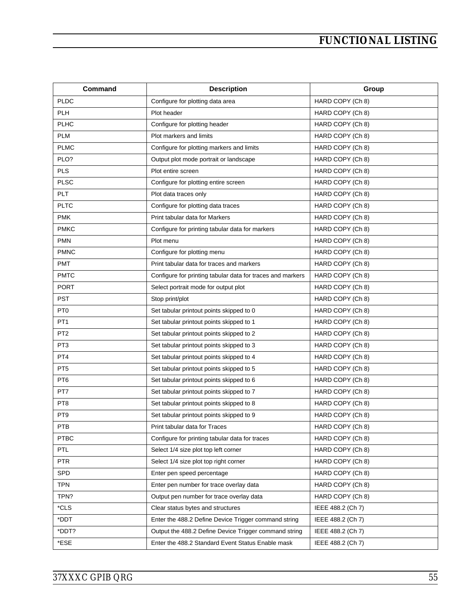| Command         | <b>Description</b>                                         | Group             |
|-----------------|------------------------------------------------------------|-------------------|
| <b>PLDC</b>     | Configure for plotting data area                           | HARD COPY (Ch 8)  |
| <b>PLH</b>      | Plot header                                                | HARD COPY (Ch 8)  |
| <b>PLHC</b>     | Configure for plotting header                              | HARD COPY (Ch 8)  |
| <b>PLM</b>      | Plot markers and limits                                    | HARD COPY (Ch 8)  |
| <b>PLMC</b>     | Configure for plotting markers and limits                  | HARD COPY (Ch 8)  |
| PLO?            | Output plot mode portrait or landscape                     | HARD COPY (Ch 8)  |
| <b>PLS</b>      | Plot entire screen                                         | HARD COPY (Ch 8)  |
| <b>PLSC</b>     | Configure for plotting entire screen                       | HARD COPY (Ch 8)  |
| PLT             | Plot data traces only                                      | HARD COPY (Ch 8)  |
| <b>PLTC</b>     | Configure for plotting data traces                         | HARD COPY (Ch 8)  |
| <b>PMK</b>      | Print tabular data for Markers                             | HARD COPY (Ch 8)  |
| <b>PMKC</b>     | Configure for printing tabular data for markers            | HARD COPY (Ch 8)  |
| <b>PMN</b>      | Plot menu                                                  | HARD COPY (Ch 8)  |
| <b>PMNC</b>     | Configure for plotting menu                                | HARD COPY (Ch 8)  |
| <b>PMT</b>      | Print tabular data for traces and markers                  | HARD COPY (Ch 8)  |
| <b>PMTC</b>     | Configure for printing tabular data for traces and markers | HARD COPY (Ch 8)  |
| <b>PORT</b>     | Select portrait mode for output plot                       | HARD COPY (Ch 8)  |
| <b>PST</b>      | Stop print/plot                                            | HARD COPY (Ch 8)  |
| PT <sub>0</sub> | Set tabular printout points skipped to 0                   | HARD COPY (Ch 8)  |
| PT <sub>1</sub> | Set tabular printout points skipped to 1                   | HARD COPY (Ch 8)  |
| PT <sub>2</sub> | Set tabular printout points skipped to 2                   | HARD COPY (Ch 8)  |
| PT <sub>3</sub> | Set tabular printout points skipped to 3                   | HARD COPY (Ch 8)  |
| PT4             | Set tabular printout points skipped to 4                   | HARD COPY (Ch 8)  |
| PT <sub>5</sub> | Set tabular printout points skipped to 5                   | HARD COPY (Ch 8)  |
| PT <sub>6</sub> | Set tabular printout points skipped to 6                   | HARD COPY (Ch 8)  |
| PT7             | Set tabular printout points skipped to 7                   | HARD COPY (Ch 8)  |
| PT <sub>8</sub> | Set tabular printout points skipped to 8                   | HARD COPY (Ch 8)  |
| PT <sub>9</sub> | Set tabular printout points skipped to 9                   | HARD COPY (Ch 8)  |
| <b>PTB</b>      | Print tabular data for Traces                              | HARD COPY (Ch 8)  |
| <b>PTBC</b>     | Configure for printing tabular data for traces             | HARD COPY (Ch 8)  |
| PTL             | Select 1/4 size plot top left corner                       | HARD COPY (Ch 8)  |
| <b>PTR</b>      | Select 1/4 size plot top right corner                      | HARD COPY (Ch 8)  |
| SPD             | Enter pen speed percentage                                 | HARD COPY (Ch 8)  |
| <b>TPN</b>      | Enter pen number for trace overlay data                    | HARD COPY (Ch 8)  |
| TPN?            | Output pen number for trace overlay data                   | HARD COPY (Ch 8)  |
| *CLS            | Clear status bytes and structures                          | IEEE 488.2 (Ch 7) |
| *DDT            | Enter the 488.2 Define Device Trigger command string       | IEEE 488.2 (Ch 7) |
| *DDT?           | Output the 488.2 Define Device Trigger command string      | IEEE 488.2 (Ch 7) |
| *ESE            | Enter the 488.2 Standard Event Status Enable mask          | IEEE 488.2 (Ch 7) |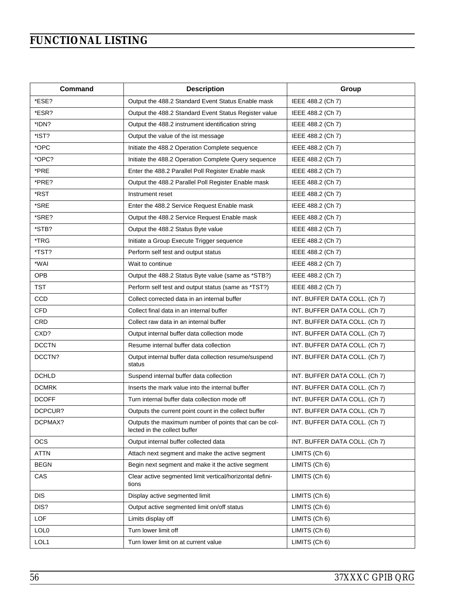| Command      | <b>Description</b>                                                                    | Group                         |
|--------------|---------------------------------------------------------------------------------------|-------------------------------|
| *ESE?        | Output the 488.2 Standard Event Status Enable mask                                    | IEEE 488.2 (Ch 7)             |
| *ESR?        | Output the 488.2 Standard Event Status Register value                                 | IEEE 488.2 (Ch 7)             |
| *IDN?        | Output the 488.2 instrument identification string                                     | IEEE 488.2 (Ch 7)             |
| *IST?        | Output the value of the ist message                                                   | IEEE 488.2 (Ch 7)             |
| *OPC         | Initiate the 488.2 Operation Complete sequence                                        | IEEE 488.2 (Ch 7)             |
| *OPC?        | Initiate the 488.2 Operation Complete Query sequence                                  | IEEE 488.2 (Ch 7)             |
| *PRE         | Enter the 488.2 Parallel Poll Register Enable mask                                    | IEEE 488.2 (Ch 7)             |
| *PRE?        | Output the 488.2 Parallel Poll Register Enable mask                                   | IEEE 488.2 (Ch 7)             |
| *RST         | Instrument reset                                                                      | IEEE 488.2 (Ch 7)             |
| *SRE         | Enter the 488.2 Service Request Enable mask                                           | IEEE 488.2 (Ch 7)             |
| *SRE?        | Output the 488.2 Service Request Enable mask                                          | IEEE 488.2 (Ch 7)             |
| *STB?        | Output the 488.2 Status Byte value                                                    | IEEE 488.2 (Ch 7)             |
| *TRG         | Initiate a Group Execute Trigger sequence                                             | IEEE 488.2 (Ch 7)             |
| *TST?        | Perform self test and output status                                                   | IEEE 488.2 (Ch 7)             |
| *WAI         | Wait to continue                                                                      | IEEE 488.2 (Ch 7)             |
| <b>OPB</b>   | Output the 488.2 Status Byte value (same as *STB?)                                    | IEEE 488.2 (Ch 7)             |
| <b>TST</b>   | Perform self test and output status (same as *TST?)                                   | IEEE 488.2 (Ch 7)             |
| CCD          | Collect corrected data in an internal buffer                                          | INT. BUFFER DATA COLL. (Ch 7) |
| <b>CFD</b>   | Collect final data in an internal buffer                                              | INT. BUFFER DATA COLL. (Ch 7) |
| CRD          | Collect raw data in an internal buffer                                                | INT. BUFFER DATA COLL. (Ch 7) |
| CXD?         | Output internal buffer data collection mode                                           | INT. BUFFER DATA COLL. (Ch 7) |
| <b>DCCTN</b> | Resume internal buffer data collection                                                | INT. BUFFER DATA COLL. (Ch 7) |
| DCCTN?       | Output internal buffer data collection resume/suspend<br>status                       | INT. BUFFER DATA COLL. (Ch 7) |
| <b>DCHLD</b> | Suspend internal buffer data collection                                               | INT. BUFFER DATA COLL. (Ch 7) |
| <b>DCMRK</b> | Inserts the mark value into the internal buffer                                       | INT. BUFFER DATA COLL. (Ch 7) |
| <b>DCOFF</b> | Turn internal buffer data collection mode off                                         | INT. BUFFER DATA COLL. (Ch 7) |
| DCPCUR?      | Outputs the current point count in the collect buffer                                 | INT. BUFFER DATA COLL. (Ch 7) |
| DCPMAX?      | Outputs the maximum number of points that can be col-<br>lected in the collect buffer | INT. BUFFER DATA COLL. (Ch 7) |
| <b>OCS</b>   | Output internal buffer collected data                                                 | INT. BUFFER DATA COLL. (Ch 7) |
| <b>ATTN</b>  | Attach next segment and make the active segment                                       | LIMITS (Ch 6)                 |
| <b>BEGN</b>  | Begin next segment and make it the active segment                                     | LIMITS (Ch 6)                 |
| CAS          | Clear active segmented limit vertical/horizontal defini-<br>tions                     | LIMITS (Ch 6)                 |
| <b>DIS</b>   | Display active segmented limit                                                        | LIMITS (Ch 6)                 |
| DIS?         | Output active segmented limit on/off status                                           | LIMITS (Ch 6)                 |
| LOF          | Limits display off                                                                    | LIMITS (Ch 6)                 |
| LOL0         | Turn lower limit off                                                                  | LIMITS (Ch 6)                 |
| LOL1         | Turn lower limit on at current value                                                  | LIMITS (Ch 6)                 |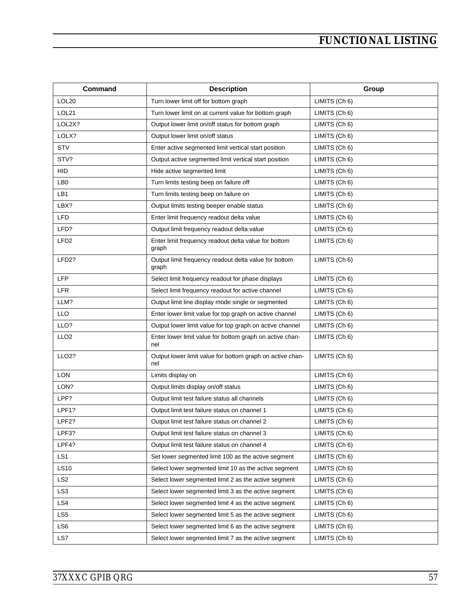| <b>Command</b>     | <b>Description</b>                                               | Group         |
|--------------------|------------------------------------------------------------------|---------------|
| LOL <sub>20</sub>  | Turn lower limit off for bottom graph                            | LIMITS (Ch 6) |
| LOL21              | Turn lower limit on at current value for bottom graph            | LIMITS (Ch 6) |
| LOL2X?             | Output lower limit on/off status for bottom graph                | LIMITS (Ch 6) |
| LOLX?              | Output lower limit on/off status                                 | LIMITS (Ch 6) |
| <b>STV</b>         | Enter active segmented limit vertical start position             | LIMITS (Ch 6) |
| STV?               | Output active segmented limit vertical start position            | LIMITS (Ch 6) |
| <b>HID</b>         | Hide active segmented limit                                      | LIMITS (Ch 6) |
| LB <sub>0</sub>    | Turn limits testing beep on failure off                          | LIMITS (Ch 6) |
| LB1                | Turn limits testing beep on failure on                           | LIMITS (Ch 6) |
| LBX?               | Output limits testing beeper enable status                       | LIMITS (Ch 6) |
| <b>LFD</b>         | Enter limit frequency readout delta value                        | LIMITS (Ch 6) |
| LFD?               | Output limit frequency readout delta value                       | LIMITS (Ch 6) |
| LFD <sub>2</sub>   | Enter limit frequency readout delta value for bottom<br>graph    | LIMITS (Ch 6) |
| LFD <sub>2</sub> ? | Output limit frequency readout delta value for bottom<br>graph   | LIMITS (Ch 6) |
| <b>LFP</b>         | Select limit frequency readout for phase displays                | LIMITS (Ch 6) |
| <b>LFR</b>         | Select limit frequency readout for active channel                | LIMITS (Ch 6) |
| LLM?               | Output limit line display mode single or segmented               | LIMITS (Ch 6) |
| <b>LLO</b>         | Enter lower limit value for top graph on active channel          | LIMITS (Ch 6) |
| LLO?               | Output lower limit value for top graph on active channel         | LIMITS (Ch 6) |
| LLO <sub>2</sub>   | Enter lower limit value for bottom graph on active chan-<br>nel  | LIMITS (Ch 6) |
| <b>LLO2?</b>       | Output lower limit value for bottom graph on active chan-<br>nel | LIMITS (Ch 6) |
| <b>LON</b>         | Limits display on                                                | LIMITS (Ch 6) |
| LON?               | Output limits display on/off status                              | LIMITS (Ch 6) |
| LPF?               | Output limit test failure status all channels                    | LIMITS (Ch 6) |
| LPF1?              | Output limit test failure status on channel 1                    | LIMITS (Ch 6) |
| LPF2?              | Output limit test failure status on channel 2                    | LIMITS (Ch 6) |
| LPF3?              | Output limit test failure status on channel 3                    | LIMITS (Ch 6) |
| LPF4?              | Output limit test failure status on channel 4                    | LIMITS (Ch 6) |
| LS1                | Set lower segmented limit 100 as the active segment              | LIMITS (Ch 6) |
| <b>LS10</b>        | Select lower segmented limit 10 as the active segment            | LIMITS (Ch 6) |
| LS <sub>2</sub>    | Select lower segmented limit 2 as the active segment             | LIMITS (Ch 6) |
| LS3                | Select lower segmented limit 3 as the active segment             | LIMITS (Ch 6) |
| LS4                | Select lower segmented limit 4 as the active segment             | LIMITS (Ch 6) |
| LS5                | Select lower segmented limit 5 as the active segment             | LIMITS (Ch 6) |
| LS <sub>6</sub>    | Select lower segmented limit 6 as the active segment             | LIMITS (Ch 6) |
| LS7                | Select lower segmented limit 7 as the active segment             | LIMITS (Ch 6) |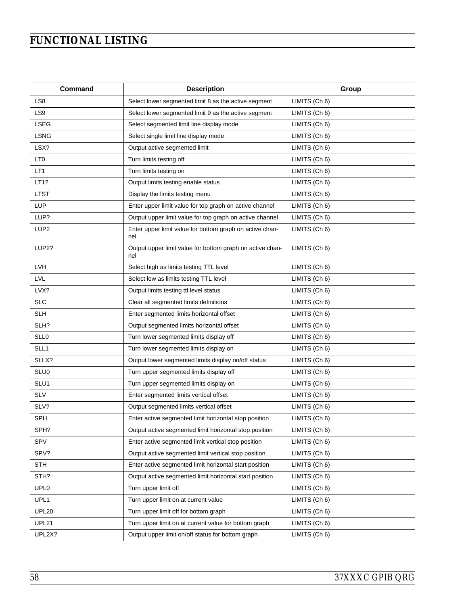| Command          | <b>Description</b>                                               | Group         |
|------------------|------------------------------------------------------------------|---------------|
| LS8              | Select lower segmented limit 8 as the active segment             | LIMITS (Ch 6) |
| LS9              | Select lower segmented limit 9 as the active segment             | LIMITS (Ch 6) |
| <b>LSEG</b>      | Select segmented limit line display mode                         | LIMITS (Ch 6) |
| <b>LSNG</b>      | Select single limit line display mode                            | LIMITS (Ch 6) |
| LSX?             | Output active segmented limit                                    | LIMITS (Ch 6) |
| LT <sub>0</sub>  | Turn limits testing off                                          | LIMITS (Ch 6) |
| LT1              | Turn limits testing on                                           | LIMITS (Ch 6) |
| LT1?             | Output limits testing enable status                              | LIMITS (Ch 6) |
| <b>LTST</b>      | Display the limits testing menu                                  | LIMITS (Ch 6) |
| LUP              | Enter upper limit value for top graph on active channel          | LIMITS (Ch 6) |
| LUP?             | Output upper limit value for top graph on active channel         | LIMITS (Ch 6) |
| LUP <sub>2</sub> | Enter upper limit value for bottom graph on active chan-<br>nel  | LIMITS (Ch 6) |
| LUP2?            | Output upper limit value for bottom graph on active chan-<br>nel | LIMITS (Ch 6) |
| LVH              | Select high as limits testing TTL level                          | LIMITS (Ch 6) |
| <b>LVL</b>       | Select low as limits testing TTL level                           | LIMITS (Ch 6) |
| LVX?             | Output limits testing ttl level status                           | LIMITS (Ch 6) |
| <b>SLC</b>       | Clear all segmented limits definitions                           | LIMITS (Ch 6) |
| <b>SLH</b>       | Enter segmented limits horizontal offset                         | LIMITS (Ch 6) |
| SLH?             | Output segmented limits horizontal offset                        | LIMITS (Ch 6) |
| <b>SLLO</b>      | Turn lower segmented limits display off                          | LIMITS (Ch 6) |
| SLL1             | Turn lower segmented limits display on                           | LIMITS (Ch 6) |
| SLLX?            | Output lower segmented limits display on/off status              | LIMITS (Ch 6) |
| SLU0             | Turn upper segmented limits display off                          | LIMITS (Ch 6) |
| SLU1             | Turn upper segmented limits display on                           | LIMITS (Ch 6) |
| <b>SLV</b>       | Enter segmented limits vertical offset                           | LIMITS (Ch 6) |
| SLV?             | Output segmented limits vertical offset                          | LIMITS (Ch 6) |
| <b>SPH</b>       | Enter active segmented limit horizontal stop position            | LIMITS (Ch 6) |
| SPH?             | Output active segmented limit horizontal stop position           | LIMITS (Ch 6) |
| SPV              | Enter active segmented limit vertical stop position              | LIMITS (Ch 6) |
| SPV?             | Output active segmented limit vertical stop position             | LIMITS (Ch 6) |
| <b>STH</b>       | Enter active segmented limit horizontal start position           | LIMITS (Ch 6) |
| STH?             | Output active segmented limit horizontal start position          | LIMITS (Ch 6) |
| UPL <sub>0</sub> | Turn upper limit off                                             | LIMITS (Ch 6) |
| UPL1             | Turn upper limit on at current value                             | LIMITS (Ch 6) |
| <b>UPL20</b>     | Turn upper limit off for bottom graph                            | LIMITS (Ch 6) |
| UPL21            | Turn upper limit on at current value for bottom graph            | LIMITS (Ch 6) |
| UPL2X?           | Output upper limit on/off status for bottom graph                | LIMITS (Ch 6) |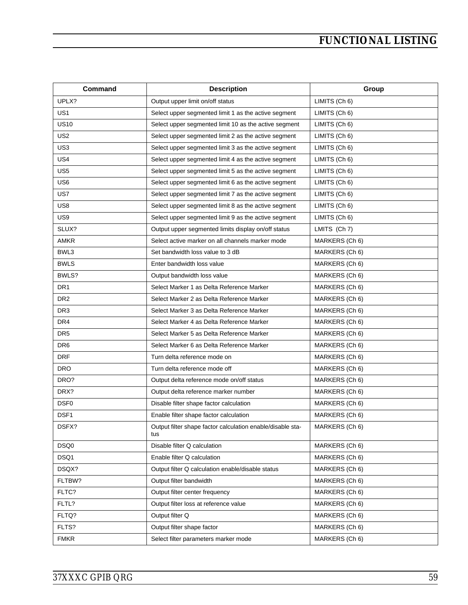| Command         | <b>Description</b>                                                | Group          |
|-----------------|-------------------------------------------------------------------|----------------|
| UPLX?           | Output upper limit on/off status                                  | LIMITS (Ch 6)  |
| US <sub>1</sub> | Select upper segmented limit 1 as the active segment              | LIMITS (Ch 6)  |
| <b>US10</b>     | Select upper segmented limit 10 as the active segment             | LIMITS (Ch 6)  |
| US <sub>2</sub> | Select upper segmented limit 2 as the active segment              | LIMITS (Ch 6)  |
| US <sub>3</sub> | Select upper segmented limit 3 as the active segment              | LIMITS (Ch 6)  |
| US4             | Select upper segmented limit 4 as the active segment              | LIMITS (Ch 6)  |
| US5             | Select upper segmented limit 5 as the active segment              | LIMITS (Ch 6)  |
| US <sub>6</sub> | Select upper segmented limit 6 as the active segment              | LIMITS (Ch 6)  |
| US7             | Select upper segmented limit 7 as the active segment              | LIMITS (Ch 6)  |
| US <sub>8</sub> | Select upper segmented limit 8 as the active segment              | LIMITS (Ch 6)  |
| US9             | Select upper segmented limit 9 as the active segment              | LIMITS (Ch 6)  |
| SLUX?           | Output upper segmented limits display on/off status               | LMITS (Ch 7)   |
| <b>AMKR</b>     | Select active marker on all channels marker mode                  | MARKERS (Ch 6) |
| BWL3            | Set bandwidth loss value to 3 dB                                  | MARKERS (Ch 6) |
| <b>BWLS</b>     | Enter bandwidth loss value                                        | MARKERS (Ch 6) |
| BWLS?           | Output bandwidth loss value                                       | MARKERS (Ch 6) |
| DR <sub>1</sub> | Select Marker 1 as Delta Reference Marker                         | MARKERS (Ch 6) |
| DR <sub>2</sub> | Select Marker 2 as Delta Reference Marker                         | MARKERS (Ch 6) |
| DR <sub>3</sub> | Select Marker 3 as Delta Reference Marker                         | MARKERS (Ch 6) |
| DR4             | Select Marker 4 as Delta Reference Marker                         | MARKERS (Ch 6) |
| DR <sub>5</sub> | Select Marker 5 as Delta Reference Marker                         | MARKERS (Ch 6) |
| DR <sub>6</sub> | Select Marker 6 as Delta Reference Marker                         | MARKERS (Ch 6) |
| <b>DRF</b>      | Turn delta reference mode on                                      | MARKERS (Ch 6) |
| <b>DRO</b>      | Turn delta reference mode off                                     | MARKERS (Ch 6) |
| DRO?            | Output delta reference mode on/off status                         | MARKERS (Ch 6) |
| DRX?            | Output delta reference marker number                              | MARKERS (Ch 6) |
| DSF0            | Disable filter shape factor calculation                           | MARKERS (Ch 6) |
| DSF1            | Enable filter shape factor calculation                            | MARKERS (Ch 6) |
| DSFX?           | Output filter shape factor calculation enable/disable sta-<br>tus | MARKERS (Ch 6) |
| DSQ0            | Disable filter Q calculation                                      | MARKERS (Ch 6) |
| DSQ1            | Enable filter Q calculation                                       | MARKERS (Ch 6) |
| DSQX?           | Output filter Q calculation enable/disable status                 | MARKERS (Ch 6) |
| FLTBW?          | Output filter bandwidth                                           | MARKERS (Ch 6) |
| FLTC?           | Output filter center frequency                                    | MARKERS (Ch 6) |
| FLTL?           | Output filter loss at reference value                             | MARKERS (Ch 6) |
| FLTQ?           | Output filter Q                                                   | MARKERS (Ch 6) |
| FLTS?           | Output filter shape factor                                        | MARKERS (Ch 6) |
| <b>FMKR</b>     | Select filter parameters marker mode                              | MARKERS (Ch 6) |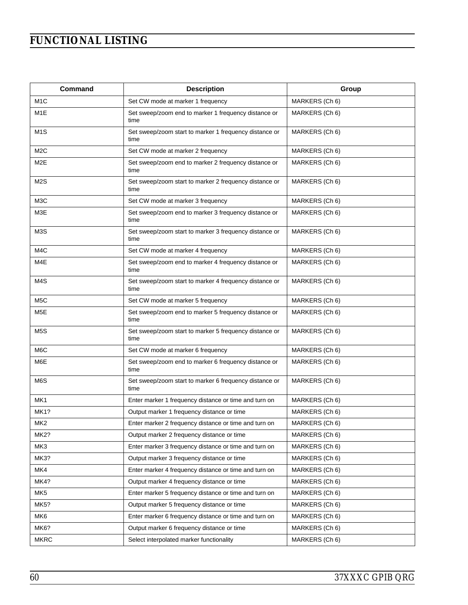| <b>Command</b>   | <b>Description</b>                                             | Group          |
|------------------|----------------------------------------------------------------|----------------|
| M <sub>1</sub> C | Set CW mode at marker 1 frequency                              | MARKERS (Ch 6) |
| M1E              | Set sweep/zoom end to marker 1 frequency distance or<br>time   | MARKERS (Ch 6) |
| M <sub>1</sub> S | Set sweep/zoom start to marker 1 frequency distance or<br>time | MARKERS (Ch 6) |
| M <sub>2</sub> C | Set CW mode at marker 2 frequency                              | MARKERS (Ch 6) |
| M2E              | Set sweep/zoom end to marker 2 frequency distance or<br>time   | MARKERS (Ch 6) |
| M2S              | Set sweep/zoom start to marker 2 frequency distance or<br>time | MARKERS (Ch 6) |
| M <sub>3</sub> C | Set CW mode at marker 3 frequency                              | MARKERS (Ch 6) |
| M3E              | Set sweep/zoom end to marker 3 frequency distance or<br>time   | MARKERS (Ch 6) |
| M3S              | Set sweep/zoom start to marker 3 frequency distance or<br>time | MARKERS (Ch 6) |
| M4C              | Set CW mode at marker 4 frequency                              | MARKERS (Ch 6) |
| M4E              | Set sweep/zoom end to marker 4 frequency distance or<br>time   | MARKERS (Ch 6) |
| M4S              | Set sweep/zoom start to marker 4 frequency distance or<br>time | MARKERS (Ch 6) |
| M <sub>5</sub> C | Set CW mode at marker 5 frequency                              | MARKERS (Ch 6) |
| M <sub>5</sub> E | Set sweep/zoom end to marker 5 frequency distance or<br>time   | MARKERS (Ch 6) |
| M5S              | Set sweep/zoom start to marker 5 frequency distance or<br>time | MARKERS (Ch 6) |
| M <sub>6</sub> C | Set CW mode at marker 6 frequency                              | MARKERS (Ch 6) |
| M6E              | Set sweep/zoom end to marker 6 frequency distance or<br>time   | MARKERS (Ch 6) |
| M6S              | Set sweep/zoom start to marker 6 frequency distance or<br>time | MARKERS (Ch 6) |
| MK1              | Enter marker 1 frequency distance or time and turn on          | MARKERS (Ch 6) |
| <b>MK1?</b>      | Output marker 1 frequency distance or time                     | MARKERS (Ch 6) |
| MK <sub>2</sub>  | Enter marker 2 frequency distance or time and turn on          | MARKERS (Ch 6) |
| MK2?             | Output marker 2 frequency distance or time                     | MARKERS (Ch 6) |
| MK3              | Enter marker 3 frequency distance or time and turn on          | MARKERS (Ch 6) |
| MK3?             | Output marker 3 frequency distance or time                     | MARKERS (Ch 6) |
| MK4              | Enter marker 4 frequency distance or time and turn on          | MARKERS (Ch 6) |
| MK4?             | Output marker 4 frequency distance or time                     | MARKERS (Ch 6) |
| MK <sub>5</sub>  | Enter marker 5 frequency distance or time and turn on          | MARKERS (Ch 6) |
| MK5?             | Output marker 5 frequency distance or time                     | MARKERS (Ch 6) |
| MK <sub>6</sub>  | Enter marker 6 frequency distance or time and turn on          | MARKERS (Ch 6) |
| MK6?             | Output marker 6 frequency distance or time                     | MARKERS (Ch 6) |
| <b>MKRC</b>      | Select interpolated marker functionality                       | MARKERS (Ch 6) |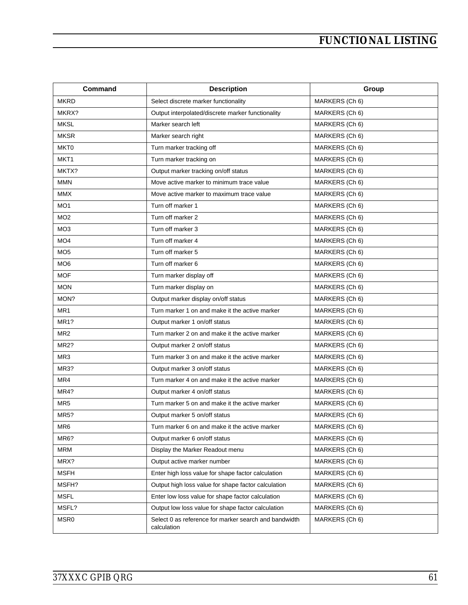| Command           | <b>Description</b>                                                   | Group          |
|-------------------|----------------------------------------------------------------------|----------------|
| <b>MKRD</b>       | Select discrete marker functionality                                 | MARKERS (Ch 6) |
| MKRX?             | Output interpolated/discrete marker functionality                    | MARKERS (Ch 6) |
| <b>MKSL</b>       | Marker search left                                                   | MARKERS (Ch 6) |
| <b>MKSR</b>       | Marker search right                                                  | MARKERS (Ch 6) |
| MKT0              | Turn marker tracking off                                             | MARKERS (Ch 6) |
| MKT <sub>1</sub>  | Turn marker tracking on                                              | MARKERS (Ch 6) |
| MKTX?             | Output marker tracking on/off status                                 | MARKERS (Ch 6) |
| <b>MMN</b>        | Move active marker to minimum trace value                            | MARKERS (Ch 6) |
| <b>MMX</b>        | Move active marker to maximum trace value                            | MARKERS (Ch 6) |
| MO <sub>1</sub>   | Turn off marker 1                                                    | MARKERS (Ch 6) |
| MO <sub>2</sub>   | Turn off marker 2                                                    | MARKERS (Ch 6) |
| MO <sub>3</sub>   | Turn off marker 3                                                    | MARKERS (Ch 6) |
| MO <sub>4</sub>   | Turn off marker 4                                                    | MARKERS (Ch 6) |
| MO <sub>5</sub>   | Turn off marker 5                                                    | MARKERS (Ch 6) |
| MO <sub>6</sub>   | Turn off marker 6                                                    | MARKERS (Ch 6) |
| <b>MOF</b>        | Turn marker display off                                              | MARKERS (Ch 6) |
| <b>MON</b>        | Turn marker display on                                               | MARKERS (Ch 6) |
| MON?              | Output marker display on/off status                                  | MARKERS (Ch 6) |
| MR1               | Turn marker 1 on and make it the active marker                       | MARKERS (Ch 6) |
| MR <sub>1</sub> ? | Output marker 1 on/off status                                        | MARKERS (Ch 6) |
| MR <sub>2</sub>   | Turn marker 2 on and make it the active marker                       | MARKERS (Ch 6) |
| MR2?              | Output marker 2 on/off status                                        | MARKERS (Ch 6) |
| MR3               | Turn marker 3 on and make it the active marker                       | MARKERS (Ch 6) |
| MR3?              | Output marker 3 on/off status                                        | MARKERS (Ch 6) |
| MR4               | Turn marker 4 on and make it the active marker                       | MARKERS (Ch 6) |
| MR4?              | Output marker 4 on/off status                                        | MARKERS (Ch 6) |
| MR <sub>5</sub>   | Turn marker 5 on and make it the active marker                       | MARKERS (Ch 6) |
| MR5?              | Output marker 5 on/off status                                        | MARKERS (Ch 6) |
| MR <sub>6</sub>   | Turn marker 6 on and make it the active marker                       | MARKERS (Ch 6) |
| MR <sub>6</sub> ? | Output marker 6 on/off status                                        | MARKERS (Ch 6) |
| <b>MRM</b>        | Display the Marker Readout menu                                      | MARKERS (Ch 6) |
| MRX?              | Output active marker number                                          | MARKERS (Ch 6) |
| <b>MSFH</b>       | Enter high loss value for shape factor calculation                   | MARKERS (Ch 6) |
| MSFH?             | Output high loss value for shape factor calculation                  | MARKERS (Ch 6) |
| <b>MSFL</b>       | Enter low loss value for shape factor calculation                    | MARKERS (Ch 6) |
| MSFL?             | Output low loss value for shape factor calculation                   | MARKERS (Ch 6) |
| MSR0              | Select 0 as reference for marker search and bandwidth<br>calculation | MARKERS (Ch 6) |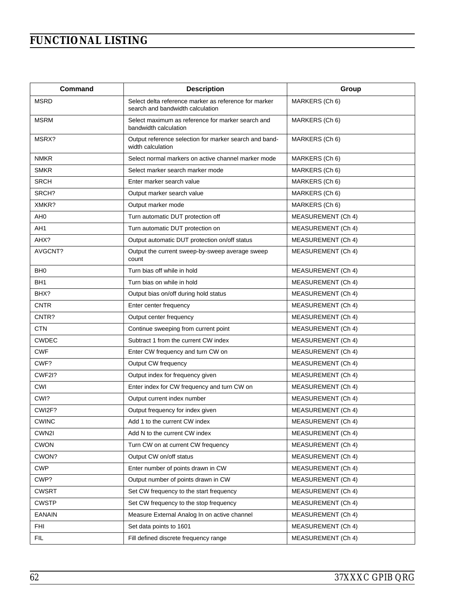| Command         | <b>Description</b>                                                                        | Group                     |
|-----------------|-------------------------------------------------------------------------------------------|---------------------------|
| <b>MSRD</b>     | Select delta reference marker as reference for marker<br>search and bandwidth calculation | MARKERS (Ch 6)            |
| <b>MSRM</b>     | Select maximum as reference for marker search and<br>bandwidth calculation                | MARKERS (Ch 6)            |
| MSRX?           | Output reference selection for marker search and band-<br>width calculation               | MARKERS (Ch 6)            |
| <b>NMKR</b>     | Select normal markers on active channel marker mode                                       | MARKERS (Ch 6)            |
| <b>SMKR</b>     | Select marker search marker mode                                                          | MARKERS (Ch 6)            |
| <b>SRCH</b>     | Enter marker search value                                                                 | MARKERS (Ch 6)            |
| SRCH?           | Output marker search value                                                                | MARKERS (Ch 6)            |
| XMKR?           | Output marker mode                                                                        | MARKERS (Ch 6)            |
| AH0             | Turn automatic DUT protection off                                                         | MEASUREMENT (Ch 4)        |
| AH <sub>1</sub> | Turn automatic DUT protection on                                                          | <b>MEASUREMENT (Ch 4)</b> |
| AHX?            | Output automatic DUT protection on/off status                                             | MEASUREMENT (Ch 4)        |
| AVGCNT?         | Output the current sweep-by-sweep average sweep<br>count                                  | <b>MEASUREMENT (Ch 4)</b> |
| BH <sub>0</sub> | Turn bias off while in hold                                                               | MEASUREMENT (Ch 4)        |
| BH1             | Turn bias on while in hold                                                                | MEASUREMENT (Ch 4)        |
| BHX?            | Output bias on/off during hold status                                                     | MEASUREMENT (Ch 4)        |
| <b>CNTR</b>     | Enter center frequency                                                                    | <b>MEASUREMENT (Ch 4)</b> |
| CNTR?           | Output center frequency                                                                   | <b>MEASUREMENT (Ch 4)</b> |
| <b>CTN</b>      | Continue sweeping from current point                                                      | <b>MEASUREMENT (Ch 4)</b> |
| <b>CWDEC</b>    | Subtract 1 from the current CW index                                                      | MEASUREMENT (Ch 4)        |
| <b>CWF</b>      | Enter CW frequency and turn CW on                                                         | MEASUREMENT (Ch 4)        |
| CWF?            | Output CW frequency                                                                       | <b>MEASUREMENT (Ch 4)</b> |
| CWF2I?          | Output index for frequency given                                                          | <b>MEASUREMENT (Ch 4)</b> |
| CWI             | Enter index for CW frequency and turn CW on                                               | <b>MEASUREMENT (Ch 4)</b> |
| CWI?            | Output current index number                                                               | <b>MEASUREMENT (Ch 4)</b> |
| CWI2F?          | Output frequency for index given                                                          | <b>MEASUREMENT (Ch 4)</b> |
| <b>CWINC</b>    | Add 1 to the current CW index                                                             | MEASUREMENT (Ch 4)        |
| CWN2I           | Add N to the current CW index                                                             | MEASUREMENT (Ch 4)        |
| <b>CWON</b>     | Turn CW on at current CW frequency                                                        | <b>MEASUREMENT (Ch 4)</b> |
| CWON?           | Output CW on/off status                                                                   | MEASUREMENT (Ch 4)        |
| <b>CWP</b>      | Enter number of points drawn in CW                                                        | MEASUREMENT (Ch 4)        |
| CWP?            | Output number of points drawn in CW                                                       | MEASUREMENT (Ch 4)        |
| <b>CWSRT</b>    | Set CW frequency to the start frequency                                                   | MEASUREMENT (Ch 4)        |
| <b>CWSTP</b>    | Set CW frequency to the stop frequency                                                    | <b>MEASUREMENT (Ch 4)</b> |
| <b>EANAIN</b>   | Measure External Analog In on active channel                                              | MEASUREMENT (Ch 4)        |
| <b>FHI</b>      | Set data points to 1601                                                                   | <b>MEASUREMENT (Ch 4)</b> |
| <b>FIL</b>      | Fill defined discrete frequency range                                                     | MEASUREMENT (Ch 4)        |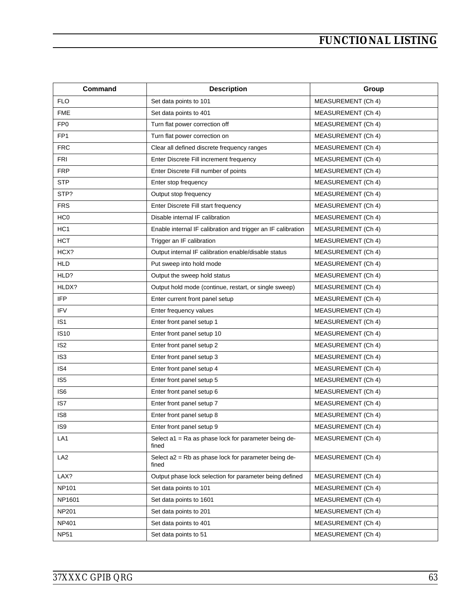| Command         | <b>Description</b>                                            | Group                     |
|-----------------|---------------------------------------------------------------|---------------------------|
| <b>FLO</b>      | Set data points to 101                                        | <b>MEASUREMENT (Ch 4)</b> |
| <b>FME</b>      | Set data points to 401                                        | <b>MEASUREMENT (Ch 4)</b> |
| FP <sub>0</sub> | Turn flat power correction off                                | MEASUREMENT (Ch 4)        |
| FP <sub>1</sub> | Turn flat power correction on                                 | <b>MEASUREMENT (Ch 4)</b> |
| <b>FRC</b>      | Clear all defined discrete frequency ranges                   | MEASUREMENT (Ch 4)        |
| <b>FRI</b>      | Enter Discrete Fill increment frequency                       | MEASUREMENT (Ch 4)        |
| <b>FRP</b>      | Enter Discrete Fill number of points                          | MEASUREMENT (Ch 4)        |
| <b>STP</b>      | Enter stop frequency                                          | MEASUREMENT (Ch 4)        |
| STP?            | Output stop frequency                                         | MEASUREMENT (Ch 4)        |
| <b>FRS</b>      | Enter Discrete Fill start frequency                           | MEASUREMENT (Ch 4)        |
| HC <sub>0</sub> | Disable internal IF calibration                               | <b>MEASUREMENT (Ch 4)</b> |
| HC <sub>1</sub> | Enable internal IF calibration and trigger an IF calibration  | MEASUREMENT (Ch 4)        |
| <b>HCT</b>      | Trigger an IF calibration                                     | MEASUREMENT (Ch 4)        |
| HCX?            | Output internal IF calibration enable/disable status          | MEASUREMENT (Ch 4)        |
| <b>HLD</b>      | Put sweep into hold mode                                      | <b>MEASUREMENT (Ch 4)</b> |
| HLD?            | Output the sweep hold status                                  | MEASUREMENT (Ch 4)        |
| HLDX?           | Output hold mode (continue, restart, or single sweep)         | <b>MEASUREMENT (Ch 4)</b> |
| <b>IFP</b>      | Enter current front panel setup                               | MEASUREMENT (Ch 4)        |
| <b>IFV</b>      | Enter frequency values                                        | MEASUREMENT (Ch 4)        |
| IS <sub>1</sub> | Enter front panel setup 1                                     | MEASUREMENT (Ch 4)        |
| <b>IS10</b>     | Enter front panel setup 10                                    | MEASUREMENT (Ch 4)        |
| IS <sub>2</sub> | Enter front panel setup 2                                     | MEASUREMENT (Ch 4)        |
| IS <sub>3</sub> | Enter front panel setup 3                                     | MEASUREMENT (Ch 4)        |
| IS4             | Enter front panel setup 4                                     | <b>MEASUREMENT (Ch 4)</b> |
| IS <sub>5</sub> | Enter front panel setup 5                                     | <b>MEASUREMENT (Ch 4)</b> |
| IS <sub>6</sub> | Enter front panel setup 6                                     | <b>MEASUREMENT (Ch 4)</b> |
| IS7             | Enter front panel setup 7                                     | MEASUREMENT (Ch 4)        |
| IS <sub>8</sub> | Enter front panel setup 8                                     | <b>MEASUREMENT (Ch 4)</b> |
| IS9             | Enter front panel setup 9                                     | MEASUREMENT (Ch 4)        |
| LA1             | Select a1 = Ra as phase lock for parameter being de-<br>fined | MEASUREMENT (Ch 4)        |
| LA <sub>2</sub> | Select a2 = Rb as phase lock for parameter being de-<br>fined | MEASUREMENT (Ch 4)        |
| LAX?            | Output phase lock selection for parameter being defined       | MEASUREMENT (Ch 4)        |
| <b>NP101</b>    | Set data points to 101                                        | MEASUREMENT (Ch 4)        |
| NP1601          | Set data points to 1601                                       | MEASUREMENT (Ch 4)        |
| <b>NP201</b>    | Set data points to 201                                        | MEASUREMENT (Ch 4)        |
| <b>NP401</b>    | Set data points to 401                                        | MEASUREMENT (Ch 4)        |
| <b>NP51</b>     | Set data points to 51                                         | MEASUREMENT (Ch 4)        |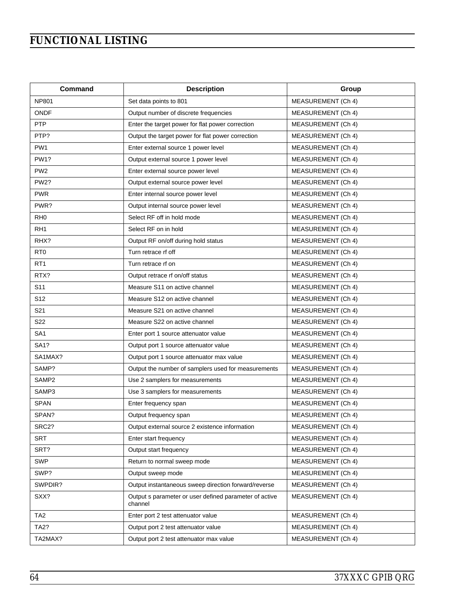| Command           | <b>Description</b>                                                | Group                     |
|-------------------|-------------------------------------------------------------------|---------------------------|
| <b>NP801</b>      | Set data points to 801                                            | <b>MEASUREMENT (Ch 4)</b> |
| <b>ONDF</b>       | Output number of discrete frequencies                             | <b>MEASUREMENT (Ch 4)</b> |
| <b>PTP</b>        | Enter the target power for flat power correction                  | <b>MEASUREMENT (Ch 4)</b> |
| PTP?              | Output the target power for flat power correction                 | <b>MEASUREMENT (Ch 4)</b> |
| PW <sub>1</sub>   | Enter external source 1 power level                               | MEASUREMENT (Ch 4)        |
| <b>PW1?</b>       | Output external source 1 power level                              | MEASUREMENT (Ch 4)        |
| PW <sub>2</sub>   | Enter external source power level                                 | MEASUREMENT (Ch 4)        |
| <b>PW2?</b>       | Output external source power level                                | MEASUREMENT (Ch 4)        |
| <b>PWR</b>        | Enter internal source power level                                 | MEASUREMENT (Ch 4)        |
| PWR?              | Output internal source power level                                | <b>MEASUREMENT (Ch 4)</b> |
| RH <sub>0</sub>   | Select RF off in hold mode                                        | <b>MEASUREMENT (Ch 4)</b> |
| RH <sub>1</sub>   | Select RF on in hold                                              | <b>MEASUREMENT (Ch 4)</b> |
| RHX?              | Output RF on/off during hold status                               | MEASUREMENT (Ch 4)        |
| R <sub>T0</sub>   | Turn retrace rf off                                               | <b>MEASUREMENT (Ch 4)</b> |
| RT <sub>1</sub>   | Turn retrace rf on                                                | <b>MEASUREMENT (Ch 4)</b> |
| RTX?              | Output retrace rf on/off status                                   | <b>MEASUREMENT (Ch 4)</b> |
| S <sub>11</sub>   | Measure S11 on active channel                                     | <b>MEASUREMENT (Ch 4)</b> |
| S <sub>12</sub>   | Measure S12 on active channel                                     | <b>MEASUREMENT (Ch 4)</b> |
| S21               | Measure S21 on active channel                                     | <b>MEASUREMENT (Ch 4)</b> |
| S <sub>22</sub>   | Measure S22 on active channel                                     | MEASUREMENT (Ch 4)        |
| SA <sub>1</sub>   | Enter port 1 source attenuator value                              | <b>MEASUREMENT (Ch 4)</b> |
| SA1?              | Output port 1 source attenuator value                             | <b>MEASUREMENT (Ch 4)</b> |
| SA1MAX?           | Output port 1 source attenuator max value                         | MEASUREMENT (Ch 4)        |
| SAMP?             | Output the number of samplers used for measurements               | <b>MEASUREMENT (Ch 4)</b> |
| SAMP <sub>2</sub> | Use 2 samplers for measurements                                   | <b>MEASUREMENT (Ch 4)</b> |
| SAMP3             | Use 3 samplers for measurements                                   | MEASUREMENT (Ch 4)        |
| <b>SPAN</b>       | Enter frequency span                                              | <b>MEASUREMENT (Ch 4)</b> |
| SPAN?             | Output frequency span                                             | <b>MEASUREMENT (Ch 4)</b> |
| SRC2?             | Output external source 2 existence information                    | <b>MEASUREMENT (Ch 4)</b> |
| <b>SRT</b>        | Enter start frequency                                             | <b>MEASUREMENT (Ch 4)</b> |
| SRT?              | Output start frequency                                            | MEASUREMENT (Ch 4)        |
| <b>SWP</b>        | Return to normal sweep mode                                       | <b>MEASUREMENT (Ch 4)</b> |
| SWP?              | Output sweep mode                                                 | MEASUREMENT (Ch 4)        |
| SWPDIR?           | Output instantaneous sweep direction forward/reverse              | <b>MEASUREMENT (Ch 4)</b> |
| SXX?              | Output s parameter or user defined parameter of active<br>channel | <b>MEASUREMENT (Ch 4)</b> |
| TA <sub>2</sub>   | Enter port 2 test attenuator value                                | <b>MEASUREMENT (Ch 4)</b> |
| TA2?              | Output port 2 test attenuator value                               | <b>MEASUREMENT (Ch 4)</b> |
| TA2MAX?           | Output port 2 test attenuator max value                           | <b>MEASUREMENT (Ch 4)</b> |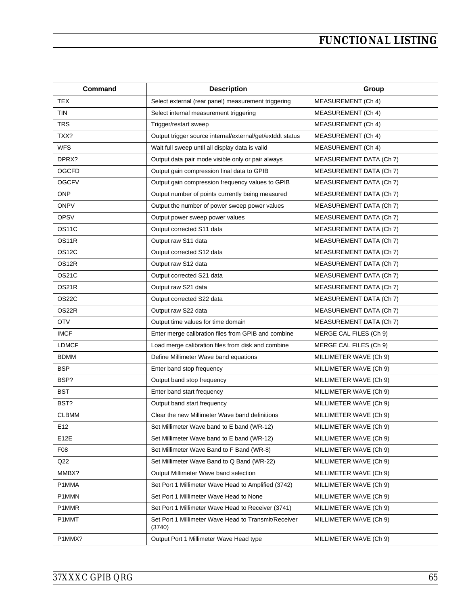| <b>Command</b> | <b>Description</b>                                             | Group                          |
|----------------|----------------------------------------------------------------|--------------------------------|
| <b>TEX</b>     | Select external (rear panel) measurement triggering            | MEASUREMENT (Ch 4)             |
| <b>TIN</b>     | Select internal measurement triggering                         | MEASUREMENT (Ch 4)             |
| <b>TRS</b>     | Trigger/restart sweep                                          | <b>MEASUREMENT (Ch 4)</b>      |
| TXX?           | Output trigger source internal/external/get/extddt status      | MEASUREMENT (Ch 4)             |
| <b>WFS</b>     | Wait full sweep until all display data is valid                | MEASUREMENT (Ch 4)             |
| DPRX?          | Output data pair mode visible only or pair always              | <b>MEASUREMENT DATA (Ch 7)</b> |
| <b>OGCFD</b>   | Output gain compression final data to GPIB                     | MEASUREMENT DATA (Ch 7)        |
| <b>OGCFV</b>   | Output gain compression frequency values to GPIB               | MEASUREMENT DATA (Ch 7)        |
| <b>ONP</b>     | Output number of points currently being measured               | MEASUREMENT DATA (Ch 7)        |
| <b>ONPV</b>    | Output the number of power sweep power values                  | MEASUREMENT DATA (Ch 7)        |
| <b>OPSV</b>    | Output power sweep power values                                | MEASUREMENT DATA (Ch 7)        |
| OS11C          | Output corrected S11 data                                      | MEASUREMENT DATA (Ch 7)        |
| OS11R          | Output raw S11 data                                            | MEASUREMENT DATA (Ch 7)        |
| OS12C          | Output corrected S12 data                                      | MEASUREMENT DATA (Ch 7)        |
| OS12R          | Output raw S12 data                                            | MEASUREMENT DATA (Ch 7)        |
| OS21C          | Output corrected S21 data                                      | MEASUREMENT DATA (Ch 7)        |
| OS21R          | Output raw S21 data                                            | MEASUREMENT DATA (Ch 7)        |
| OS22C          | Output corrected S22 data                                      | MEASUREMENT DATA (Ch 7)        |
| OS22R          | Output raw S22 data                                            | MEASUREMENT DATA (Ch 7)        |
| <b>OTV</b>     | Output time values for time domain                             | MEASUREMENT DATA (Ch 7)        |
| <b>IMCF</b>    | Enter merge calibration files from GPIB and combine            | MERGE CAL FILES (Ch 9)         |
| <b>LDMCF</b>   | Load merge calibration files from disk and combine             | MERGE CAL FILES (Ch 9)         |
| <b>BDMM</b>    | Define Millimeter Wave band equations                          | MILLIMETER WAVE (Ch 9)         |
| <b>BSP</b>     | Enter band stop frequency                                      | MILLIMETER WAVE (Ch 9)         |
| BSP?           | Output band stop frequency                                     | MILLIMETER WAVE (Ch 9)         |
| <b>BST</b>     | Enter band start frequency                                     | MILLIMETER WAVE (Ch 9)         |
| BST?           | Output band start frequency                                    | MILLIMETER WAVE (Ch 9)         |
| <b>CLBMM</b>   | Clear the new Millimeter Wave band definitions                 | MILLIMETER WAVE (Ch 9)         |
| E12            | Set Millimeter Wave band to E band (WR-12)                     | MILLIMETER WAVE (Ch 9)         |
| E12E           | Set Millimeter Wave band to E band (WR-12)                     | MILLIMETER WAVE (Ch 9)         |
| F08            | Set Millimeter Wave Band to F Band (WR-8)                      | MILLIMETER WAVE (Ch 9)         |
| Q22            | Set Millimeter Wave Band to Q Band (WR-22)                     | MILLIMETER WAVE (Ch 9)         |
| MMBX?          | Output Millimeter Wave band selection                          | MILLIMETER WAVE (Ch 9)         |
| P1MMA          | Set Port 1 Millimeter Wave Head to Amplified (3742)            | MILLIMETER WAVE (Ch 9)         |
| P1MMN          | Set Port 1 Millimeter Wave Head to None                        | MILLIMETER WAVE (Ch 9)         |
| P1MMR          | Set Port 1 Millimeter Wave Head to Receiver (3741)             | MILLIMETER WAVE (Ch 9)         |
| P1MMT          | Set Port 1 Millimeter Wave Head to Transmit/Receiver<br>(3740) | MILLIMETER WAVE (Ch 9)         |
| P1MMX?         | Output Port 1 Millimeter Wave Head type                        | MILLIMETER WAVE (Ch 9)         |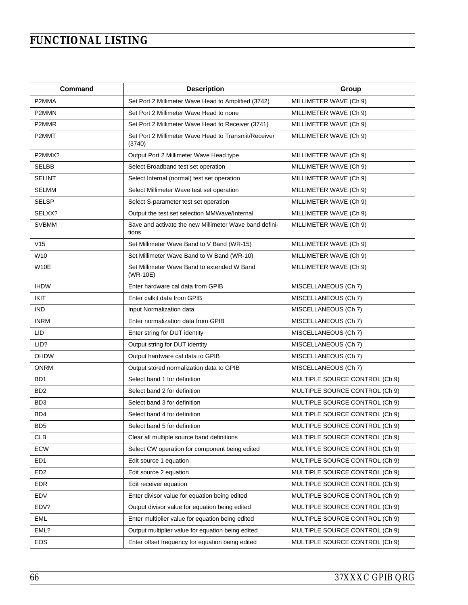| Command         | <b>Description</b>                                              | Group                          |
|-----------------|-----------------------------------------------------------------|--------------------------------|
| P2MMA           | Set Port 2 Millimeter Wave Head to Amplified (3742)             | MILLIMETER WAVE (Ch 9)         |
| P2MMN           | Set Port 2 Millimeter Wave Head to none                         | MILLIMETER WAVE (Ch 9)         |
| P2MMR           | Set Port 2 Millimeter Wave Head to Receiver (3741)              | MILLIMETER WAVE (Ch 9)         |
| P2MMT           | Set Port 2 Millimeter Wave Head to Transmit/Receiver<br>(3740)  | MILLIMETER WAVE (Ch 9)         |
| P2MMX?          | Output Port 2 Millimeter Wave Head type                         | MILLIMETER WAVE (Ch 9)         |
| <b>SELBB</b>    | Select Broadband test set operation                             | MILLIMETER WAVE (Ch 9)         |
| <b>SELINT</b>   | Select Internal (normal) test set operation                     | MILLIMETER WAVE (Ch 9)         |
| SELMM           | Select Millimeter Wave test set operation                       | MILLIMETER WAVE (Ch 9)         |
| <b>SELSP</b>    | Select S-parameter test set operation                           | MILLIMETER WAVE (Ch 9)         |
| SELXX?          | Output the test set selection MMWave/Internal                   | MILLIMETER WAVE (Ch 9)         |
| <b>SVBMM</b>    | Save and activate the new Millimeter Wave band defini-<br>tions | MILLIMETER WAVE (Ch 9)         |
| V15             | Set Millimeter Wave Band to V Band (WR-15)                      | MILLIMETER WAVE (Ch 9)         |
| W10             | Set Millimeter Wave Band to W Band (WR-10)                      | MILLIMETER WAVE (Ch 9)         |
| W10E            | Set Millimeter Wave Band to extended W Band<br>(WR-10E)         | MILLIMETER WAVE (Ch 9)         |
| <b>IHDW</b>     | Enter hardware cal data from GPIB                               | MISCELLANEOUS (Ch 7)           |
| <b>IKIT</b>     | Enter calkit data from GPIB                                     | MISCELLANEOUS (Ch 7)           |
| <b>IND</b>      | Input Normalization data                                        | MISCELLANEOUS (Ch 7)           |
| <b>INRM</b>     | Enter normalization data from GPIB                              | MISCELLANEOUS (Ch 7)           |
| <b>LID</b>      | Enter string for DUT identity                                   | MISCELLANEOUS (Ch 7)           |
| LID?            | Output string for DUT identity                                  | MISCELLANEOUS (Ch 7)           |
| OHDW            | Output hardware cal data to GPIB                                | MISCELLANEOUS (Ch 7)           |
| <b>ONRM</b>     | Output stored normalization data to GPIB                        | MISCELLANEOUS (Ch 7)           |
| BD <sub>1</sub> | Select band 1 for definition                                    | MULTIPLE SOURCE CONTROL (Ch 9) |
| BD <sub>2</sub> | Select band 2 for definition                                    | MULTIPLE SOURCE CONTROL (Ch 9) |
| BD <sub>3</sub> | Select band 3 for definition                                    | MULTIPLE SOURCE CONTROL (Ch 9) |
| BD4             | Select band 4 for definition                                    | MULTIPLE SOURCE CONTROL (Ch 9) |
| BD <sub>5</sub> | Select band 5 for definition                                    | MULTIPLE SOURCE CONTROL (Ch 9) |
| CLB             | Clear all multiple source band definitions                      | MULTIPLE SOURCE CONTROL (Ch 9) |
| <b>ECW</b>      | Select CW operation for component being edited                  | MULTIPLE SOURCE CONTROL (Ch 9) |
| ED <sub>1</sub> | Edit source 1 equation                                          | MULTIPLE SOURCE CONTROL (Ch 9) |
| ED <sub>2</sub> | Edit source 2 equation                                          | MULTIPLE SOURCE CONTROL (Ch 9) |
| <b>EDR</b>      | Edit receiver equation                                          | MULTIPLE SOURCE CONTROL (Ch 9) |
| EDV             | Enter divisor value for equation being edited                   | MULTIPLE SOURCE CONTROL (Ch 9) |
| EDV?            | Output divisor value for equation being edited                  | MULTIPLE SOURCE CONTROL (Ch 9) |
| EML             | Enter multiplier value for equation being edited                | MULTIPLE SOURCE CONTROL (Ch 9) |
| EML?            | Output multiplier value for equation being edited               | MULTIPLE SOURCE CONTROL (Ch 9) |
| <b>EOS</b>      | Enter offset frequency for equation being edited                | MULTIPLE SOURCE CONTROL (Ch 9) |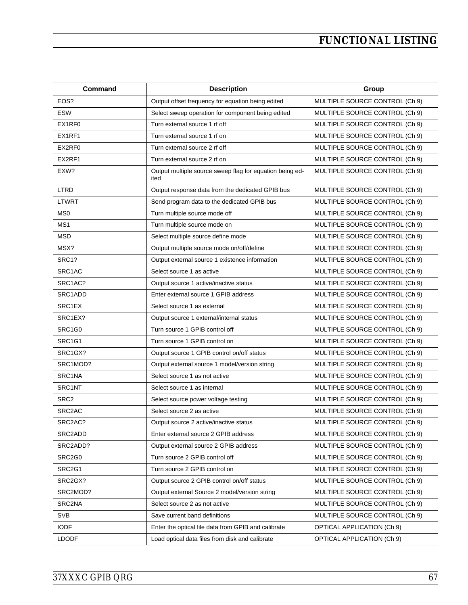| Command          | <b>Description</b>                                               | Group                          |
|------------------|------------------------------------------------------------------|--------------------------------|
| EOS?             | Output offset frequency for equation being edited                | MULTIPLE SOURCE CONTROL (Ch 9) |
| ESW              | Select sweep operation for component being edited                | MULTIPLE SOURCE CONTROL (Ch 9) |
| EX1RF0           | Turn external source 1 rf off                                    | MULTIPLE SOURCE CONTROL (Ch 9) |
| EX1RF1           | Turn external source 1 rf on                                     | MULTIPLE SOURCE CONTROL (Ch 9) |
| EX2RF0           | Turn external source 2 rf off                                    | MULTIPLE SOURCE CONTROL (Ch 9) |
| EX2RF1           | Turn external source 2 rf on                                     | MULTIPLE SOURCE CONTROL (Ch 9) |
| EXW?             | Output multiple source sweep flag for equation being ed-<br>ited | MULTIPLE SOURCE CONTROL (Ch 9) |
| <b>LTRD</b>      | Output response data from the dedicated GPIB bus                 | MULTIPLE SOURCE CONTROL (Ch 9) |
| <b>LTWRT</b>     | Send program data to the dedicated GPIB bus                      | MULTIPLE SOURCE CONTROL (Ch 9) |
| MS <sub>0</sub>  | Turn multiple source mode off                                    | MULTIPLE SOURCE CONTROL (Ch 9) |
| MS1              | Turn multiple source mode on                                     | MULTIPLE SOURCE CONTROL (Ch 9) |
| <b>MSD</b>       | Select multiple source define mode                               | MULTIPLE SOURCE CONTROL (Ch 9) |
| MSX?             | Output multiple source mode on/off/define                        | MULTIPLE SOURCE CONTROL (Ch 9) |
| SRC1?            | Output external source 1 existence information                   | MULTIPLE SOURCE CONTROL (Ch 9) |
| SRC1AC           | Select source 1 as active                                        | MULTIPLE SOURCE CONTROL (Ch 9) |
| SRC1AC?          | Output source 1 active/inactive status                           | MULTIPLE SOURCE CONTROL (Ch 9) |
| SRC1ADD          | Enter external source 1 GPIB address                             | MULTIPLE SOURCE CONTROL (Ch 9) |
| SRC1EX           | Select source 1 as external                                      | MULTIPLE SOURCE CONTROL (Ch 9) |
| SRC1EX?          | Output source 1 external/internal status                         | MULTIPLE SOURCE CONTROL (Ch 9) |
| SRC1G0           | Turn source 1 GPIB control off                                   | MULTIPLE SOURCE CONTROL (Ch 9) |
| SRC1G1           | Turn source 1 GPIB control on                                    | MULTIPLE SOURCE CONTROL (Ch 9) |
| SRC1GX?          | Output source 1 GPIB control on/off status                       | MULTIPLE SOURCE CONTROL (Ch 9) |
| SRC1MOD?         | Output external source 1 model/version string                    | MULTIPLE SOURCE CONTROL (Ch 9) |
| SRC1NA           | Select source 1 as not active                                    | MULTIPLE SOURCE CONTROL (Ch 9) |
| SRC1NT           | Select source 1 as internal                                      | MULTIPLE SOURCE CONTROL (Ch 9) |
| SRC <sub>2</sub> | Select source power voltage testing                              | MULTIPLE SOURCE CONTROL (Ch 9) |
| SRC2AC           | Select source 2 as active                                        | MULTIPLE SOURCE CONTROL (Ch 9) |
| SRC2AC?          | Output source 2 active/inactive status                           | MULTIPLE SOURCE CONTROL (Ch 9) |
| SRC2ADD          | Enter external source 2 GPIB address                             | MULTIPLE SOURCE CONTROL (Ch 9) |
| SRC2ADD?         | Output external source 2 GPIB address                            | MULTIPLE SOURCE CONTROL (Ch 9) |
| SRC2G0           | Turn source 2 GPIB control off                                   | MULTIPLE SOURCE CONTROL (Ch 9) |
| SRC2G1           | Turn source 2 GPIB control on                                    | MULTIPLE SOURCE CONTROL (Ch 9) |
| SRC2GX?          | Output source 2 GPIB control on/off status                       | MULTIPLE SOURCE CONTROL (Ch 9) |
| SRC2MOD?         | Output external Source 2 model/version string                    | MULTIPLE SOURCE CONTROL (Ch 9) |
| SRC2NA           | Select source 2 as not active                                    | MULTIPLE SOURCE CONTROL (Ch 9) |
| <b>SVB</b>       | Save current band definitions                                    | MULTIPLE SOURCE CONTROL (Ch 9) |
| <b>IODF</b>      | Enter the optical file data from GPIB and calibrate              | OPTICAL APPLICATION (Ch 9)     |
| <b>LDODF</b>     | Load optical data files from disk and calibrate                  | OPTICAL APPLICATION (Ch 9)     |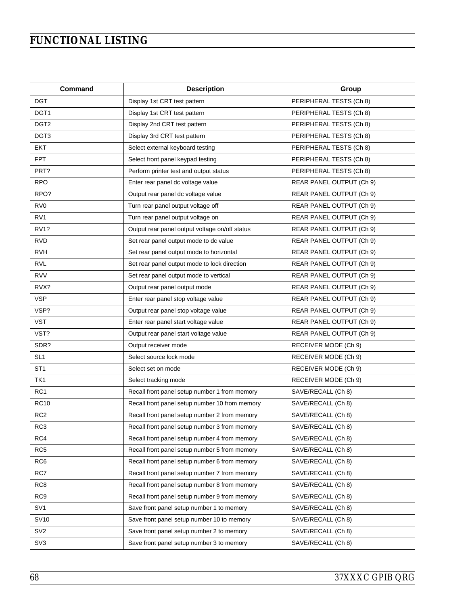| Command          | <b>Description</b>                             | Group                    |
|------------------|------------------------------------------------|--------------------------|
| <b>DGT</b>       | Display 1st CRT test pattern                   | PERIPHERAL TESTS (Ch 8)  |
| DGT <sub>1</sub> | Display 1st CRT test pattern                   | PERIPHERAL TESTS (Ch 8)  |
| DGT <sub>2</sub> | Display 2nd CRT test pattern                   | PERIPHERAL TESTS (Ch 8)  |
| DGT3             | Display 3rd CRT test pattern                   | PERIPHERAL TESTS (Ch 8)  |
| EKT              | Select external keyboard testing               | PERIPHERAL TESTS (Ch 8)  |
| <b>FPT</b>       | Select front panel keypad testing              | PERIPHERAL TESTS (Ch 8)  |
| PRT?             | Perform printer test and output status         | PERIPHERAL TESTS (Ch 8)  |
| <b>RPO</b>       | Enter rear panel dc voltage value              | REAR PANEL OUTPUT (Ch 9) |
| RPO?             | Output rear panel dc voltage value             | REAR PANEL OUTPUT (Ch 9) |
| RV <sub>0</sub>  | Turn rear panel output voltage off             | REAR PANEL OUTPUT (Ch 9) |
| RV1              | Turn rear panel output voltage on              | REAR PANEL OUTPUT (Ch 9) |
| <b>RV1?</b>      | Output rear panel output voltage on/off status | REAR PANEL OUTPUT (Ch 9) |
| <b>RVD</b>       | Set rear panel output mode to dc value         | REAR PANEL OUTPUT (Ch 9) |
| <b>RVH</b>       | Set rear panel output mode to horizontal       | REAR PANEL OUTPUT (Ch 9) |
| <b>RVL</b>       | Set rear panel output mode to lock direction   | REAR PANEL OUTPUT (Ch 9) |
| <b>RVV</b>       | Set rear panel output mode to vertical         | REAR PANEL OUTPUT (Ch 9) |
| RVX?             | Output rear panel output mode                  | REAR PANEL OUTPUT (Ch 9) |
| <b>VSP</b>       | Enter rear panel stop voltage value            | REAR PANEL OUTPUT (Ch 9) |
| VSP?             | Output rear panel stop voltage value           | REAR PANEL OUTPUT (Ch 9) |
| VST              | Enter rear panel start voltage value           | REAR PANEL OUTPUT (Ch 9) |
| VST?             | Output rear panel start voltage value          | REAR PANEL OUTPUT (Ch 9) |
| SDR?             | Output receiver mode                           | RECEIVER MODE (Ch 9)     |
| SL <sub>1</sub>  | Select source lock mode                        | RECEIVER MODE (Ch 9)     |
| ST <sub>1</sub>  | Select set on mode                             | RECEIVER MODE (Ch 9)     |
| TK1              | Select tracking mode                           | RECEIVER MODE (Ch 9)     |
| RC1              | Recall front panel setup number 1 from memory  | SAVE/RECALL (Ch 8)       |
| <b>RC10</b>      | Recall front panel setup number 10 from memory | SAVE/RECALL (Ch 8)       |
| RC <sub>2</sub>  | Recall front panel setup number 2 from memory  | SAVE/RECALL (Ch 8)       |
| RC <sub>3</sub>  | Recall front panel setup number 3 from memory  | SAVE/RECALL (Ch 8)       |
| RC4              | Recall front panel setup number 4 from memory  | SAVE/RECALL (Ch 8)       |
| RC <sub>5</sub>  | Recall front panel setup number 5 from memory  | SAVE/RECALL (Ch 8)       |
| RC <sub>6</sub>  | Recall front panel setup number 6 from memory  | SAVE/RECALL (Ch 8)       |
| RC7              | Recall front panel setup number 7 from memory  | SAVE/RECALL (Ch 8)       |
| RC <sub>8</sub>  | Recall front panel setup number 8 from memory  | SAVE/RECALL (Ch 8)       |
| RC <sub>9</sub>  | Recall front panel setup number 9 from memory  | SAVE/RECALL (Ch 8)       |
| SV <sub>1</sub>  | Save front panel setup number 1 to memory      | SAVE/RECALL (Ch 8)       |
| SV <sub>10</sub> | Save front panel setup number 10 to memory     | SAVE/RECALL (Ch 8)       |
| SV <sub>2</sub>  | Save front panel setup number 2 to memory      | SAVE/RECALL (Ch 8)       |
| SV <sub>3</sub>  | Save front panel setup number 3 to memory      | SAVE/RECALL (Ch 8)       |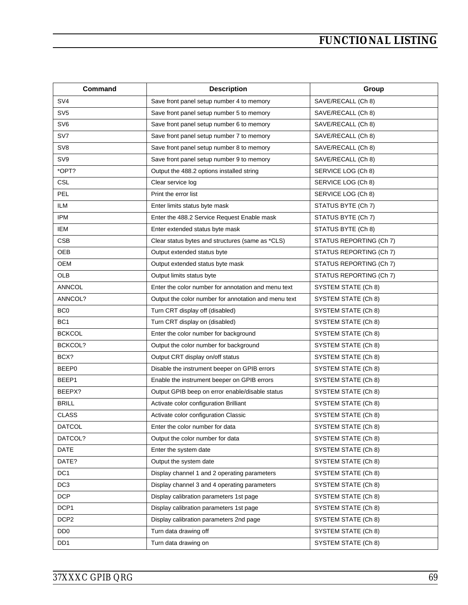| <b>Command</b>   | <b>Description</b>                                   | Group                   |
|------------------|------------------------------------------------------|-------------------------|
| SV <sub>4</sub>  | Save front panel setup number 4 to memory            | SAVE/RECALL (Ch 8)      |
| SV <sub>5</sub>  | Save front panel setup number 5 to memory            | SAVE/RECALL (Ch 8)      |
| SV <sub>6</sub>  | Save front panel setup number 6 to memory            | SAVE/RECALL (Ch 8)      |
| SV7              | Save front panel setup number 7 to memory            | SAVE/RECALL (Ch 8)      |
| SV <sub>8</sub>  | Save front panel setup number 8 to memory            | SAVE/RECALL (Ch 8)      |
| SV9              | Save front panel setup number 9 to memory            | SAVE/RECALL (Ch 8)      |
| *OPT?            | Output the 488.2 options installed string            | SERVICE LOG (Ch 8)      |
| CSL              | Clear service log                                    | SERVICE LOG (Ch 8)      |
| <b>PEL</b>       | Print the error list                                 | SERVICE LOG (Ch 8)      |
| <b>ILM</b>       | Enter limits status byte mask                        | STATUS BYTE (Ch 7)      |
| <b>IPM</b>       | Enter the 488.2 Service Request Enable mask          | STATUS BYTE (Ch 7)      |
| IEM              | Enter extended status byte mask                      | STATUS BYTE (Ch 8)      |
| <b>CSB</b>       | Clear status bytes and structures (same as *CLS)     | STATUS REPORTING (Ch 7) |
| OEB              | Output extended status byte                          | STATUS REPORTING (Ch 7) |
| <b>OEM</b>       | Output extended status byte mask                     | STATUS REPORTING (Ch 7) |
| OLB              | Output limits status byte                            | STATUS REPORTING (Ch 7) |
| <b>ANNCOL</b>    | Enter the color number for annotation and menu text  | SYSTEM STATE (Ch 8)     |
| ANNCOL?          | Output the color number for annotation and menu text | SYSTEM STATE (Ch 8)     |
| BC <sub>0</sub>  | Turn CRT display off (disabled)                      | SYSTEM STATE (Ch 8)     |
| BC <sub>1</sub>  | Turn CRT display on (disabled)                       | SYSTEM STATE (Ch 8)     |
| <b>BCKCOL</b>    | Enter the color number for background                | SYSTEM STATE (Ch 8)     |
| BCKCOL?          | Output the color number for background               | SYSTEM STATE (Ch 8)     |
| BCX?             | Output CRT display on/off status                     | SYSTEM STATE (Ch 8)     |
| BEEP0            | Disable the instrument beeper on GPIB errors         | SYSTEM STATE (Ch 8)     |
| BEEP1            | Enable the instrument beeper on GPIB errors          | SYSTEM STATE (Ch 8)     |
| BEEPX?           | Output GPIB beep on error enable/disable status      | SYSTEM STATE (Ch 8)     |
| <b>BRILL</b>     | Activate color configuration Brilliant               | SYSTEM STATE (Ch 8)     |
| <b>CLASS</b>     | Activate color configuration Classic                 | SYSTEM STATE (Ch 8)     |
| DATCOL           | Enter the color number for data                      | SYSTEM STATE (Ch 8)     |
| DATCOL?          | Output the color number for data                     | SYSTEM STATE (Ch 8)     |
| <b>DATE</b>      | Enter the system date                                | SYSTEM STATE (Ch 8)     |
| DATE?            | Output the system date                               | SYSTEM STATE (Ch 8)     |
| DC <sub>1</sub>  | Display channel 1 and 2 operating parameters         | SYSTEM STATE (Ch 8)     |
| DC <sub>3</sub>  | Display channel 3 and 4 operating parameters         | SYSTEM STATE (Ch 8)     |
| <b>DCP</b>       | Display calibration parameters 1st page              | SYSTEM STATE (Ch 8)     |
| DCP <sub>1</sub> | Display calibration parameters 1st page              | SYSTEM STATE (Ch 8)     |
| DCP <sub>2</sub> | Display calibration parameters 2nd page              | SYSTEM STATE (Ch 8)     |
| DD <sub>0</sub>  | Turn data drawing off                                | SYSTEM STATE (Ch 8)     |
| DD <sub>1</sub>  | Turn data drawing on                                 | SYSTEM STATE (Ch 8)     |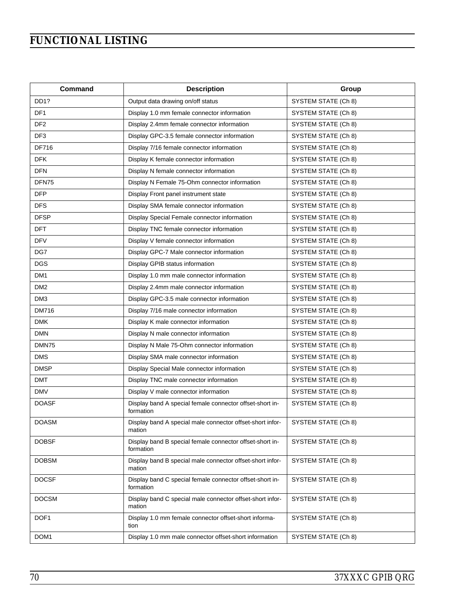| Command          | <b>Description</b>                                                    | Group               |
|------------------|-----------------------------------------------------------------------|---------------------|
| DD <sub>1?</sub> | Output data drawing on/off status                                     | SYSTEM STATE (Ch 8) |
| DF <sub>1</sub>  | Display 1.0 mm female connector information                           | SYSTEM STATE (Ch 8) |
| DF <sub>2</sub>  | Display 2.4mm female connector information                            | SYSTEM STATE (Ch 8) |
| DF <sub>3</sub>  | Display GPC-3.5 female connector information                          | SYSTEM STATE (Ch 8) |
| DF716            | Display 7/16 female connector information                             | SYSTEM STATE (Ch 8) |
| <b>DFK</b>       | Display K female connector information                                | SYSTEM STATE (Ch 8) |
| <b>DFN</b>       | Display N female connector information                                | SYSTEM STATE (Ch 8) |
| DFN75            | Display N Female 75-Ohm connector information                         | SYSTEM STATE (Ch 8) |
| <b>DFP</b>       | Display Front panel instrument state                                  | SYSTEM STATE (Ch 8) |
| <b>DFS</b>       | Display SMA female connector information                              | SYSTEM STATE (Ch 8) |
| <b>DFSP</b>      | Display Special Female connector information                          | SYSTEM STATE (Ch 8) |
| DFT              | Display TNC female connector information                              | SYSTEM STATE (Ch 8) |
| <b>DFV</b>       | Display V female connector information                                | SYSTEM STATE (Ch 8) |
| DG7              | Display GPC-7 Male connector information                              | SYSTEM STATE (Ch 8) |
| <b>DGS</b>       | Display GPIB status information                                       | SYSTEM STATE (Ch 8) |
| DM <sub>1</sub>  | Display 1.0 mm male connector information                             | SYSTEM STATE (Ch 8) |
| DM <sub>2</sub>  | Display 2.4mm male connector information                              | SYSTEM STATE (Ch 8) |
| DM <sub>3</sub>  | Display GPC-3.5 male connector information                            | SYSTEM STATE (Ch 8) |
| <b>DM716</b>     | Display 7/16 male connector information                               | SYSTEM STATE (Ch 8) |
| <b>DMK</b>       | Display K male connector information                                  | SYSTEM STATE (Ch 8) |
| <b>DMN</b>       | Display N male connector information                                  | SYSTEM STATE (Ch 8) |
| DMN75            | Display N Male 75-Ohm connector information                           | SYSTEM STATE (Ch 8) |
| <b>DMS</b>       | Display SMA male connector information                                | SYSTEM STATE (Ch 8) |
| <b>DMSP</b>      | Display Special Male connector information                            | SYSTEM STATE (Ch 8) |
| <b>DMT</b>       | Display TNC male connector information                                | SYSTEM STATE (Ch 8) |
| <b>DMV</b>       | Display V male connector information                                  | SYSTEM STATE (Ch 8) |
| <b>DOASF</b>     | Display band A special female connector offset-short in-<br>formation | SYSTEM STATE (Ch 8) |
| <b>DOASM</b>     | Display band A special male connector offset-short infor-<br>mation   | SYSTEM STATE (Ch 8) |
| <b>DOBSF</b>     | Display band B special female connector offset-short in-<br>formation | SYSTEM STATE (Ch 8) |
| <b>DOBSM</b>     | Display band B special male connector offset-short infor-<br>mation   | SYSTEM STATE (Ch 8) |
| <b>DOCSF</b>     | Display band C special female connector offset-short in-<br>formation | SYSTEM STATE (Ch 8) |
| <b>DOCSM</b>     | Display band C special male connector offset-short infor-<br>mation   | SYSTEM STATE (Ch 8) |
| DOF <sub>1</sub> | Display 1.0 mm female connector offset-short informa-<br>tion         | SYSTEM STATE (Ch 8) |
| DOM <sub>1</sub> | Display 1.0 mm male connector offset-short information                | SYSTEM STATE (Ch 8) |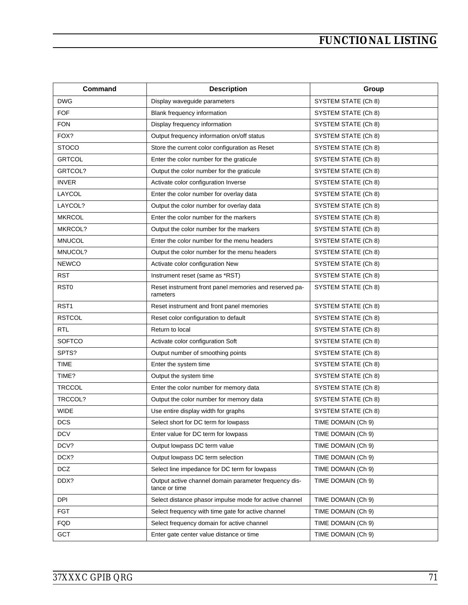## *FUNCTIONAL LISTING*

| Command          | <b>Description</b>                                                     | Group               |
|------------------|------------------------------------------------------------------------|---------------------|
| <b>DWG</b>       | Display waveguide parameters                                           | SYSTEM STATE (Ch 8) |
| <b>FOF</b>       | Blank frequency information                                            | SYSTEM STATE (Ch 8) |
| <b>FON</b>       | Display frequency information                                          | SYSTEM STATE (Ch 8) |
| FOX?             | Output frequency information on/off status                             | SYSTEM STATE (Ch 8) |
| <b>STOCO</b>     | Store the current color configuration as Reset                         | SYSTEM STATE (Ch 8) |
| <b>GRTCOL</b>    | Enter the color number for the graticule                               | SYSTEM STATE (Ch 8) |
| GRTCOL?          | Output the color number for the graticule                              | SYSTEM STATE (Ch 8) |
| <b>INVER</b>     | Activate color configuration Inverse                                   | SYSTEM STATE (Ch 8) |
| LAYCOL           | Enter the color number for overlay data                                | SYSTEM STATE (Ch 8) |
| LAYCOL?          | Output the color number for overlay data                               | SYSTEM STATE (Ch 8) |
| <b>MKRCOL</b>    | Enter the color number for the markers                                 | SYSTEM STATE (Ch 8) |
| MKRCOL?          | Output the color number for the markers                                | SYSTEM STATE (Ch 8) |
| <b>MNUCOL</b>    | Enter the color number for the menu headers                            | SYSTEM STATE (Ch 8) |
| MNUCOL?          | Output the color number for the menu headers                           | SYSTEM STATE (Ch 8) |
| <b>NEWCO</b>     | Activate color configuration New                                       | SYSTEM STATE (Ch 8) |
| <b>RST</b>       | Instrument reset (same as *RST)                                        | SYSTEM STATE (Ch 8) |
| RST <sub>0</sub> | Reset instrument front panel memories and reserved pa-<br>rameters     | SYSTEM STATE (Ch 8) |
| RST <sub>1</sub> | Reset instrument and front panel memories                              | SYSTEM STATE (Ch 8) |
| <b>RSTCOL</b>    | Reset color configuration to default                                   | SYSTEM STATE (Ch 8) |
| <b>RTL</b>       | Return to local                                                        | SYSTEM STATE (Ch 8) |
| <b>SOFTCO</b>    | Activate color configuration Soft                                      | SYSTEM STATE (Ch 8) |
| SPTS?            | Output number of smoothing points                                      | SYSTEM STATE (Ch 8) |
| <b>TIME</b>      | Enter the system time                                                  | SYSTEM STATE (Ch 8) |
| TIME?            | Output the system time                                                 | SYSTEM STATE (Ch 8) |
| <b>TRCCOL</b>    | Enter the color number for memory data                                 | SYSTEM STATE (Ch 8) |
| TRCCOL?          | Output the color number for memory data                                | SYSTEM STATE (Ch 8) |
| <b>WIDE</b>      | Use entire display width for graphs                                    | SYSTEM STATE (Ch 8) |
| <b>DCS</b>       | Select short for DC term for lowpass                                   | TIME DOMAIN (Ch 9)  |
| <b>DCV</b>       | Enter value for DC term for lowpass                                    | TIME DOMAIN (Ch 9)  |
| DCV?             | Output lowpass DC term value                                           | TIME DOMAIN (Ch 9)  |
| DCX?             | Output lowpass DC term selection                                       | TIME DOMAIN (Ch 9)  |
| <b>DCZ</b>       | Select line impedance for DC term for lowpass                          | TIME DOMAIN (Ch 9)  |
| DDX?             | Output active channel domain parameter frequency dis-<br>tance or time | TIME DOMAIN (Ch 9)  |
| DPI              | Select distance phasor impulse mode for active channel                 | TIME DOMAIN (Ch 9)  |
| <b>FGT</b>       | Select frequency with time gate for active channel                     | TIME DOMAIN (Ch 9)  |
| <b>FQD</b>       | Select frequency domain for active channel                             | TIME DOMAIN (Ch 9)  |
| GCT              | Enter gate center value distance or time                               | TIME DOMAIN (Ch 9)  |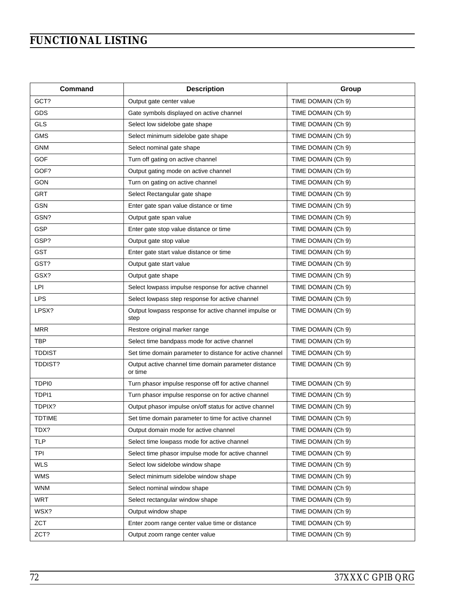## *FUNCTIONAL LISTING*

| Command       | <b>Description</b>                                              | Group              |
|---------------|-----------------------------------------------------------------|--------------------|
| GCT?          | Output gate center value                                        | TIME DOMAIN (Ch 9) |
| GDS           | Gate symbols displayed on active channel                        | TIME DOMAIN (Ch 9) |
| <b>GLS</b>    | Select low sidelobe gate shape                                  | TIME DOMAIN (Ch 9) |
| <b>GMS</b>    | Select minimum sidelobe gate shape                              | TIME DOMAIN (Ch 9) |
| <b>GNM</b>    | Select nominal gate shape                                       | TIME DOMAIN (Ch 9) |
| <b>GOF</b>    | Turn off gating on active channel                               | TIME DOMAIN (Ch 9) |
| GOF?          | Output gating mode on active channel                            | TIME DOMAIN (Ch 9) |
| <b>GON</b>    | Turn on gating on active channel                                | TIME DOMAIN (Ch 9) |
| GRT           | Select Rectangular gate shape                                   | TIME DOMAIN (Ch 9) |
| <b>GSN</b>    | Enter gate span value distance or time                          | TIME DOMAIN (Ch 9) |
| GSN?          | Output gate span value                                          | TIME DOMAIN (Ch 9) |
| <b>GSP</b>    | Enter gate stop value distance or time                          | TIME DOMAIN (Ch 9) |
| GSP?          | Output gate stop value                                          | TIME DOMAIN (Ch 9) |
| <b>GST</b>    | Enter gate start value distance or time                         | TIME DOMAIN (Ch 9) |
| GST?          | Output gate start value                                         | TIME DOMAIN (Ch 9) |
| GSX?          | Output gate shape                                               | TIME DOMAIN (Ch 9) |
| LPI           | Select lowpass impulse response for active channel              | TIME DOMAIN (Ch 9) |
| <b>LPS</b>    | Select lowpass step response for active channel                 | TIME DOMAIN (Ch 9) |
| LPSX?         | Output lowpass response for active channel impulse or<br>step   | TIME DOMAIN (Ch 9) |
| <b>MRR</b>    | Restore original marker range                                   | TIME DOMAIN (Ch 9) |
| TBP           | Select time bandpass mode for active channel                    | TIME DOMAIN (Ch 9) |
| <b>TDDIST</b> | Set time domain parameter to distance for active channel        | TIME DOMAIN (Ch 9) |
| TDDIST?       | Output active channel time domain parameter distance<br>or time | TIME DOMAIN (Ch 9) |
| TDPI0         | Turn phasor impulse response off for active channel             | TIME DOMAIN (Ch 9) |
| TDPI1         | Turn phasor impulse response on for active channel              | TIME DOMAIN (Ch 9) |
| TDPIX?        | Output phasor impulse on/off status for active channel          | TIME DOMAIN (Ch 9) |
| <b>TDTIME</b> | Set time domain parameter to time for active channel            | TIME DOMAIN (Ch 9) |
| TDX?          | Output domain mode for active channel                           | TIME DOMAIN (Ch 9) |
| <b>TLP</b>    | Select time lowpass mode for active channel                     | TIME DOMAIN (Ch 9) |
| <b>TPI</b>    | Select time phasor impulse mode for active channel              | TIME DOMAIN (Ch 9) |
| <b>WLS</b>    | Select low sidelobe window shape                                | TIME DOMAIN (Ch 9) |
| <b>WMS</b>    | Select minimum sidelobe window shape                            | TIME DOMAIN (Ch 9) |
| <b>WNM</b>    | Select nominal window shape                                     | TIME DOMAIN (Ch 9) |
| <b>WRT</b>    | Select rectangular window shape                                 | TIME DOMAIN (Ch 9) |
| WSX?          | Output window shape                                             | TIME DOMAIN (Ch 9) |
| ZCT           | Enter zoom range center value time or distance                  | TIME DOMAIN (Ch 9) |
| ZCT?          | Output zoom range center value                                  | TIME DOMAIN (Ch 9) |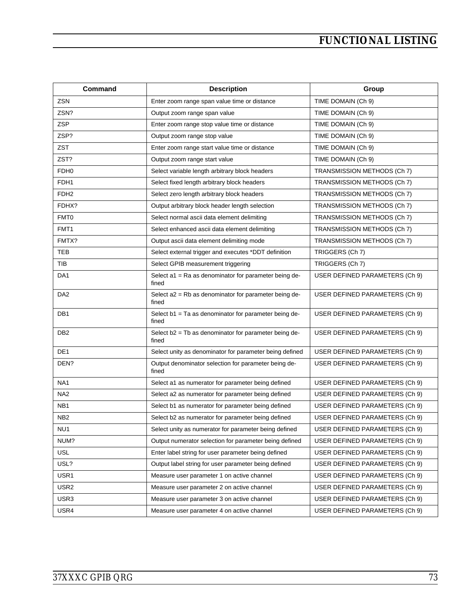## *FUNCTIONAL LISTING*

| Command          | <b>Description</b>                                               | Group                          |
|------------------|------------------------------------------------------------------|--------------------------------|
| <b>ZSN</b>       | Enter zoom range span value time or distance                     | TIME DOMAIN (Ch 9)             |
| ZSN?             | Output zoom range span value                                     | TIME DOMAIN (Ch 9)             |
| ZSP              | Enter zoom range stop value time or distance                     | TIME DOMAIN (Ch 9)             |
| ZSP?             | Output zoom range stop value                                     | TIME DOMAIN (Ch 9)             |
| <b>ZST</b>       | Enter zoom range start value time or distance                    | TIME DOMAIN (Ch 9)             |
| ZST?             | Output zoom range start value                                    | TIME DOMAIN (Ch 9)             |
| FDH <sub>0</sub> | Select variable length arbitrary block headers                   | TRANSMISSION METHODS (Ch 7)    |
| FDH1             | Select fixed length arbitrary block headers                      | TRANSMISSION METHODS (Ch 7)    |
| FDH <sub>2</sub> | Select zero length arbitrary block headers                       | TRANSMISSION METHODS (Ch 7)    |
| FDHX?            | Output arbitrary block header length selection                   | TRANSMISSION METHODS (Ch 7)    |
| FMT0             | Select normal ascii data element delimiting                      | TRANSMISSION METHODS (Ch 7)    |
| FMT1             | Select enhanced ascii data element delimiting                    | TRANSMISSION METHODS (Ch 7)    |
| FMTX?            | Output ascii data element delimiting mode                        | TRANSMISSION METHODS (Ch 7)    |
| <b>TEB</b>       | Select external trigger and executes *DDT definition             | TRIGGERS (Ch 7)                |
| TIB              | Select GPIB measurement triggering                               | TRIGGERS (Ch 7)                |
| DA <sub>1</sub>  | Select $a1 = Ra$ as denominator for parameter being de-<br>fined | USER DEFINED PARAMETERS (Ch 9) |
| DA <sub>2</sub>  | Select a2 = Rb as denominator for parameter being de-<br>fined   | USER DEFINED PARAMETERS (Ch 9) |
| DB <sub>1</sub>  | Select b1 = Ta as denominator for parameter being de-<br>fined   | USER DEFINED PARAMETERS (Ch 9) |
| DB <sub>2</sub>  | Select b2 = Tb as denominator for parameter being de-<br>fined   | USER DEFINED PARAMETERS (Ch 9) |
| DE <sub>1</sub>  | Select unity as denominator for parameter being defined          | USER DEFINED PARAMETERS (Ch 9) |
| DEN?             | Output denominator selection for parameter being de-<br>fined    | USER DEFINED PARAMETERS (Ch 9) |
| NA1              | Select a1 as numerator for parameter being defined               | USER DEFINED PARAMETERS (Ch 9) |
| NA <sub>2</sub>  | Select a2 as numerator for parameter being defined               | USER DEFINED PARAMETERS (Ch 9) |
| NB <sub>1</sub>  | Select b1 as numerator for parameter being defined               | USER DEFINED PARAMETERS (Ch 9) |
| NB <sub>2</sub>  | Select b2 as numerator for parameter being defined               | USER DEFINED PARAMETERS (Ch 9) |
| NU <sub>1</sub>  | Select unity as numerator for parameter being defined            | USER DEFINED PARAMETERS (Ch 9) |
| NUM?             | Output numerator selection for parameter being defined           | USER DEFINED PARAMETERS (Ch 9) |
| <b>USL</b>       | Enter label string for user parameter being defined              | USER DEFINED PARAMETERS (Ch 9) |
| USL?             | Output label string for user parameter being defined             | USER DEFINED PARAMETERS (Ch 9) |
| USR1             | Measure user parameter 1 on active channel                       | USER DEFINED PARAMETERS (Ch 9) |
| USR <sub>2</sub> | Measure user parameter 2 on active channel                       | USER DEFINED PARAMETERS (Ch 9) |
| USR3             | Measure user parameter 3 on active channel                       | USER DEFINED PARAMETERS (Ch 9) |
| USR4             | Measure user parameter 4 on active channel                       | USER DEFINED PARAMETERS (Ch 9) |